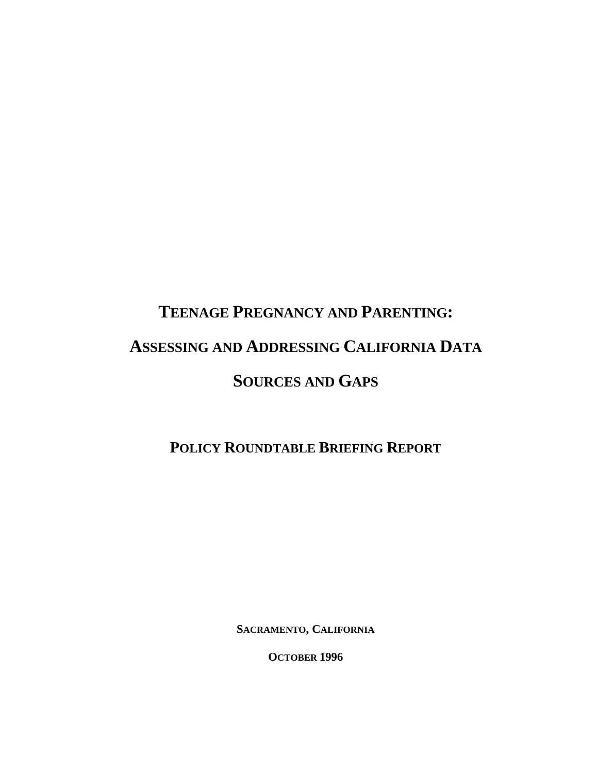# **TEENAGE PREGNANCY AND PARENTING: ASSESSING AND ADDRESSING CALIFORNIA DATA SOURCES AND GAPS**

**POLICY ROUNDTABLE BRIEFING REPORT**

**SACRAMENTO, CALIFORNIA**

**OCTOBER 1996**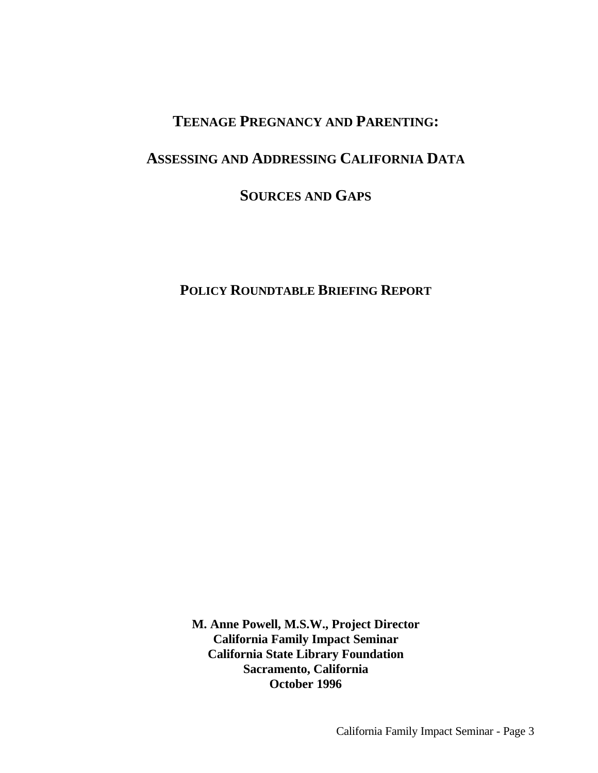## **TEENAGE PREGNANCY AND PARENTING:**

### **ASSESSING AND ADDRESSING CALIFORNIA DATA**

### **SOURCES AND GAPS**

**POLICY ROUNDTABLE BRIEFING REPORT**

**M. Anne Powell, M.S.W., Project Director California Family Impact Seminar California State Library Foundation Sacramento, California October 1996**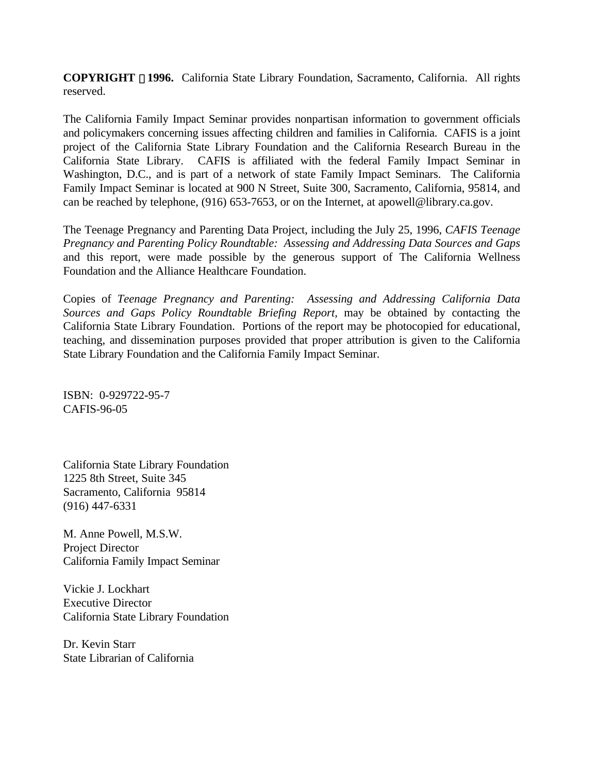**COPYRIGHT 1996.** California State Library Foundation, Sacramento, California. All rights reserved.

The California Family Impact Seminar provides nonpartisan information to government officials and policymakers concerning issues affecting children and families in California. CAFIS is a joint project of the California State Library Foundation and the California Research Bureau in the California State Library. CAFIS is affiliated with the federal Family Impact Seminar in Washington, D.C., and is part of a network of state Family Impact Seminars. The California Family Impact Seminar is located at 900 N Street, Suite 300, Sacramento, California, 95814, and can be reached by telephone, (916) 653-7653, or on the Internet, at apowell@library.ca.gov.

The Teenage Pregnancy and Parenting Data Project, including the July 25, 1996, *CAFIS Teenage Pregnancy and Parenting Policy Roundtable: Assessing and Addressing Data Sources and Gaps* and this report, were made possible by the generous support of The California Wellness Foundation and the Alliance Healthcare Foundation.

Copies of *Teenage Pregnancy and Parenting: Assessing and Addressing California Data Sources and Gaps Policy Roundtable Briefing Report,* may be obtained by contacting the California State Library Foundation. Portions of the report may be photocopied for educational, teaching, and dissemination purposes provided that proper attribution is given to the California State Library Foundation and the California Family Impact Seminar.

ISBN: 0-929722-95-7 CAFIS-96-05

California State Library Foundation 1225 8th Street, Suite 345 Sacramento, California 95814 (916) 447-6331

M. Anne Powell, M.S.W. Project Director California Family Impact Seminar

Vickie J. Lockhart Executive Director California State Library Foundation

Dr. Kevin Starr State Librarian of California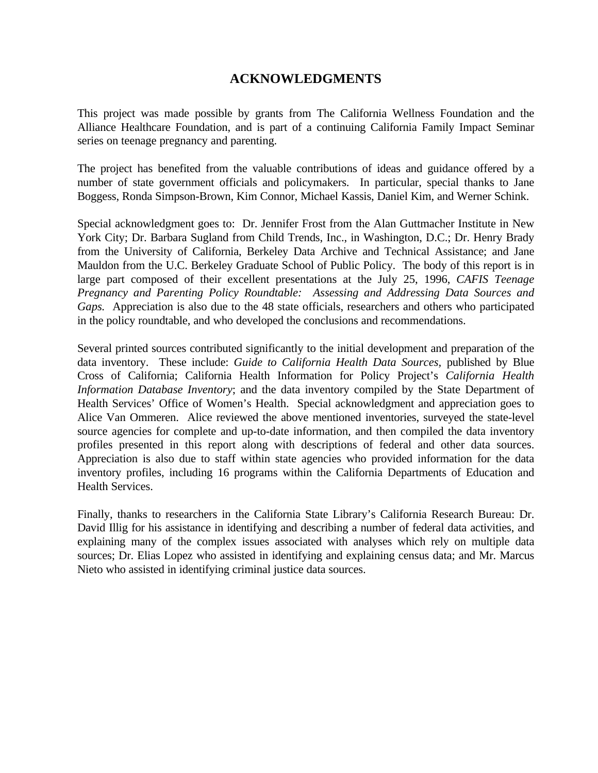### **ACKNOWLEDGMENTS**

This project was made possible by grants from The California Wellness Foundation and the Alliance Healthcare Foundation, and is part of a continuing California Family Impact Seminar series on teenage pregnancy and parenting.

The project has benefited from the valuable contributions of ideas and guidance offered by a number of state government officials and policymakers. In particular, special thanks to Jane Boggess, Ronda Simpson-Brown, Kim Connor, Michael Kassis, Daniel Kim, and Werner Schink.

Special acknowledgment goes to: Dr. Jennifer Frost from the Alan Guttmacher Institute in New York City; Dr. Barbara Sugland from Child Trends, Inc., in Washington, D.C.; Dr. Henry Brady from the University of California, Berkeley Data Archive and Technical Assistance; and Jane Mauldon from the U.C. Berkeley Graduate School of Public Policy. The body of this report is in large part composed of their excellent presentations at the July 25, 1996, *CAFIS Teenage Pregnancy and Parenting Policy Roundtable: Assessing and Addressing Data Sources and Gaps.* Appreciation is also due to the 48 state officials, researchers and others who participated in the policy roundtable, and who developed the conclusions and recommendations.

Several printed sources contributed significantly to the initial development and preparation of the data inventory. These include: *Guide to California Health Data Sources,* published by Blue Cross of California; California Health Information for Policy Project's *California Health Information Database Inventory*; and the data inventory compiled by the State Department of Health Services' Office of Women's Health. Special acknowledgment and appreciation goes to Alice Van Ommeren. Alice reviewed the above mentioned inventories, surveyed the state-level source agencies for complete and up-to-date information, and then compiled the data inventory profiles presented in this report along with descriptions of federal and other data sources. Appreciation is also due to staff within state agencies who provided information for the data inventory profiles, including 16 programs within the California Departments of Education and Health Services.

Finally, thanks to researchers in the California State Library's California Research Bureau: Dr. David Illig for his assistance in identifying and describing a number of federal data activities, and explaining many of the complex issues associated with analyses which rely on multiple data sources; Dr. Elias Lopez who assisted in identifying and explaining census data; and Mr. Marcus Nieto who assisted in identifying criminal justice data sources.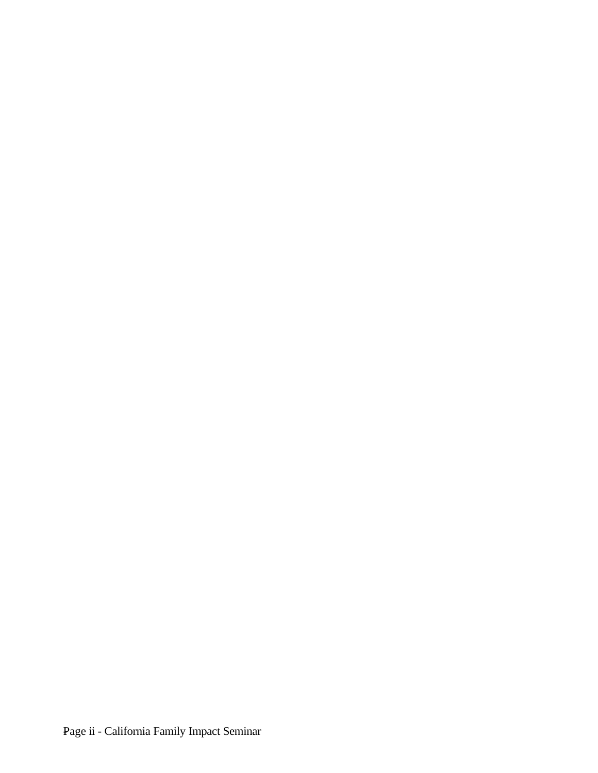Page ii - California Family Impact Seminar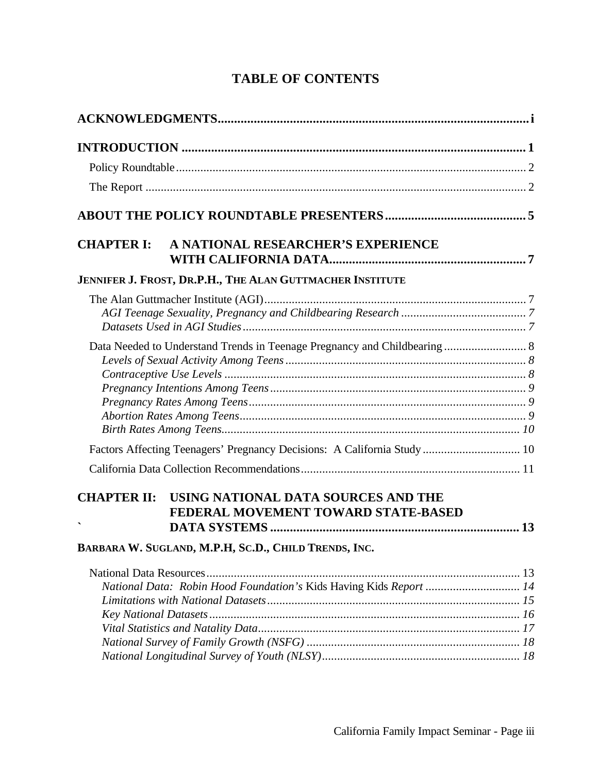# **TABLE OF CONTENTS**

| <b>CHAPTER I:</b> | A NATIONAL RESEARCHER'S EXPERIENCE                                                            |  |
|-------------------|-----------------------------------------------------------------------------------------------|--|
|                   | JENNIFER J. FROST, DR.P.H., THE ALAN GUTTMACHER INSTITUTE                                     |  |
|                   |                                                                                               |  |
|                   | Data Needed to Understand Trends in Teenage Pregnancy and Childbearing  8                     |  |
|                   | Factors Affecting Teenagers' Pregnancy Decisions: A California Study 10                       |  |
|                   |                                                                                               |  |
|                   | <b>CHAPTER II: USING NATIONAL DATA SOURCES AND THE</b><br>FEDERAL MOVEMENT TOWARD STATE-BASED |  |
|                   | BARBARA W. SUGLAND, M.P.H, SC.D., CHILD TRENDS, INC.                                          |  |
|                   | National Data: Robin Hood Foundation's Kids Having Kids Report  14                            |  |
|                   |                                                                                               |  |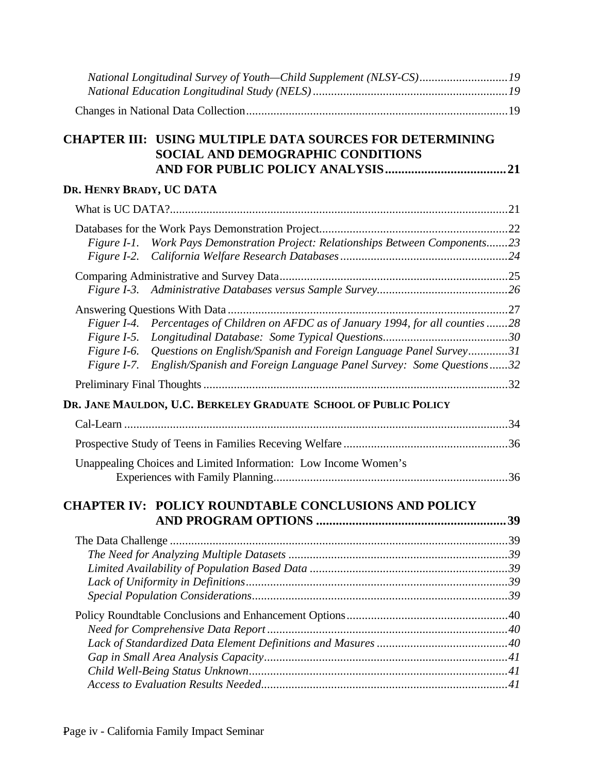|                                                  | National Longitudinal Survey of Youth-Child Supplement (NLSY-CS)19                                                                                                                                                            |  |
|--------------------------------------------------|-------------------------------------------------------------------------------------------------------------------------------------------------------------------------------------------------------------------------------|--|
|                                                  |                                                                                                                                                                                                                               |  |
|                                                  | <b>CHAPTER III: USING MULTIPLE DATA SOURCES FOR DETERMINING</b><br><b>SOCIAL AND DEMOGRAPHIC CONDITIONS</b>                                                                                                                   |  |
| DR. HENRY BRADY, UC DATA                         |                                                                                                                                                                                                                               |  |
|                                                  |                                                                                                                                                                                                                               |  |
|                                                  | Figure I-1. Work Pays Demonstration Project: Relationships Between Components23                                                                                                                                               |  |
|                                                  |                                                                                                                                                                                                                               |  |
| Figure I-5.<br>Figure I-6.<br><i>Figure I-7.</i> | Figuer I-4. Percentages of Children on AFDC as of January 1994, for all counties28<br>Questions on English/Spanish and Foreign Language Panel Survey31<br>English/Spanish and Foreign Language Panel Survey: Some Questions32 |  |
|                                                  |                                                                                                                                                                                                                               |  |
|                                                  | DR. JANE MAULDON, U.C. BERKELEY GRADUATE SCHOOL OF PUBLIC POLICY                                                                                                                                                              |  |
|                                                  |                                                                                                                                                                                                                               |  |
|                                                  |                                                                                                                                                                                                                               |  |
|                                                  | Unappealing Choices and Limited Information: Low Income Women's                                                                                                                                                               |  |
|                                                  | CHAPTER IV: POLICY ROUNDTABLE CONCLUSIONS AND POLICY                                                                                                                                                                          |  |
|                                                  |                                                                                                                                                                                                                               |  |
|                                                  |                                                                                                                                                                                                                               |  |
|                                                  |                                                                                                                                                                                                                               |  |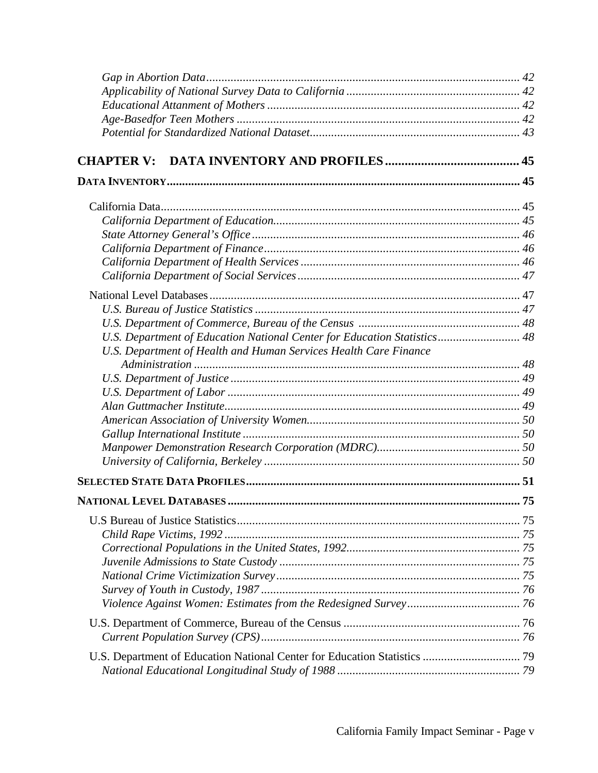| U.S. Department of Education National Center for Education Statistics 48 |  |
|--------------------------------------------------------------------------|--|
| U.S. Department of Health and Human Services Health Care Finance         |  |
|                                                                          |  |
|                                                                          |  |
|                                                                          |  |
|                                                                          |  |
|                                                                          |  |
|                                                                          |  |
|                                                                          |  |
|                                                                          |  |
|                                                                          |  |
|                                                                          |  |
|                                                                          |  |
|                                                                          |  |
|                                                                          |  |
|                                                                          |  |
|                                                                          |  |
|                                                                          |  |
|                                                                          |  |
|                                                                          |  |
|                                                                          |  |
|                                                                          |  |
|                                                                          |  |
|                                                                          |  |
|                                                                          |  |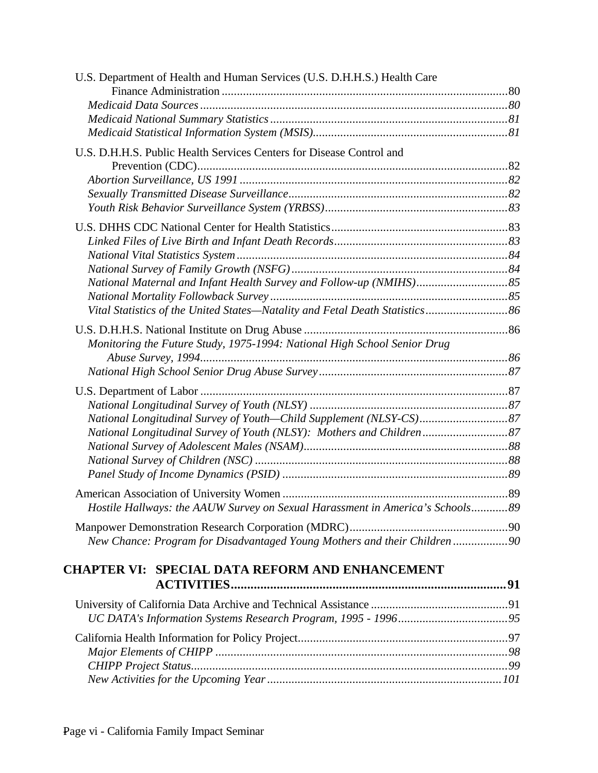| U.S. Department of Health and Human Services (U.S. D.H.H.S.) Health Care      |  |
|-------------------------------------------------------------------------------|--|
|                                                                               |  |
|                                                                               |  |
|                                                                               |  |
| U.S. D.H.H.S. Public Health Services Centers for Disease Control and          |  |
|                                                                               |  |
|                                                                               |  |
|                                                                               |  |
|                                                                               |  |
|                                                                               |  |
|                                                                               |  |
|                                                                               |  |
|                                                                               |  |
|                                                                               |  |
|                                                                               |  |
|                                                                               |  |
|                                                                               |  |
| Monitoring the Future Study, 1975-1994: National High School Senior Drug      |  |
|                                                                               |  |
|                                                                               |  |
|                                                                               |  |
|                                                                               |  |
|                                                                               |  |
|                                                                               |  |
|                                                                               |  |
|                                                                               |  |
|                                                                               |  |
|                                                                               |  |
| Hostile Hallways: the AAUW Survey on Sexual Harassment in America's Schools89 |  |
|                                                                               |  |
| New Chance: Program for Disadvantaged Young Mothers and their Children90      |  |
| <b>CHAPTER VI: SPECIAL DATA REFORM AND ENHANCEMENT</b>                        |  |
|                                                                               |  |
|                                                                               |  |
|                                                                               |  |
|                                                                               |  |
|                                                                               |  |
|                                                                               |  |
|                                                                               |  |
|                                                                               |  |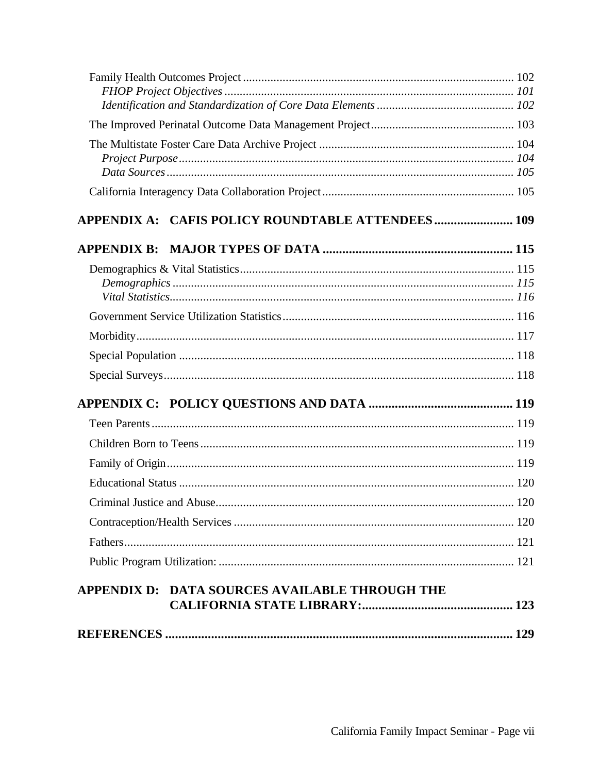| 120 |                                                   |  |
|-----|---------------------------------------------------|--|
|     |                                                   |  |
|     |                                                   |  |
|     |                                                   |  |
|     |                                                   |  |
|     |                                                   |  |
|     |                                                   |  |
|     |                                                   |  |
|     |                                                   |  |
|     |                                                   |  |
|     |                                                   |  |
|     |                                                   |  |
|     |                                                   |  |
|     |                                                   |  |
|     |                                                   |  |
|     |                                                   |  |
|     |                                                   |  |
|     |                                                   |  |
|     | APPENDIX A: CAFIS POLICY ROUNDTABLE ATTENDEES 109 |  |
|     |                                                   |  |
|     |                                                   |  |
|     |                                                   |  |
|     |                                                   |  |
|     |                                                   |  |
|     |                                                   |  |
|     |                                                   |  |
|     |                                                   |  |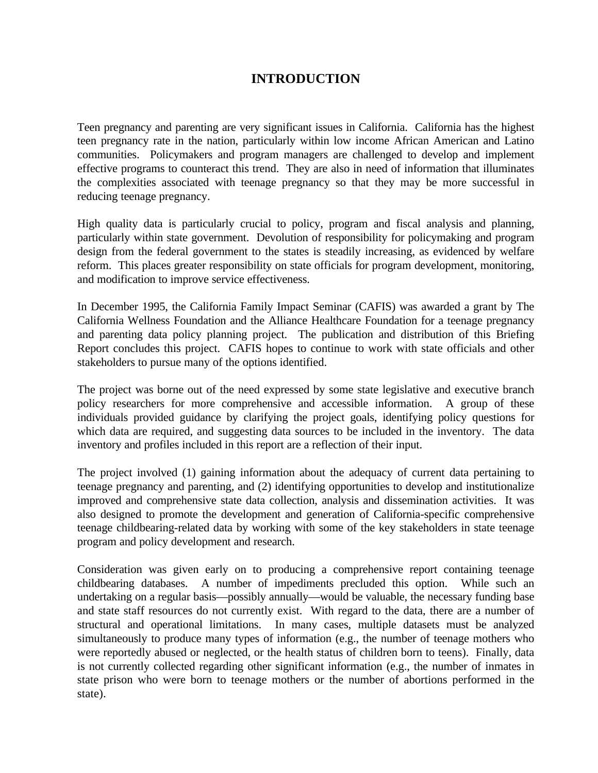### **INTRODUCTION**

Teen pregnancy and parenting are very significant issues in California. California has the highest teen pregnancy rate in the nation, particularly within low income African American and Latino communities. Policymakers and program managers are challenged to develop and implement effective programs to counteract this trend. They are also in need of information that illuminates the complexities associated with teenage pregnancy so that they may be more successful in reducing teenage pregnancy.

High quality data is particularly crucial to policy, program and fiscal analysis and planning, particularly within state government. Devolution of responsibility for policymaking and program design from the federal government to the states is steadily increasing, as evidenced by welfare reform. This places greater responsibility on state officials for program development, monitoring, and modification to improve service effectiveness.

In December 1995, the California Family Impact Seminar (CAFIS) was awarded a grant by The California Wellness Foundation and the Alliance Healthcare Foundation for a teenage pregnancy and parenting data policy planning project. The publication and distribution of this Briefing Report concludes this project. CAFIS hopes to continue to work with state officials and other stakeholders to pursue many of the options identified.

The project was borne out of the need expressed by some state legislative and executive branch policy researchers for more comprehensive and accessible information. A group of these individuals provided guidance by clarifying the project goals, identifying policy questions for which data are required, and suggesting data sources to be included in the inventory. The data inventory and profiles included in this report are a reflection of their input.

The project involved (1) gaining information about the adequacy of current data pertaining to teenage pregnancy and parenting, and (2) identifying opportunities to develop and institutionalize improved and comprehensive state data collection, analysis and dissemination activities. It was also designed to promote the development and generation of California-specific comprehensive teenage childbearing-related data by working with some of the key stakeholders in state teenage program and policy development and research.

Consideration was given early on to producing a comprehensive report containing teenage childbearing databases. A number of impediments precluded this option. While such an undertaking on a regular basis—possibly annually—would be valuable, the necessary funding base and state staff resources do not currently exist. With regard to the data, there are a number of structural and operational limitations. In many cases, multiple datasets must be analyzed simultaneously to produce many types of information (e.g., the number of teenage mothers who were reportedly abused or neglected, or the health status of children born to teens). Finally, data is not currently collected regarding other significant information (e.g., the number of inmates in state prison who were born to teenage mothers or the number of abortions performed in the state).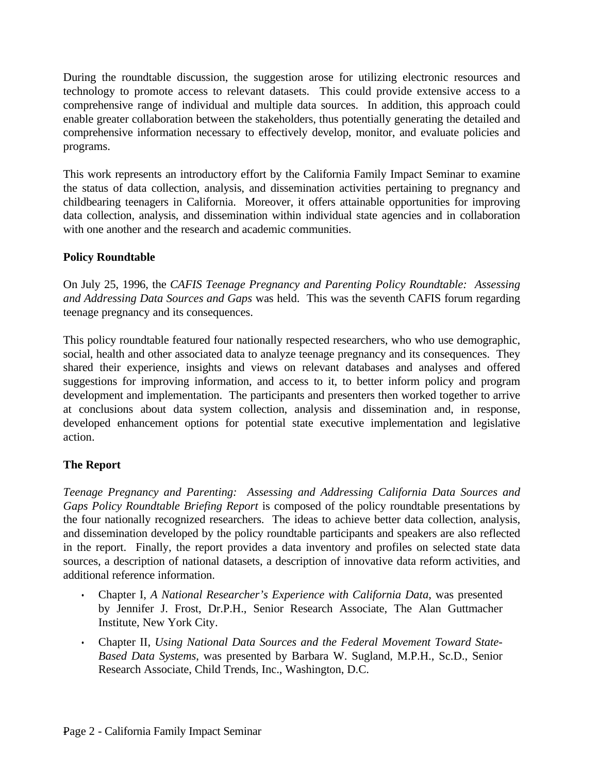During the roundtable discussion, the suggestion arose for utilizing electronic resources and technology to promote access to relevant datasets. This could provide extensive access to a comprehensive range of individual and multiple data sources. In addition, this approach could enable greater collaboration between the stakeholders, thus potentially generating the detailed and comprehensive information necessary to effectively develop, monitor, and evaluate policies and programs.

This work represents an introductory effort by the California Family Impact Seminar to examine the status of data collection, analysis, and dissemination activities pertaining to pregnancy and childbearing teenagers in California. Moreover, it offers attainable opportunities for improving data collection, analysis, and dissemination within individual state agencies and in collaboration with one another and the research and academic communities.

#### **Policy Roundtable**

On July 25, 1996, the *CAFIS Teenage Pregnancy and Parenting Policy Roundtable: Assessing and Addressing Data Sources and Gaps* was held. This was the seventh CAFIS forum regarding teenage pregnancy and its consequences.

This policy roundtable featured four nationally respected researchers, who who use demographic, social, health and other associated data to analyze teenage pregnancy and its consequences. They shared their experience, insights and views on relevant databases and analyses and offered suggestions for improving information, and access to it, to better inform policy and program development and implementation. The participants and presenters then worked together to arrive at conclusions about data system collection, analysis and dissemination and, in response, developed enhancement options for potential state executive implementation and legislative action.

#### **The Report**

*Teenage Pregnancy and Parenting: Assessing and Addressing California Data Sources and Gaps Policy Roundtable Briefing Report* is composed of the policy roundtable presentations by the four nationally recognized researchers. The ideas to achieve better data collection, analysis, and dissemination developed by the policy roundtable participants and speakers are also reflected in the report. Finally, the report provides a data inventory and profiles on selected state data sources, a description of national datasets, a description of innovative data reform activities, and additional reference information.

- Chapter I, *A National Researcher's Experience with California Data*, was presented by Jennifer J. Frost, Dr.P.H., Senior Research Associate, The Alan Guttmacher Institute, New York City.
- Chapter II, *Using National Data Sources and the Federal Movement Toward State-Based Data Systems*, was presented by Barbara W. Sugland, M.P.H., Sc.D., Senior Research Associate, Child Trends, Inc., Washington, D.C.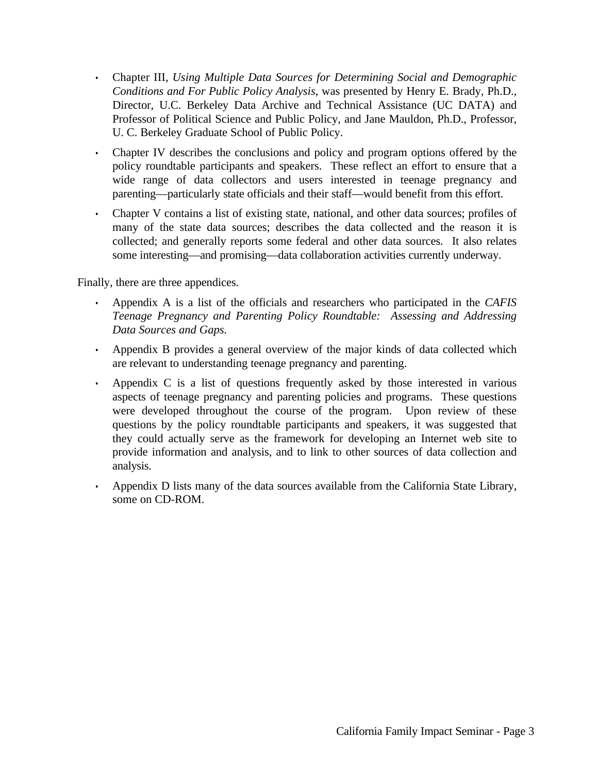- Chapter III, *Using Multiple Data Sources for Determining Social and Demographic Conditions and For Public Policy Analysis*, was presented by Henry E. Brady, Ph.D., Director, U.C. Berkeley Data Archive and Technical Assistance (UC DATA) and Professor of Political Science and Public Policy, and Jane Mauldon, Ph.D., Professor, U. C. Berkeley Graduate School of Public Policy.
- Chapter IV describes the conclusions and policy and program options offered by the policy roundtable participants and speakers. These reflect an effort to ensure that a wide range of data collectors and users interested in teenage pregnancy and parenting—particularly state officials and their staff—would benefit from this effort.
- Chapter V contains a list of existing state, national, and other data sources; profiles of many of the state data sources; describes the data collected and the reason it is collected; and generally reports some federal and other data sources. It also relates some interesting—and promising—data collaboration activities currently underway.

Finally, there are three appendices.

- Appendix A is a list of the officials and researchers who participated in the *CAFIS Teenage Pregnancy and Parenting Policy Roundtable: Assessing and Addressing Data Sources and Gaps.*
- Appendix B provides a general overview of the major kinds of data collected which are relevant to understanding teenage pregnancy and parenting.
- Appendix C is a list of questions frequently asked by those interested in various aspects of teenage pregnancy and parenting policies and programs. These questions were developed throughout the course of the program. Upon review of these questions by the policy roundtable participants and speakers, it was suggested that they could actually serve as the framework for developing an Internet web site to provide information and analysis, and to link to other sources of data collection and analysis.
- Appendix D lists many of the data sources available from the California State Library, some on CD-ROM.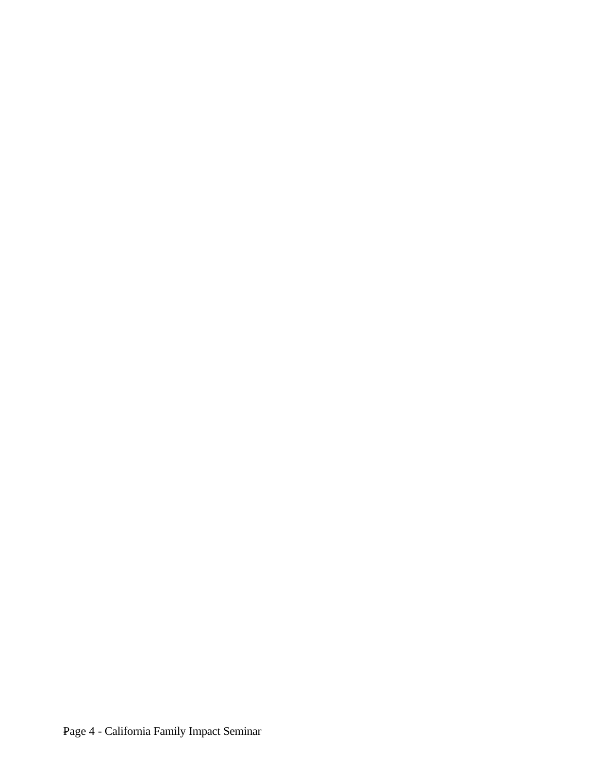Page 4 - California Family Impact Seminar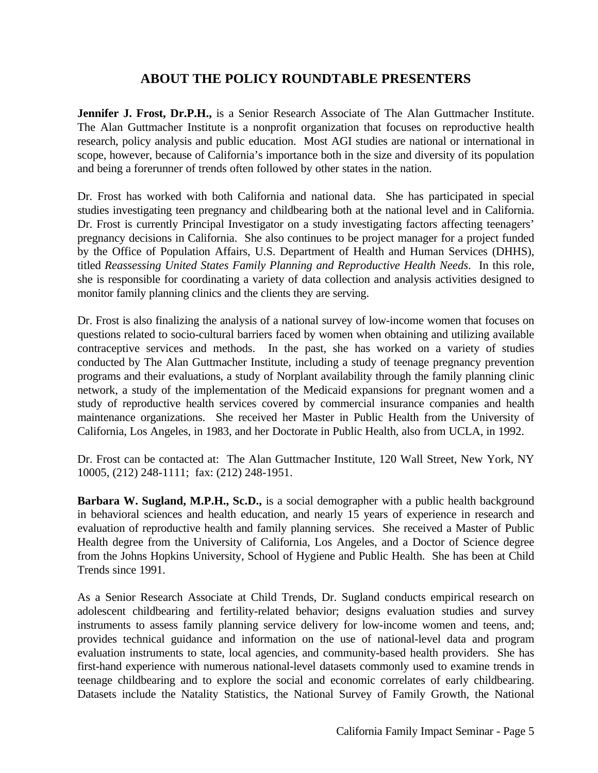### **ABOUT THE POLICY ROUNDTABLE PRESENTERS**

**Jennifer J. Frost, Dr.P.H.,** is a Senior Research Associate of The Alan Guttmacher Institute. The Alan Guttmacher Institute is a nonprofit organization that focuses on reproductive health research, policy analysis and public education. Most AGI studies are national or international in scope, however, because of California's importance both in the size and diversity of its population and being a forerunner of trends often followed by other states in the nation.

Dr. Frost has worked with both California and national data. She has participated in special studies investigating teen pregnancy and childbearing both at the national level and in California. Dr. Frost is currently Principal Investigator on a study investigating factors affecting teenagers' pregnancy decisions in California. She also continues to be project manager for a project funded by the Office of Population Affairs, U.S. Department of Health and Human Services (DHHS), titled *Reassessing United States Family Planning and Reproductive Health Needs*. In this role, she is responsible for coordinating a variety of data collection and analysis activities designed to monitor family planning clinics and the clients they are serving.

Dr. Frost is also finalizing the analysis of a national survey of low-income women that focuses on questions related to socio-cultural barriers faced by women when obtaining and utilizing available contraceptive services and methods. In the past, she has worked on a variety of studies conducted by The Alan Guttmacher Institute, including a study of teenage pregnancy prevention programs and their evaluations, a study of Norplant availability through the family planning clinic network, a study of the implementation of the Medicaid expansions for pregnant women and a study of reproductive health services covered by commercial insurance companies and health maintenance organizations. She received her Master in Public Health from the University of California, Los Angeles, in 1983, and her Doctorate in Public Health, also from UCLA, in 1992.

Dr. Frost can be contacted at: The Alan Guttmacher Institute, 120 Wall Street, New York, NY 10005, (212) 248-1111; fax: (212) 248-1951.

**Barbara W. Sugland, M.P.H., Sc.D.,** is a social demographer with a public health background in behavioral sciences and health education, and nearly 15 years of experience in research and evaluation of reproductive health and family planning services. She received a Master of Public Health degree from the University of California, Los Angeles, and a Doctor of Science degree from the Johns Hopkins University, School of Hygiene and Public Health. She has been at Child Trends since 1991.

As a Senior Research Associate at Child Trends, Dr. Sugland conducts empirical research on adolescent childbearing and fertility-related behavior; designs evaluation studies and survey instruments to assess family planning service delivery for low-income women and teens, and; provides technical guidance and information on the use of national-level data and program evaluation instruments to state, local agencies, and community-based health providers. She has first-hand experience with numerous national-level datasets commonly used to examine trends in teenage childbearing and to explore the social and economic correlates of early childbearing. Datasets include the Natality Statistics, the National Survey of Family Growth, the National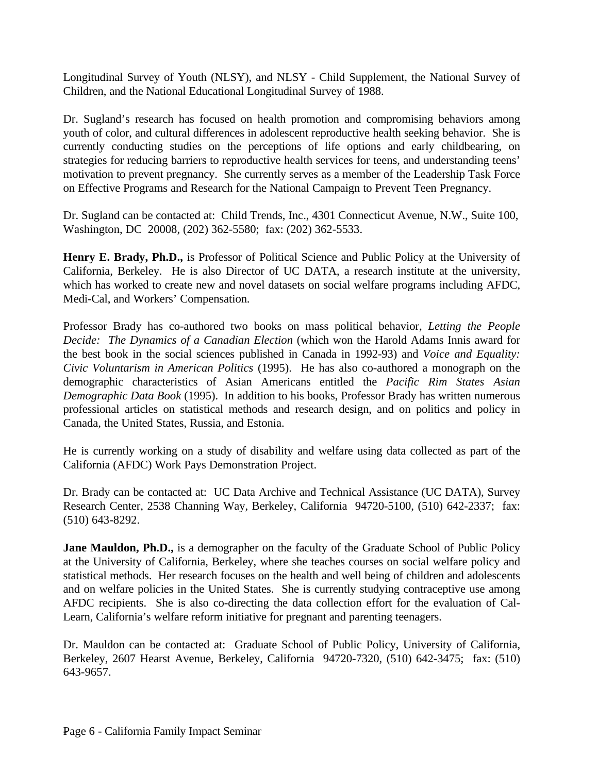Longitudinal Survey of Youth (NLSY), and NLSY - Child Supplement, the National Survey of Children, and the National Educational Longitudinal Survey of 1988.

Dr. Sugland's research has focused on health promotion and compromising behaviors among youth of color, and cultural differences in adolescent reproductive health seeking behavior. She is currently conducting studies on the perceptions of life options and early childbearing, on strategies for reducing barriers to reproductive health services for teens, and understanding teens' motivation to prevent pregnancy. She currently serves as a member of the Leadership Task Force on Effective Programs and Research for the National Campaign to Prevent Teen Pregnancy.

Dr. Sugland can be contacted at: Child Trends, Inc., 4301 Connecticut Avenue, N.W., Suite 100, Washington, DC 20008, (202) 362-5580; fax: (202) 362-5533.

**Henry E. Brady, Ph.D.,** is Professor of Political Science and Public Policy at the University of California, Berkeley. He is also Director of UC DATA, a research institute at the university, which has worked to create new and novel datasets on social welfare programs including AFDC, Medi-Cal, and Workers' Compensation.

Professor Brady has co-authored two books on mass political behavior, *Letting the People Decide: The Dynamics of a Canadian Election* (which won the Harold Adams Innis award for the best book in the social sciences published in Canada in 1992-93) and *Voice and Equality: Civic Voluntarism in American Politics* (1995). He has also co-authored a monograph on the demographic characteristics of Asian Americans entitled the *Pacific Rim States Asian Demographic Data Book* (1995). In addition to his books, Professor Brady has written numerous professional articles on statistical methods and research design, and on politics and policy in Canada, the United States, Russia, and Estonia.

He is currently working on a study of disability and welfare using data collected as part of the California (AFDC) Work Pays Demonstration Project.

Dr. Brady can be contacted at: UC Data Archive and Technical Assistance (UC DATA), Survey Research Center, 2538 Channing Way, Berkeley, California 94720-5100, (510) 642-2337; fax: (510) 643-8292.

**Jane Mauldon, Ph.D.,** is a demographer on the faculty of the Graduate School of Public Policy at the University of California, Berkeley, where she teaches courses on social welfare policy and statistical methods. Her research focuses on the health and well being of children and adolescents and on welfare policies in the United States. She is currently studying contraceptive use among AFDC recipients. She is also co-directing the data collection effort for the evaluation of Cal-Learn, California's welfare reform initiative for pregnant and parenting teenagers.

Dr. Mauldon can be contacted at: Graduate School of Public Policy, University of California, Berkeley, 2607 Hearst Avenue, Berkeley, California 94720-7320, (510) 642-3475; fax: (510) 643-9657.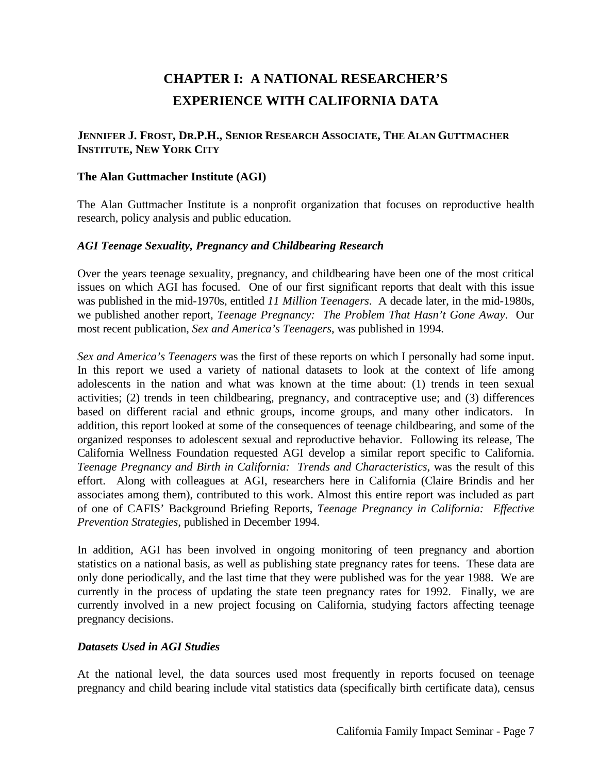# **CHAPTER I: A NATIONAL RESEARCHER'S EXPERIENCE WITH CALIFORNIA DATA**

#### **JENNIFER J. FROST, DR.P.H., SENIOR RESEARCH ASSOCIATE, THE ALAN GUTTMACHER INSTITUTE, NEW YORK CITY**

#### **The Alan Guttmacher Institute (AGI)**

The Alan Guttmacher Institute is a nonprofit organization that focuses on reproductive health research, policy analysis and public education.

#### *AGI Teenage Sexuality, Pregnancy and Childbearing Research*

Over the years teenage sexuality, pregnancy, and childbearing have been one of the most critical issues on which AGI has focused. One of our first significant reports that dealt with this issue was published in the mid-1970s, entitled *11 Million Teenagers*. A decade later, in the mid-1980s, we published another report, *Teenage Pregnancy: The Problem That Hasn't Gone Away*. Our most recent publication, *Sex and America's Teenagers*, was published in 1994.

*Sex and America's Teenagers* was the first of these reports on which I personally had some input. In this report we used a variety of national datasets to look at the context of life among adolescents in the nation and what was known at the time about: (1) trends in teen sexual activities; (2) trends in teen childbearing, pregnancy, and contraceptive use; and (3) differences based on different racial and ethnic groups, income groups, and many other indicators. In addition, this report looked at some of the consequences of teenage childbearing, and some of the organized responses to adolescent sexual and reproductive behavior. Following its release, The California Wellness Foundation requested AGI develop a similar report specific to California. *Teenage Pregnancy and Birth in California: Trends and Characteristics*, was the result of this effort. Along with colleagues at AGI, researchers here in California (Claire Brindis and her associates among them), contributed to this work. Almost this entire report was included as part of one of CAFIS' Background Briefing Reports, *Teenage Pregnancy in California: Effective Prevention Strategies*, published in December 1994.

In addition, AGI has been involved in ongoing monitoring of teen pregnancy and abortion statistics on a national basis, as well as publishing state pregnancy rates for teens. These data are only done periodically, and the last time that they were published was for the year 1988. We are currently in the process of updating the state teen pregnancy rates for 1992. Finally, we are currently involved in a new project focusing on California, studying factors affecting teenage pregnancy decisions.

#### *Datasets Used in AGI Studies*

At the national level, the data sources used most frequently in reports focused on teenage pregnancy and child bearing include vital statistics data (specifically birth certificate data), census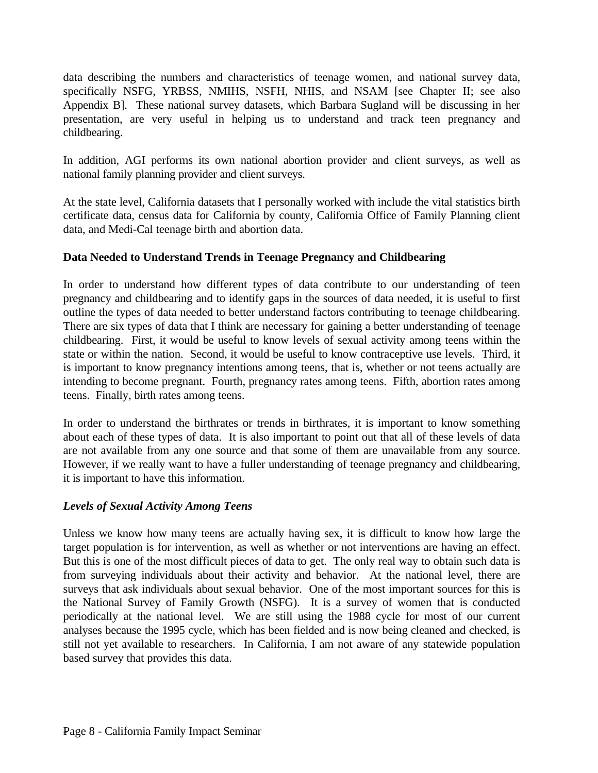data describing the numbers and characteristics of teenage women, and national survey data, specifically NSFG, YRBSS, NMIHS, NSFH, NHIS, and NSAM [see Chapter II; see also Appendix B]. These national survey datasets, which Barbara Sugland will be discussing in her presentation, are very useful in helping us to understand and track teen pregnancy and childbearing.

In addition, AGI performs its own national abortion provider and client surveys, as well as national family planning provider and client surveys.

At the state level, California datasets that I personally worked with include the vital statistics birth certificate data, census data for California by county, California Office of Family Planning client data, and Medi-Cal teenage birth and abortion data.

#### **Data Needed to Understand Trends in Teenage Pregnancy and Childbearing**

In order to understand how different types of data contribute to our understanding of teen pregnancy and childbearing and to identify gaps in the sources of data needed, it is useful to first outline the types of data needed to better understand factors contributing to teenage childbearing. There are six types of data that I think are necessary for gaining a better understanding of teenage childbearing. First, it would be useful to know levels of sexual activity among teens within the state or within the nation. Second, it would be useful to know contraceptive use levels. Third, it is important to know pregnancy intentions among teens, that is, whether or not teens actually are intending to become pregnant. Fourth, pregnancy rates among teens. Fifth, abortion rates among teens. Finally, birth rates among teens.

In order to understand the birthrates or trends in birthrates, it is important to know something about each of these types of data. It is also important to point out that all of these levels of data are not available from any one source and that some of them are unavailable from any source. However, if we really want to have a fuller understanding of teenage pregnancy and childbearing, it is important to have this information.

#### *Levels of Sexual Activity Among Teens*

Unless we know how many teens are actually having sex, it is difficult to know how large the target population is for intervention, as well as whether or not interventions are having an effect. But this is one of the most difficult pieces of data to get. The only real way to obtain such data is from surveying individuals about their activity and behavior. At the national level, there are surveys that ask individuals about sexual behavior. One of the most important sources for this is the National Survey of Family Growth (NSFG). It is a survey of women that is conducted periodically at the national level. We are still using the 1988 cycle for most of our current analyses because the 1995 cycle, which has been fielded and is now being cleaned and checked, is still not yet available to researchers. In California, I am not aware of any statewide population based survey that provides this data.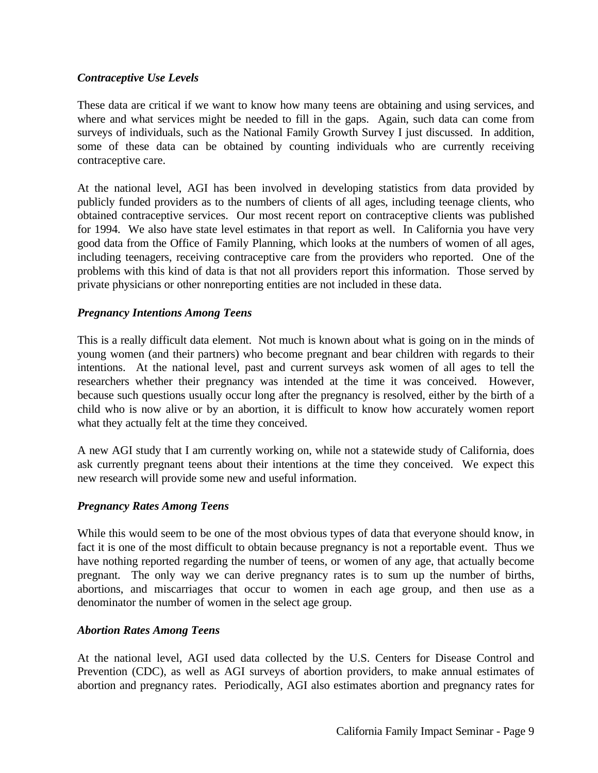#### *Contraceptive Use Levels*

These data are critical if we want to know how many teens are obtaining and using services, and where and what services might be needed to fill in the gaps. Again, such data can come from surveys of individuals, such as the National Family Growth Survey I just discussed. In addition, some of these data can be obtained by counting individuals who are currently receiving contraceptive care.

At the national level, AGI has been involved in developing statistics from data provided by publicly funded providers as to the numbers of clients of all ages, including teenage clients, who obtained contraceptive services. Our most recent report on contraceptive clients was published for 1994. We also have state level estimates in that report as well. In California you have very good data from the Office of Family Planning, which looks at the numbers of women of all ages, including teenagers, receiving contraceptive care from the providers who reported. One of the problems with this kind of data is that not all providers report this information. Those served by private physicians or other nonreporting entities are not included in these data.

#### *Pregnancy Intentions Among Teens*

This is a really difficult data element. Not much is known about what is going on in the minds of young women (and their partners) who become pregnant and bear children with regards to their intentions. At the national level, past and current surveys ask women of all ages to tell the researchers whether their pregnancy was intended at the time it was conceived. However, because such questions usually occur long after the pregnancy is resolved, either by the birth of a child who is now alive or by an abortion, it is difficult to know how accurately women report what they actually felt at the time they conceived.

A new AGI study that I am currently working on, while not a statewide study of California, does ask currently pregnant teens about their intentions at the time they conceived. We expect this new research will provide some new and useful information.

#### *Pregnancy Rates Among Teens*

While this would seem to be one of the most obvious types of data that everyone should know, in fact it is one of the most difficult to obtain because pregnancy is not a reportable event. Thus we have nothing reported regarding the number of teens, or women of any age, that actually become pregnant. The only way we can derive pregnancy rates is to sum up the number of births, abortions, and miscarriages that occur to women in each age group, and then use as a denominator the number of women in the select age group.

#### *Abortion Rates Among Teens*

At the national level, AGI used data collected by the U.S. Centers for Disease Control and Prevention (CDC), as well as AGI surveys of abortion providers, to make annual estimates of abortion and pregnancy rates. Periodically, AGI also estimates abortion and pregnancy rates for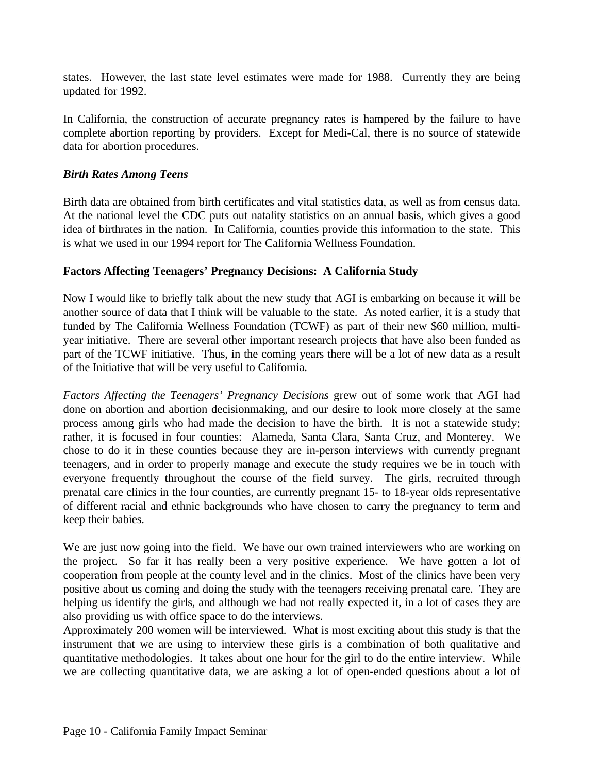states. However, the last state level estimates were made for 1988. Currently they are being updated for 1992.

In California, the construction of accurate pregnancy rates is hampered by the failure to have complete abortion reporting by providers. Except for Medi-Cal, there is no source of statewide data for abortion procedures.

#### *Birth Rates Among Teens*

Birth data are obtained from birth certificates and vital statistics data, as well as from census data. At the national level the CDC puts out natality statistics on an annual basis, which gives a good idea of birthrates in the nation. In California, counties provide this information to the state. This is what we used in our 1994 report for The California Wellness Foundation.

#### **Factors Affecting Teenagers' Pregnancy Decisions: A California Study**

Now I would like to briefly talk about the new study that AGI is embarking on because it will be another source of data that I think will be valuable to the state. As noted earlier, it is a study that funded by The California Wellness Foundation (TCWF) as part of their new \$60 million, multiyear initiative. There are several other important research projects that have also been funded as part of the TCWF initiative. Thus, in the coming years there will be a lot of new data as a result of the Initiative that will be very useful to California.

*Factors Affecting the Teenagers' Pregnancy Decisions* grew out of some work that AGI had done on abortion and abortion decisionmaking, and our desire to look more closely at the same process among girls who had made the decision to have the birth. It is not a statewide study; rather, it is focused in four counties: Alameda, Santa Clara, Santa Cruz, and Monterey. We chose to do it in these counties because they are in-person interviews with currently pregnant teenagers, and in order to properly manage and execute the study requires we be in touch with everyone frequently throughout the course of the field survey. The girls, recruited through prenatal care clinics in the four counties, are currently pregnant 15- to 18-year olds representative of different racial and ethnic backgrounds who have chosen to carry the pregnancy to term and keep their babies.

We are just now going into the field. We have our own trained interviewers who are working on the project. So far it has really been a very positive experience. We have gotten a lot of cooperation from people at the county level and in the clinics. Most of the clinics have been very positive about us coming and doing the study with the teenagers receiving prenatal care. They are helping us identify the girls, and although we had not really expected it, in a lot of cases they are also providing us with office space to do the interviews.

Approximately 200 women will be interviewed. What is most exciting about this study is that the instrument that we are using to interview these girls is a combination of both qualitative and quantitative methodologies. It takes about one hour for the girl to do the entire interview. While we are collecting quantitative data, we are asking a lot of open-ended questions about a lot of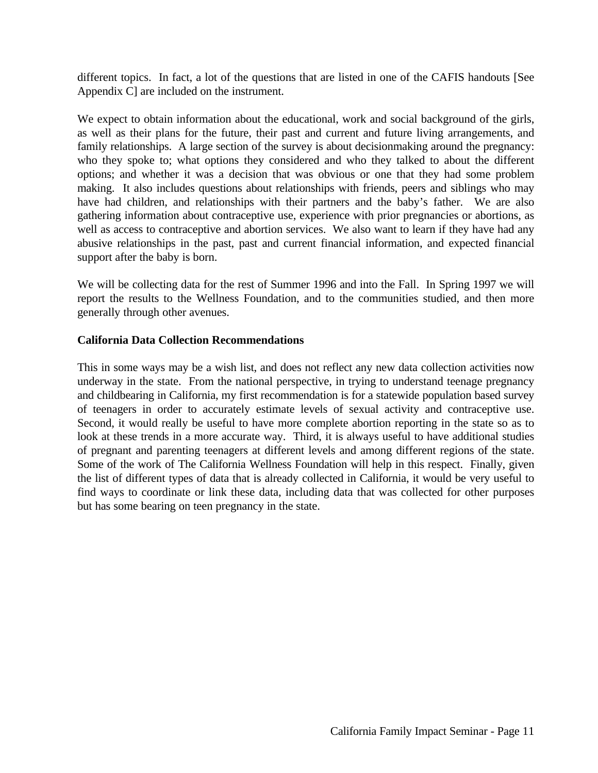different topics. In fact, a lot of the questions that are listed in one of the CAFIS handouts [See Appendix C] are included on the instrument.

We expect to obtain information about the educational, work and social background of the girls, as well as their plans for the future, their past and current and future living arrangements, and family relationships. A large section of the survey is about decisionmaking around the pregnancy: who they spoke to; what options they considered and who they talked to about the different options; and whether it was a decision that was obvious or one that they had some problem making. It also includes questions about relationships with friends, peers and siblings who may have had children, and relationships with their partners and the baby's father. We are also gathering information about contraceptive use, experience with prior pregnancies or abortions, as well as access to contraceptive and abortion services. We also want to learn if they have had any abusive relationships in the past, past and current financial information, and expected financial support after the baby is born.

We will be collecting data for the rest of Summer 1996 and into the Fall. In Spring 1997 we will report the results to the Wellness Foundation, and to the communities studied, and then more generally through other avenues.

#### **California Data Collection Recommendations**

This in some ways may be a wish list, and does not reflect any new data collection activities now underway in the state. From the national perspective, in trying to understand teenage pregnancy and childbearing in California, my first recommendation is for a statewide population based survey of teenagers in order to accurately estimate levels of sexual activity and contraceptive use. Second, it would really be useful to have more complete abortion reporting in the state so as to look at these trends in a more accurate way. Third, it is always useful to have additional studies of pregnant and parenting teenagers at different levels and among different regions of the state. Some of the work of The California Wellness Foundation will help in this respect. Finally, given the list of different types of data that is already collected in California, it would be very useful to find ways to coordinate or link these data, including data that was collected for other purposes but has some bearing on teen pregnancy in the state.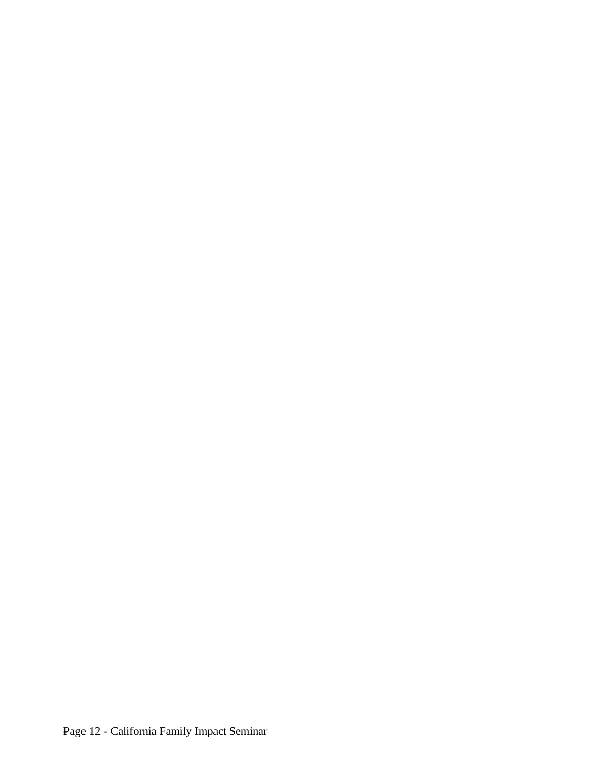Page 12 - California Family Impact Seminar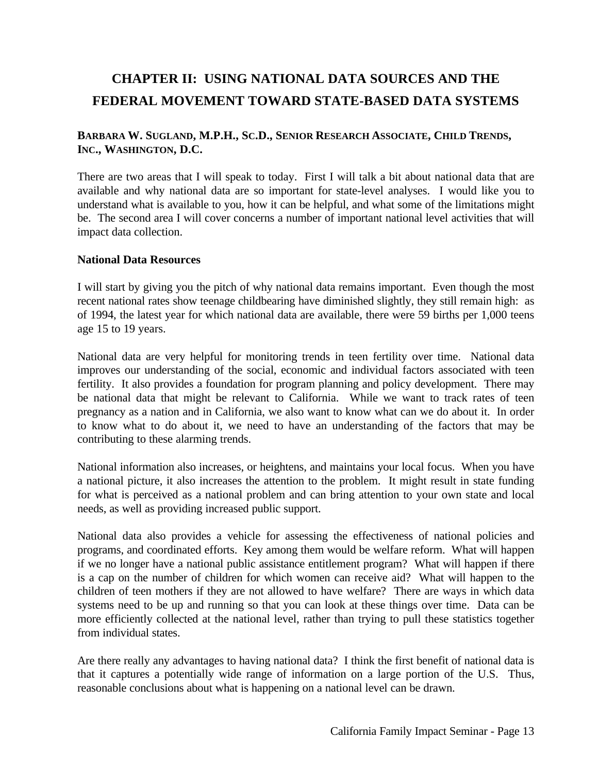# **CHAPTER II: USING NATIONAL DATA SOURCES AND THE FEDERAL MOVEMENT TOWARD STATE-BASED DATA SYSTEMS**

#### **BARBARA W. SUGLAND, M.P.H., SC.D., SENIOR RESEARCH ASSOCIATE, CHILD TRENDS, INC., WASHINGTON, D.C.**

There are two areas that I will speak to today. First I will talk a bit about national data that are available and why national data are so important for state-level analyses. I would like you to understand what is available to you, how it can be helpful, and what some of the limitations might be. The second area I will cover concerns a number of important national level activities that will impact data collection.

#### **National Data Resources**

I will start by giving you the pitch of why national data remains important. Even though the most recent national rates show teenage childbearing have diminished slightly, they still remain high: as of 1994, the latest year for which national data are available, there were 59 births per 1,000 teens age 15 to 19 years.

National data are very helpful for monitoring trends in teen fertility over time. National data improves our understanding of the social, economic and individual factors associated with teen fertility. It also provides a foundation for program planning and policy development. There may be national data that might be relevant to California. While we want to track rates of teen pregnancy as a nation and in California, we also want to know what can we do about it. In order to know what to do about it, we need to have an understanding of the factors that may be contributing to these alarming trends.

National information also increases, or heightens, and maintains your local focus. When you have a national picture, it also increases the attention to the problem. It might result in state funding for what is perceived as a national problem and can bring attention to your own state and local needs, as well as providing increased public support.

National data also provides a vehicle for assessing the effectiveness of national policies and programs, and coordinated efforts. Key among them would be welfare reform. What will happen if we no longer have a national public assistance entitlement program? What will happen if there is a cap on the number of children for which women can receive aid? What will happen to the children of teen mothers if they are not allowed to have welfare? There are ways in which data systems need to be up and running so that you can look at these things over time. Data can be more efficiently collected at the national level, rather than trying to pull these statistics together from individual states.

Are there really any advantages to having national data? I think the first benefit of national data is that it captures a potentially wide range of information on a large portion of the U.S. Thus, reasonable conclusions about what is happening on a national level can be drawn.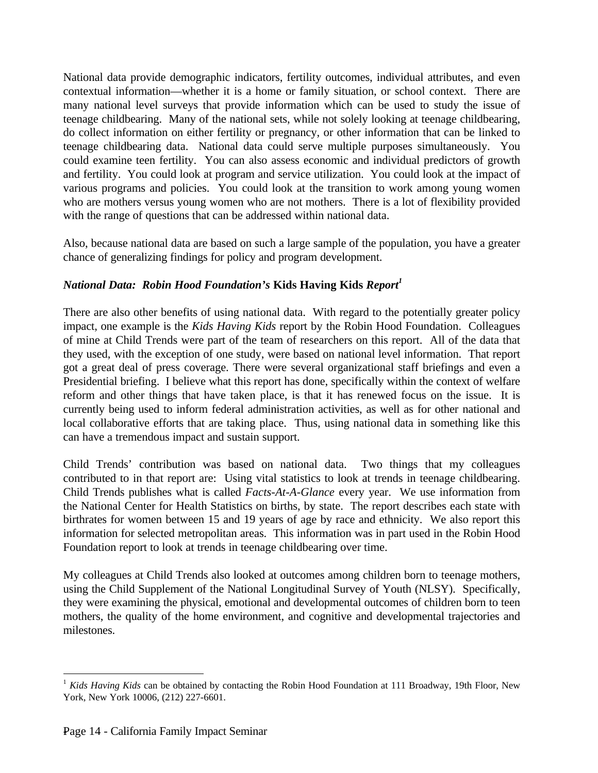National data provide demographic indicators, fertility outcomes, individual attributes, and even contextual information—whether it is a home or family situation, or school context. There are many national level surveys that provide information which can be used to study the issue of teenage childbearing. Many of the national sets, while not solely looking at teenage childbearing, do collect information on either fertility or pregnancy, or other information that can be linked to teenage childbearing data. National data could serve multiple purposes simultaneously. You could examine teen fertility. You can also assess economic and individual predictors of growth and fertility. You could look at program and service utilization. You could look at the impact of various programs and policies. You could look at the transition to work among young women who are mothers versus young women who are not mothers. There is a lot of flexibility provided with the range of questions that can be addressed within national data.

Also, because national data are based on such a large sample of the population, you have a greater chance of generalizing findings for policy and program development.

#### *National Data: Robin Hood Foundation's* **Kids Having Kids** *Report<sup>1</sup>*

There are also other benefits of using national data. With regard to the potentially greater policy impact, one example is the *Kids Having Kids* report by the Robin Hood Foundation. Colleagues of mine at Child Trends were part of the team of researchers on this report. All of the data that they used, with the exception of one study, were based on national level information. That report got a great deal of press coverage. There were several organizational staff briefings and even a Presidential briefing. I believe what this report has done, specifically within the context of welfare reform and other things that have taken place, is that it has renewed focus on the issue. It is currently being used to inform federal administration activities, as well as for other national and local collaborative efforts that are taking place. Thus, using national data in something like this can have a tremendous impact and sustain support.

Child Trends' contribution was based on national data. Two things that my colleagues contributed to in that report are: Using vital statistics to look at trends in teenage childbearing. Child Trends publishes what is called *Facts-At-A-Glance* every year. We use information from the National Center for Health Statistics on births, by state. The report describes each state with birthrates for women between 15 and 19 years of age by race and ethnicity. We also report this information for selected metropolitan areas. This information was in part used in the Robin Hood Foundation report to look at trends in teenage childbearing over time.

My colleagues at Child Trends also looked at outcomes among children born to teenage mothers, using the Child Supplement of the National Longitudinal Survey of Youth (NLSY). Specifically, they were examining the physical, emotional and developmental outcomes of children born to teen mothers, the quality of the home environment, and cognitive and developmental trajectories and milestones.

 $\overline{a}$ 

<sup>&</sup>lt;sup>1</sup> *Kids Having Kids* can be obtained by contacting the Robin Hood Foundation at 111 Broadway, 19th Floor, New York, New York 10006, (212) 227-6601.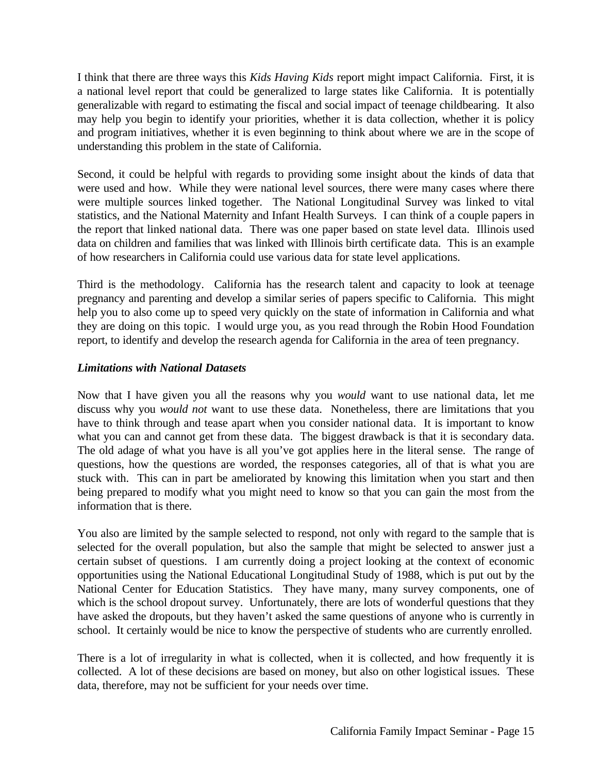I think that there are three ways this *Kids Having Kids* report might impact California. First, it is a national level report that could be generalized to large states like California. It is potentially generalizable with regard to estimating the fiscal and social impact of teenage childbearing. It also may help you begin to identify your priorities, whether it is data collection, whether it is policy and program initiatives, whether it is even beginning to think about where we are in the scope of understanding this problem in the state of California.

Second, it could be helpful with regards to providing some insight about the kinds of data that were used and how. While they were national level sources, there were many cases where there were multiple sources linked together. The National Longitudinal Survey was linked to vital statistics, and the National Maternity and Infant Health Surveys. I can think of a couple papers in the report that linked national data. There was one paper based on state level data. Illinois used data on children and families that was linked with Illinois birth certificate data. This is an example of how researchers in California could use various data for state level applications.

Third is the methodology. California has the research talent and capacity to look at teenage pregnancy and parenting and develop a similar series of papers specific to California. This might help you to also come up to speed very quickly on the state of information in California and what they are doing on this topic. I would urge you, as you read through the Robin Hood Foundation report, to identify and develop the research agenda for California in the area of teen pregnancy.

#### *Limitations with National Datasets*

Now that I have given you all the reasons why you *would* want to use national data, let me discuss why you *would not* want to use these data. Nonetheless, there are limitations that you have to think through and tease apart when you consider national data. It is important to know what you can and cannot get from these data. The biggest drawback is that it is secondary data. The old adage of what you have is all you've got applies here in the literal sense. The range of questions, how the questions are worded, the responses categories, all of that is what you are stuck with. This can in part be ameliorated by knowing this limitation when you start and then being prepared to modify what you might need to know so that you can gain the most from the information that is there.

You also are limited by the sample selected to respond, not only with regard to the sample that is selected for the overall population, but also the sample that might be selected to answer just a certain subset of questions. I am currently doing a project looking at the context of economic opportunities using the National Educational Longitudinal Study of 1988, which is put out by the National Center for Education Statistics. They have many, many survey components, one of which is the school dropout survey. Unfortunately, there are lots of wonderful questions that they have asked the dropouts, but they haven't asked the same questions of anyone who is currently in school. It certainly would be nice to know the perspective of students who are currently enrolled.

There is a lot of irregularity in what is collected, when it is collected, and how frequently it is collected. A lot of these decisions are based on money, but also on other logistical issues. These data, therefore, may not be sufficient for your needs over time.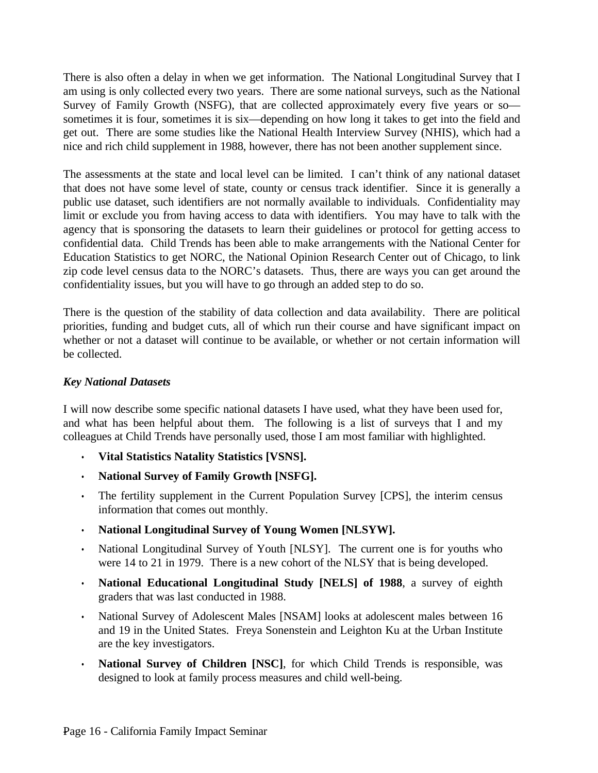There is also often a delay in when we get information. The National Longitudinal Survey that I am using is only collected every two years. There are some national surveys, such as the National Survey of Family Growth (NSFG), that are collected approximately every five years or so sometimes it is four, sometimes it is six—depending on how long it takes to get into the field and get out. There are some studies like the National Health Interview Survey (NHIS), which had a nice and rich child supplement in 1988, however, there has not been another supplement since.

The assessments at the state and local level can be limited. I can't think of any national dataset that does not have some level of state, county or census track identifier. Since it is generally a public use dataset, such identifiers are not normally available to individuals. Confidentiality may limit or exclude you from having access to data with identifiers. You may have to talk with the agency that is sponsoring the datasets to learn their guidelines or protocol for getting access to confidential data. Child Trends has been able to make arrangements with the National Center for Education Statistics to get NORC, the National Opinion Research Center out of Chicago, to link zip code level census data to the NORC's datasets. Thus, there are ways you can get around the confidentiality issues, but you will have to go through an added step to do so.

There is the question of the stability of data collection and data availability. There are political priorities, funding and budget cuts, all of which run their course and have significant impact on whether or not a dataset will continue to be available, or whether or not certain information will be collected.

#### *Key National Datasets*

I will now describe some specific national datasets I have used, what they have been used for, and what has been helpful about them. The following is a list of surveys that I and my colleagues at Child Trends have personally used, those I am most familiar with highlighted.

- **Vital Statistics Natality Statistics [VSNS].**
- **National Survey of Family Growth [NSFG].**
- The fertility supplement in the Current Population Survey [CPS], the interim census information that comes out monthly.
- **National Longitudinal Survey of Young Women [NLSYW].**
- National Longitudinal Survey of Youth [NLSY]. The current one is for youths who were 14 to 21 in 1979. There is a new cohort of the NLSY that is being developed.
- **National Educational Longitudinal Study [NELS] of 1988**, a survey of eighth graders that was last conducted in 1988.
- National Survey of Adolescent Males [NSAM] looks at adolescent males between 16 and 19 in the United States. Freya Sonenstein and Leighton Ku at the Urban Institute are the key investigators.
- **National Survey of Children [NSC]**, for which Child Trends is responsible, was designed to look at family process measures and child well-being.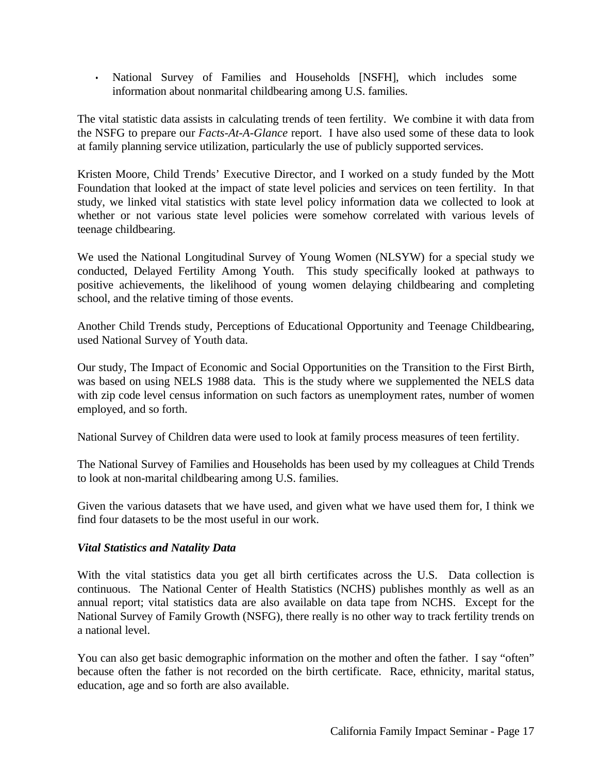• National Survey of Families and Households [NSFH], which includes some information about nonmarital childbearing among U.S. families.

The vital statistic data assists in calculating trends of teen fertility. We combine it with data from the NSFG to prepare our *Facts-At-A-Glance* report. I have also used some of these data to look at family planning service utilization, particularly the use of publicly supported services.

Kristen Moore, Child Trends' Executive Director, and I worked on a study funded by the Mott Foundation that looked at the impact of state level policies and services on teen fertility. In that study, we linked vital statistics with state level policy information data we collected to look at whether or not various state level policies were somehow correlated with various levels of teenage childbearing.

We used the National Longitudinal Survey of Young Women (NLSYW) for a special study we conducted, Delayed Fertility Among Youth. This study specifically looked at pathways to positive achievements, the likelihood of young women delaying childbearing and completing school, and the relative timing of those events.

Another Child Trends study, Perceptions of Educational Opportunity and Teenage Childbearing, used National Survey of Youth data.

Our study, The Impact of Economic and Social Opportunities on the Transition to the First Birth, was based on using NELS 1988 data. This is the study where we supplemented the NELS data with zip code level census information on such factors as unemployment rates, number of women employed, and so forth.

National Survey of Children data were used to look at family process measures of teen fertility.

The National Survey of Families and Households has been used by my colleagues at Child Trends to look at non-marital childbearing among U.S. families.

Given the various datasets that we have used, and given what we have used them for, I think we find four datasets to be the most useful in our work.

#### *Vital Statistics and Natality Data*

With the vital statistics data you get all birth certificates across the U.S. Data collection is continuous. The National Center of Health Statistics (NCHS) publishes monthly as well as an annual report; vital statistics data are also available on data tape from NCHS. Except for the National Survey of Family Growth (NSFG), there really is no other way to track fertility trends on a national level.

You can also get basic demographic information on the mother and often the father. I say "often" because often the father is not recorded on the birth certificate. Race, ethnicity, marital status, education, age and so forth are also available.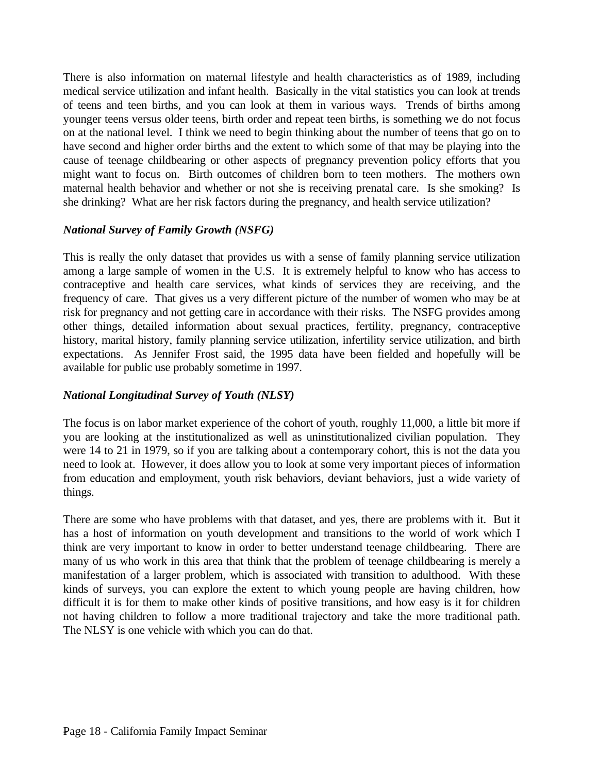There is also information on maternal lifestyle and health characteristics as of 1989, including medical service utilization and infant health. Basically in the vital statistics you can look at trends of teens and teen births, and you can look at them in various ways. Trends of births among younger teens versus older teens, birth order and repeat teen births, is something we do not focus on at the national level. I think we need to begin thinking about the number of teens that go on to have second and higher order births and the extent to which some of that may be playing into the cause of teenage childbearing or other aspects of pregnancy prevention policy efforts that you might want to focus on. Birth outcomes of children born to teen mothers. The mothers own maternal health behavior and whether or not she is receiving prenatal care. Is she smoking? Is she drinking? What are her risk factors during the pregnancy, and health service utilization?

#### *National Survey of Family Growth (NSFG)*

This is really the only dataset that provides us with a sense of family planning service utilization among a large sample of women in the U.S. It is extremely helpful to know who has access to contraceptive and health care services, what kinds of services they are receiving, and the frequency of care. That gives us a very different picture of the number of women who may be at risk for pregnancy and not getting care in accordance with their risks. The NSFG provides among other things, detailed information about sexual practices, fertility, pregnancy, contraceptive history, marital history, family planning service utilization, infertility service utilization, and birth expectations. As Jennifer Frost said, the 1995 data have been fielded and hopefully will be available for public use probably sometime in 1997.

#### *National Longitudinal Survey of Youth (NLSY)*

The focus is on labor market experience of the cohort of youth, roughly 11,000, a little bit more if you are looking at the institutionalized as well as uninstitutionalized civilian population. They were 14 to 21 in 1979, so if you are talking about a contemporary cohort, this is not the data you need to look at. However, it does allow you to look at some very important pieces of information from education and employment, youth risk behaviors, deviant behaviors, just a wide variety of things.

There are some who have problems with that dataset, and yes, there are problems with it. But it has a host of information on youth development and transitions to the world of work which I think are very important to know in order to better understand teenage childbearing. There are many of us who work in this area that think that the problem of teenage childbearing is merely a manifestation of a larger problem, which is associated with transition to adulthood. With these kinds of surveys, you can explore the extent to which young people are having children, how difficult it is for them to make other kinds of positive transitions, and how easy is it for children not having children to follow a more traditional trajectory and take the more traditional path. The NLSY is one vehicle with which you can do that.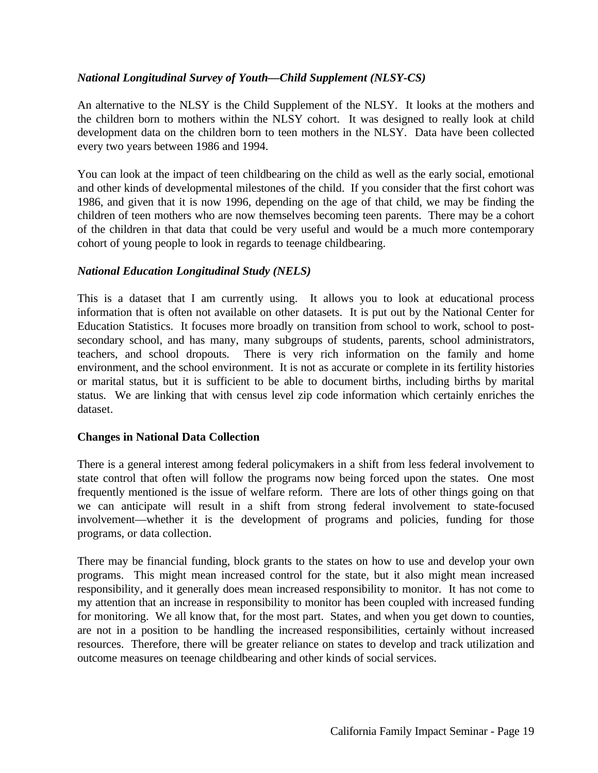#### *National Longitudinal Survey of Youth—Child Supplement (NLSY-CS)*

An alternative to the NLSY is the Child Supplement of the NLSY. It looks at the mothers and the children born to mothers within the NLSY cohort. It was designed to really look at child development data on the children born to teen mothers in the NLSY. Data have been collected every two years between 1986 and 1994.

You can look at the impact of teen childbearing on the child as well as the early social, emotional and other kinds of developmental milestones of the child. If you consider that the first cohort was 1986, and given that it is now 1996, depending on the age of that child, we may be finding the children of teen mothers who are now themselves becoming teen parents. There may be a cohort of the children in that data that could be very useful and would be a much more contemporary cohort of young people to look in regards to teenage childbearing.

#### *National Education Longitudinal Study (NELS)*

This is a dataset that I am currently using. It allows you to look at educational process information that is often not available on other datasets. It is put out by the National Center for Education Statistics. It focuses more broadly on transition from school to work, school to postsecondary school, and has many, many subgroups of students, parents, school administrators, teachers, and school dropouts. There is very rich information on the family and home environment, and the school environment. It is not as accurate or complete in its fertility histories or marital status, but it is sufficient to be able to document births, including births by marital status. We are linking that with census level zip code information which certainly enriches the dataset.

#### **Changes in National Data Collection**

There is a general interest among federal policymakers in a shift from less federal involvement to state control that often will follow the programs now being forced upon the states. One most frequently mentioned is the issue of welfare reform. There are lots of other things going on that we can anticipate will result in a shift from strong federal involvement to state-focused involvement—whether it is the development of programs and policies, funding for those programs, or data collection.

There may be financial funding, block grants to the states on how to use and develop your own programs. This might mean increased control for the state, but it also might mean increased responsibility, and it generally does mean increased responsibility to monitor. It has not come to my attention that an increase in responsibility to monitor has been coupled with increased funding for monitoring. We all know that, for the most part. States, and when you get down to counties, are not in a position to be handling the increased responsibilities, certainly without increased resources. Therefore, there will be greater reliance on states to develop and track utilization and outcome measures on teenage childbearing and other kinds of social services.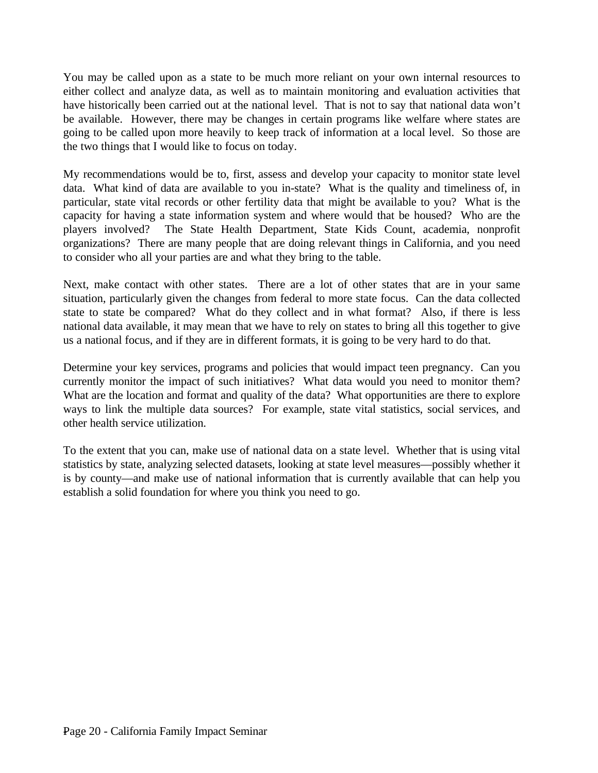You may be called upon as a state to be much more reliant on your own internal resources to either collect and analyze data, as well as to maintain monitoring and evaluation activities that have historically been carried out at the national level. That is not to say that national data won't be available. However, there may be changes in certain programs like welfare where states are going to be called upon more heavily to keep track of information at a local level. So those are the two things that I would like to focus on today.

My recommendations would be to, first, assess and develop your capacity to monitor state level data. What kind of data are available to you in-state? What is the quality and timeliness of, in particular, state vital records or other fertility data that might be available to you? What is the capacity for having a state information system and where would that be housed? Who are the players involved? The State Health Department, State Kids Count, academia, nonprofit organizations? There are many people that are doing relevant things in California, and you need to consider who all your parties are and what they bring to the table.

Next, make contact with other states. There are a lot of other states that are in your same situation, particularly given the changes from federal to more state focus. Can the data collected state to state be compared? What do they collect and in what format? Also, if there is less national data available, it may mean that we have to rely on states to bring all this together to give us a national focus, and if they are in different formats, it is going to be very hard to do that.

Determine your key services, programs and policies that would impact teen pregnancy. Can you currently monitor the impact of such initiatives? What data would you need to monitor them? What are the location and format and quality of the data? What opportunities are there to explore ways to link the multiple data sources? For example, state vital statistics, social services, and other health service utilization.

To the extent that you can, make use of national data on a state level. Whether that is using vital statistics by state, analyzing selected datasets, looking at state level measures—possibly whether it is by county—and make use of national information that is currently available that can help you establish a solid foundation for where you think you need to go.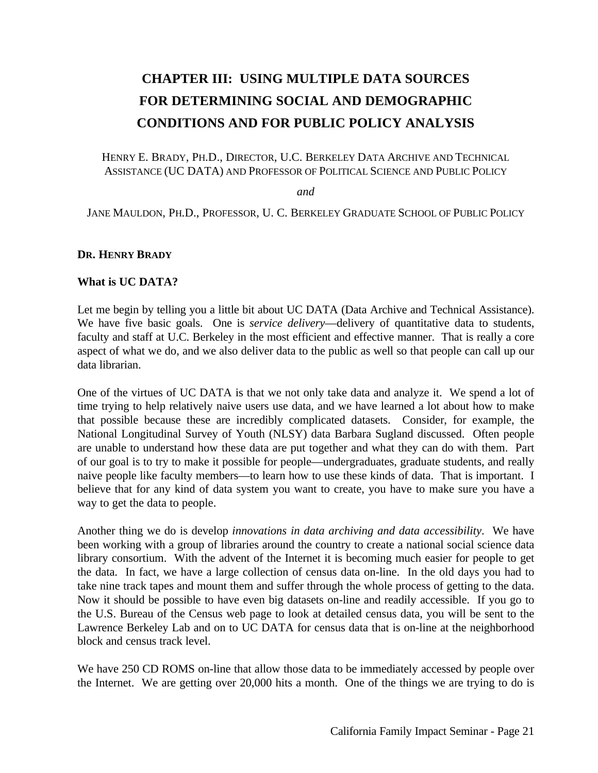# **CHAPTER III: USING MULTIPLE DATA SOURCES FOR DETERMINING SOCIAL AND DEMOGRAPHIC CONDITIONS AND FOR PUBLIC POLICY ANALYSIS**

#### HENRY E. BRADY, PH.D., DIRECTOR, U.C. BERKELEY DATA ARCHIVE AND TECHNICAL ASSISTANCE (UC DATA) AND PROFESSOR OF POLITICAL SCIENCE AND PUBLIC POLICY

*and*

JANE MAULDON, PH.D., PROFESSOR, U. C. BERKELEY GRADUATE SCHOOL OF PUBLIC POLICY

#### **DR. HENRY BRADY**

#### **What is UC DATA?**

Let me begin by telling you a little bit about UC DATA (Data Archive and Technical Assistance). We have five basic goals. One is *service delivery*—delivery of quantitative data to students, faculty and staff at U.C. Berkeley in the most efficient and effective manner. That is really a core aspect of what we do, and we also deliver data to the public as well so that people can call up our data librarian.

One of the virtues of UC DATA is that we not only take data and analyze it. We spend a lot of time trying to help relatively naive users use data, and we have learned a lot about how to make that possible because these are incredibly complicated datasets. Consider, for example, the National Longitudinal Survey of Youth (NLSY) data Barbara Sugland discussed. Often people are unable to understand how these data are put together and what they can do with them. Part of our goal is to try to make it possible for people—undergraduates, graduate students, and really naive people like faculty members—to learn how to use these kinds of data. That is important. I believe that for any kind of data system you want to create, you have to make sure you have a way to get the data to people.

Another thing we do is develop *innovations in data archiving and data accessibility*. We have been working with a group of libraries around the country to create a national social science data library consortium. With the advent of the Internet it is becoming much easier for people to get the data. In fact, we have a large collection of census data on-line. In the old days you had to take nine track tapes and mount them and suffer through the whole process of getting to the data. Now it should be possible to have even big datasets on-line and readily accessible. If you go to the U.S. Bureau of the Census web page to look at detailed census data, you will be sent to the Lawrence Berkeley Lab and on to UC DATA for census data that is on-line at the neighborhood block and census track level.

We have 250 CD ROMS on-line that allow those data to be immediately accessed by people over the Internet. We are getting over 20,000 hits a month. One of the things we are trying to do is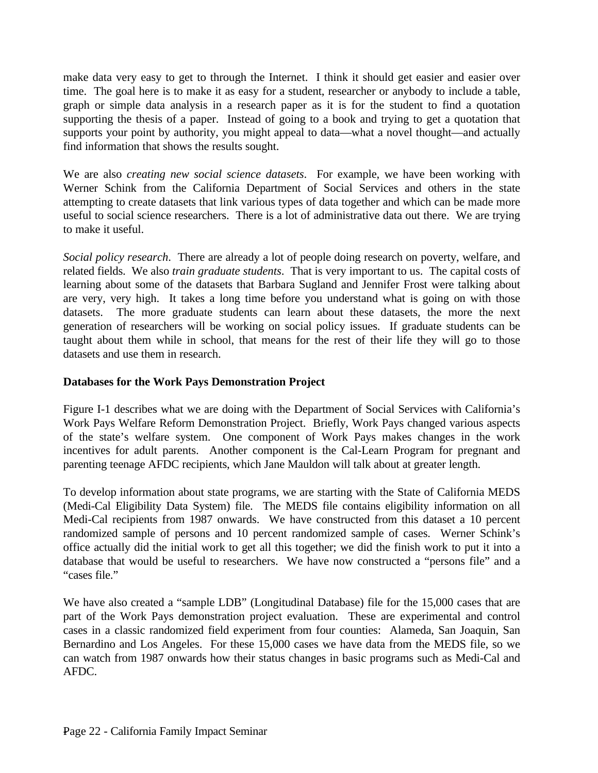make data very easy to get to through the Internet. I think it should get easier and easier over time. The goal here is to make it as easy for a student, researcher or anybody to include a table, graph or simple data analysis in a research paper as it is for the student to find a quotation supporting the thesis of a paper. Instead of going to a book and trying to get a quotation that supports your point by authority, you might appeal to data—what a novel thought—and actually find information that shows the results sought.

We are also *creating new social science datasets*. For example, we have been working with Werner Schink from the California Department of Social Services and others in the state attempting to create datasets that link various types of data together and which can be made more useful to social science researchers. There is a lot of administrative data out there. We are trying to make it useful.

*Social policy research*. There are already a lot of people doing research on poverty, welfare, and related fields. We also *train graduate students*. That is very important to us. The capital costs of learning about some of the datasets that Barbara Sugland and Jennifer Frost were talking about are very, very high. It takes a long time before you understand what is going on with those datasets. The more graduate students can learn about these datasets, the more the next generation of researchers will be working on social policy issues. If graduate students can be taught about them while in school, that means for the rest of their life they will go to those datasets and use them in research.

#### **Databases for the Work Pays Demonstration Project**

Figure I-1 describes what we are doing with the Department of Social Services with California's Work Pays Welfare Reform Demonstration Project. Briefly, Work Pays changed various aspects of the state's welfare system. One component of Work Pays makes changes in the work incentives for adult parents. Another component is the Cal-Learn Program for pregnant and parenting teenage AFDC recipients, which Jane Mauldon will talk about at greater length.

To develop information about state programs, we are starting with the State of California MEDS (Medi-Cal Eligibility Data System) file. The MEDS file contains eligibility information on all Medi-Cal recipients from 1987 onwards. We have constructed from this dataset a 10 percent randomized sample of persons and 10 percent randomized sample of cases. Werner Schink's office actually did the initial work to get all this together; we did the finish work to put it into a database that would be useful to researchers. We have now constructed a "persons file" and a "cases file."

We have also created a "sample LDB" (Longitudinal Database) file for the 15,000 cases that are part of the Work Pays demonstration project evaluation. These are experimental and control cases in a classic randomized field experiment from four counties: Alameda, San Joaquin, San Bernardino and Los Angeles. For these 15,000 cases we have data from the MEDS file, so we can watch from 1987 onwards how their status changes in basic programs such as Medi-Cal and AFDC.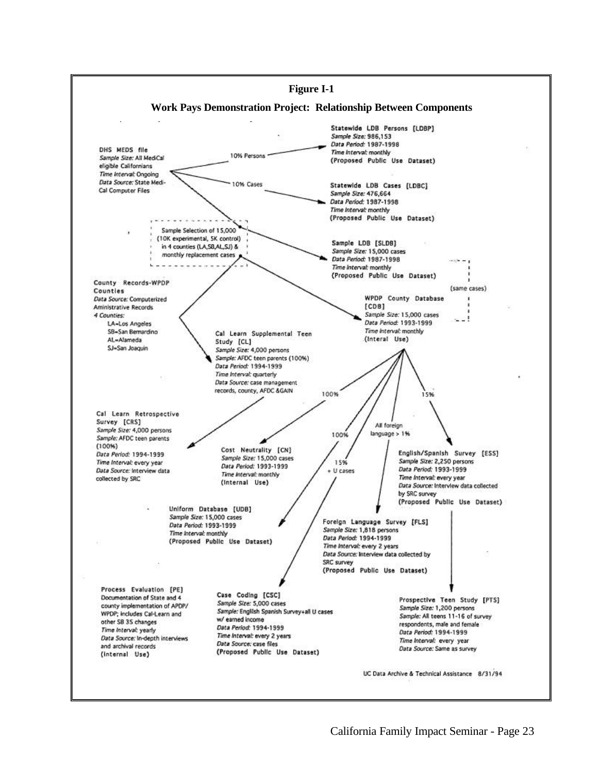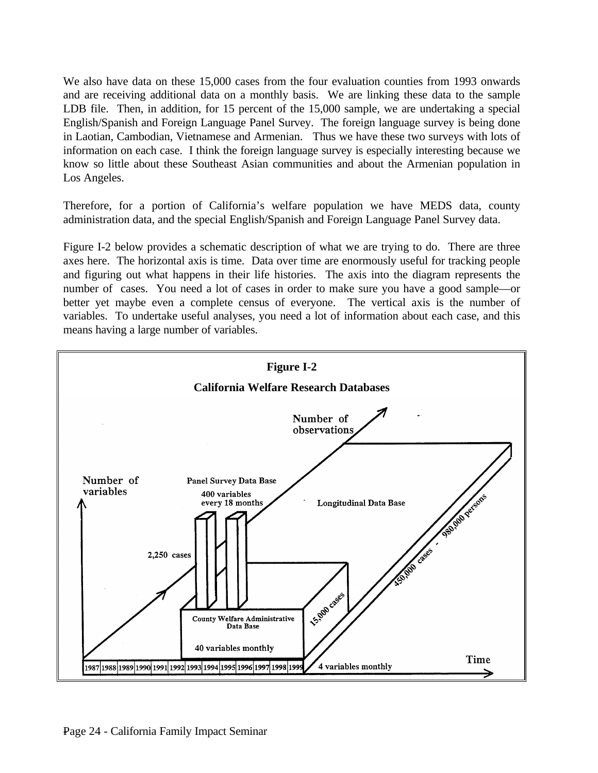We also have data on these 15,000 cases from the four evaluation counties from 1993 onwards and are receiving additional data on a monthly basis. We are linking these data to the sample LDB file. Then, in addition, for 15 percent of the 15,000 sample, we are undertaking a special English/Spanish and Foreign Language Panel Survey. The foreign language survey is being done in Laotian, Cambodian, Vietnamese and Armenian. Thus we have these two surveys with lots of information on each case. I think the foreign language survey is especially interesting because we know so little about these Southeast Asian communities and about the Armenian population in Los Angeles.

Therefore, for a portion of California's welfare population we have MEDS data, county administration data, and the special English/Spanish and Foreign Language Panel Survey data.

Figure I-2 below provides a schematic description of what we are trying to do. There are three axes here. The horizontal axis is time. Data over time are enormously useful for tracking people and figuring out what happens in their life histories. The axis into the diagram represents the number of cases. You need a lot of cases in order to make sure you have a good sample—or better yet maybe even a complete census of everyone. The vertical axis is the number of variables. To undertake useful analyses, you need a lot of information about each case, and this means having a large number of variables.

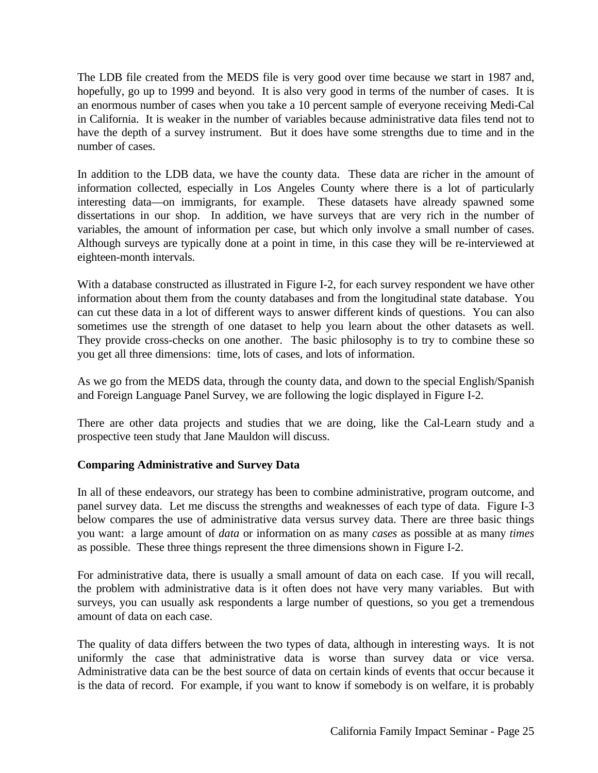The LDB file created from the MEDS file is very good over time because we start in 1987 and, hopefully, go up to 1999 and beyond. It is also very good in terms of the number of cases. It is an enormous number of cases when you take a 10 percent sample of everyone receiving Medi-Cal in California. It is weaker in the number of variables because administrative data files tend not to have the depth of a survey instrument. But it does have some strengths due to time and in the number of cases.

In addition to the LDB data, we have the county data. These data are richer in the amount of information collected, especially in Los Angeles County where there is a lot of particularly interesting data—on immigrants, for example. These datasets have already spawned some dissertations in our shop. In addition, we have surveys that are very rich in the number of variables, the amount of information per case, but which only involve a small number of cases. Although surveys are typically done at a point in time, in this case they will be re-interviewed at eighteen-month intervals.

With a database constructed as illustrated in Figure I-2, for each survey respondent we have other information about them from the county databases and from the longitudinal state database. You can cut these data in a lot of different ways to answer different kinds of questions. You can also sometimes use the strength of one dataset to help you learn about the other datasets as well. They provide cross-checks on one another. The basic philosophy is to try to combine these so you get all three dimensions: time, lots of cases, and lots of information.

As we go from the MEDS data, through the county data, and down to the special English/Spanish and Foreign Language Panel Survey, we are following the logic displayed in Figure I-2.

There are other data projects and studies that we are doing, like the Cal-Learn study and a prospective teen study that Jane Mauldon will discuss.

#### **Comparing Administrative and Survey Data**

In all of these endeavors, our strategy has been to combine administrative, program outcome, and panel survey data. Let me discuss the strengths and weaknesses of each type of data. Figure I-3 below compares the use of administrative data versus survey data. There are three basic things you want: a large amount of *data* or information on as many *cases* as possible at as many *times* as possible. These three things represent the three dimensions shown in Figure I-2.

For administrative data, there is usually a small amount of data on each case. If you will recall, the problem with administrative data is it often does not have very many variables. But with surveys, you can usually ask respondents a large number of questions, so you get a tremendous amount of data on each case.

The quality of data differs between the two types of data, although in interesting ways. It is not uniformly the case that administrative data is worse than survey data or vice versa. Administrative data can be the best source of data on certain kinds of events that occur because it is the data of record. For example, if you want to know if somebody is on welfare, it is probably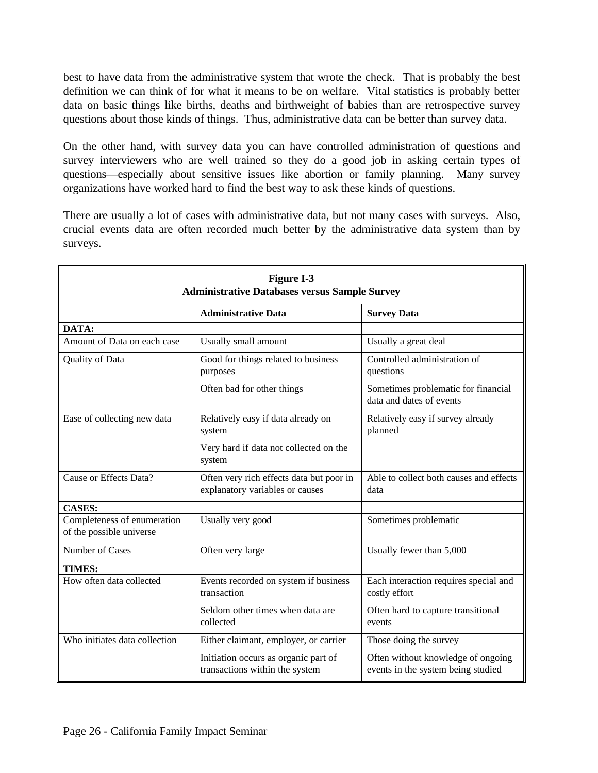best to have data from the administrative system that wrote the check. That is probably the best definition we can think of for what it means to be on welfare. Vital statistics is probably better data on basic things like births, deaths and birthweight of babies than are retrospective survey questions about those kinds of things. Thus, administrative data can be better than survey data.

On the other hand, with survey data you can have controlled administration of questions and survey interviewers who are well trained so they do a good job in asking certain types of questions—especially about sensitive issues like abortion or family planning. Many survey organizations have worked hard to find the best way to ask these kinds of questions.

There are usually a lot of cases with administrative data, but not many cases with surveys. Also, crucial events data are often recorded much better by the administrative data system than by surveys.

| <b>Figure I-3</b><br><b>Administrative Databases versus Sample Survey</b> |                                                                             |                                                                          |  |  |  |
|---------------------------------------------------------------------------|-----------------------------------------------------------------------------|--------------------------------------------------------------------------|--|--|--|
|                                                                           | <b>Administrative Data</b>                                                  | <b>Survey Data</b>                                                       |  |  |  |
| DATA:                                                                     |                                                                             |                                                                          |  |  |  |
| Amount of Data on each case                                               | Usually small amount                                                        | Usually a great deal                                                     |  |  |  |
| Quality of Data                                                           | Good for things related to business<br>purposes                             | Controlled administration of<br>questions                                |  |  |  |
|                                                                           | Often bad for other things                                                  | Sometimes problematic for financial<br>data and dates of events          |  |  |  |
| Ease of collecting new data                                               | Relatively easy if data already on<br>system                                | Relatively easy if survey already<br>planned                             |  |  |  |
|                                                                           | Very hard if data not collected on the<br>system                            |                                                                          |  |  |  |
| Cause or Effects Data?                                                    | Often very rich effects data but poor in<br>explanatory variables or causes | Able to collect both causes and effects<br>data                          |  |  |  |
| <b>CASES:</b>                                                             |                                                                             |                                                                          |  |  |  |
| Completeness of enumeration<br>of the possible universe                   | Usually very good                                                           | Sometimes problematic                                                    |  |  |  |
| Number of Cases                                                           | Often very large                                                            | Usually fewer than 5,000                                                 |  |  |  |
| TIMES:                                                                    |                                                                             |                                                                          |  |  |  |
| How often data collected                                                  | Events recorded on system if business<br>transaction                        | Each interaction requires special and<br>costly effort                   |  |  |  |
|                                                                           | Seldom other times when data are<br>collected                               | Often hard to capture transitional<br>events                             |  |  |  |
| Who initiates data collection                                             | Either claimant, employer, or carrier                                       | Those doing the survey                                                   |  |  |  |
|                                                                           | Initiation occurs as organic part of<br>transactions within the system      | Often without knowledge of ongoing<br>events in the system being studied |  |  |  |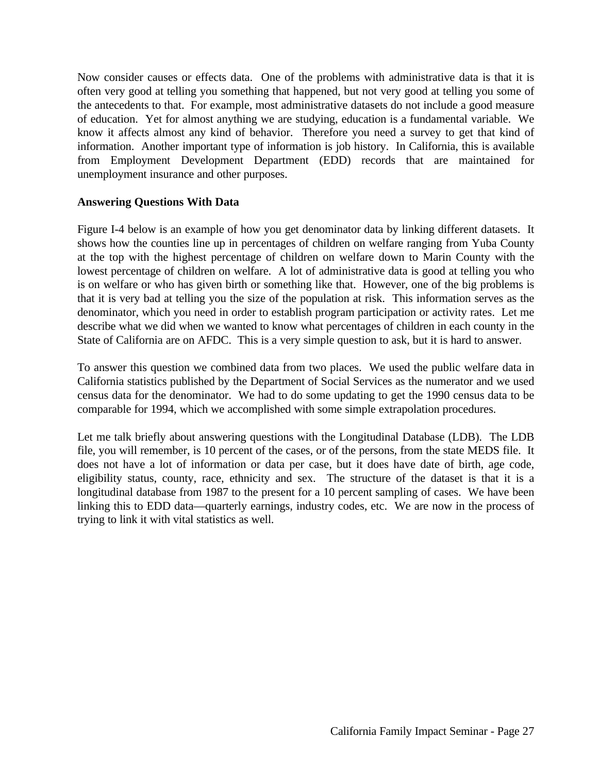Now consider causes or effects data. One of the problems with administrative data is that it is often very good at telling you something that happened, but not very good at telling you some of the antecedents to that. For example, most administrative datasets do not include a good measure of education. Yet for almost anything we are studying, education is a fundamental variable. We know it affects almost any kind of behavior. Therefore you need a survey to get that kind of information. Another important type of information is job history. In California, this is available from Employment Development Department (EDD) records that are maintained for unemployment insurance and other purposes.

# **Answering Questions With Data**

Figure I-4 below is an example of how you get denominator data by linking different datasets. It shows how the counties line up in percentages of children on welfare ranging from Yuba County at the top with the highest percentage of children on welfare down to Marin County with the lowest percentage of children on welfare. A lot of administrative data is good at telling you who is on welfare or who has given birth or something like that. However, one of the big problems is that it is very bad at telling you the size of the population at risk. This information serves as the denominator, which you need in order to establish program participation or activity rates. Let me describe what we did when we wanted to know what percentages of children in each county in the State of California are on AFDC. This is a very simple question to ask, but it is hard to answer.

To answer this question we combined data from two places. We used the public welfare data in California statistics published by the Department of Social Services as the numerator and we used census data for the denominator. We had to do some updating to get the 1990 census data to be comparable for 1994, which we accomplished with some simple extrapolation procedures.

Let me talk briefly about answering questions with the Longitudinal Database (LDB). The LDB file, you will remember, is 10 percent of the cases, or of the persons, from the state MEDS file. It does not have a lot of information or data per case, but it does have date of birth, age code, eligibility status, county, race, ethnicity and sex. The structure of the dataset is that it is a longitudinal database from 1987 to the present for a 10 percent sampling of cases. We have been linking this to EDD data—quarterly earnings, industry codes, etc. We are now in the process of trying to link it with vital statistics as well.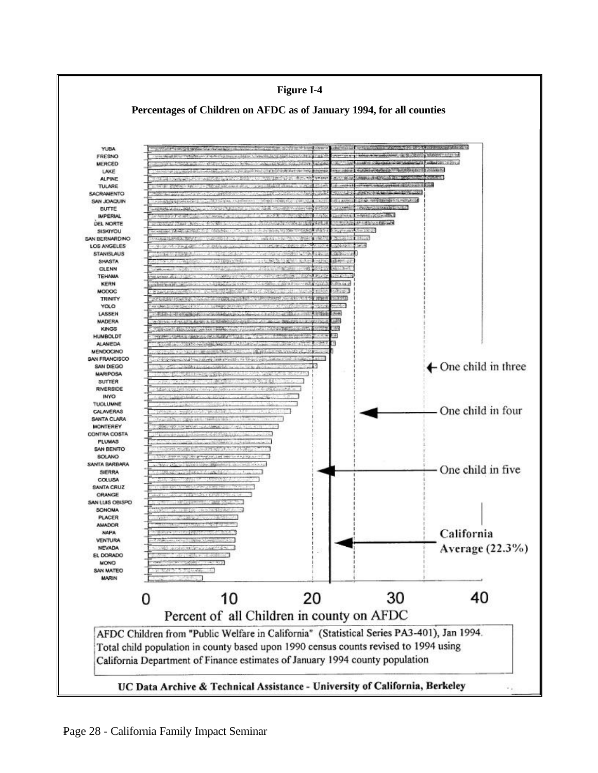

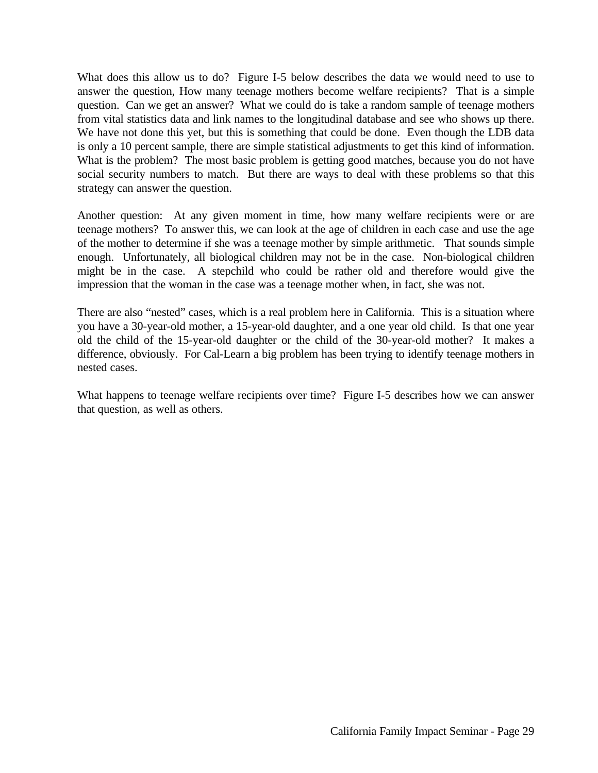What does this allow us to do? Figure I-5 below describes the data we would need to use to answer the question, How many teenage mothers become welfare recipients? That is a simple question. Can we get an answer? What we could do is take a random sample of teenage mothers from vital statistics data and link names to the longitudinal database and see who shows up there. We have not done this yet, but this is something that could be done. Even though the LDB data is only a 10 percent sample, there are simple statistical adjustments to get this kind of information. What is the problem? The most basic problem is getting good matches, because you do not have social security numbers to match. But there are ways to deal with these problems so that this strategy can answer the question.

Another question: At any given moment in time, how many welfare recipients were or are teenage mothers? To answer this, we can look at the age of children in each case and use the age of the mother to determine if she was a teenage mother by simple arithmetic. That sounds simple enough. Unfortunately, all biological children may not be in the case. Non-biological children might be in the case. A stepchild who could be rather old and therefore would give the impression that the woman in the case was a teenage mother when, in fact, she was not.

There are also "nested" cases, which is a real problem here in California. This is a situation where you have a 30-year-old mother, a 15-year-old daughter, and a one year old child. Is that one year old the child of the 15-year-old daughter or the child of the 30-year-old mother? It makes a difference, obviously. For Cal-Learn a big problem has been trying to identify teenage mothers in nested cases.

What happens to teenage welfare recipients over time? Figure I-5 describes how we can answer that question, as well as others.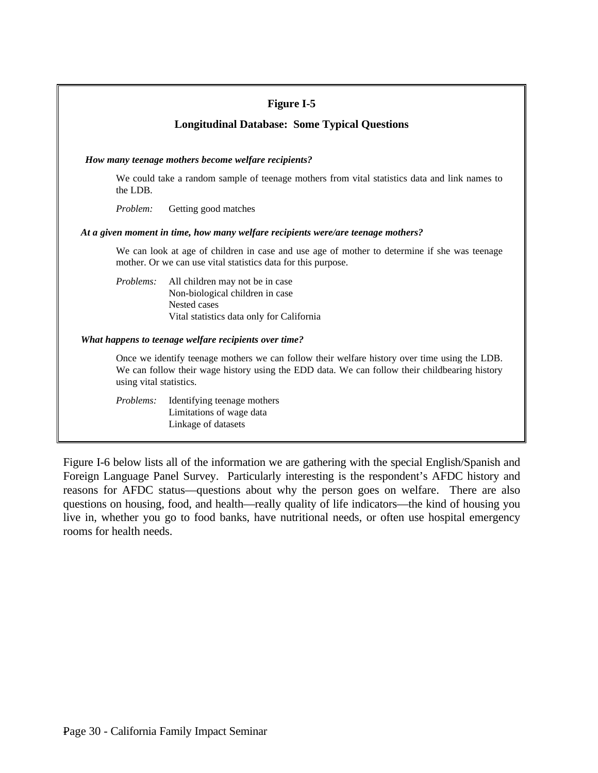# **Figure I-5 Longitudinal Database: Some Typical Questions** *How many teenage mothers become welfare recipients?* We could take a random sample of teenage mothers from vital statistics data and link names to the LDB. *Problem:* Getting good matches *At a given moment in time, how many welfare recipients were/are teenage mothers?* We can look at age of children in case and use age of mother to determine if she was teenage mother. Or we can use vital statistics data for this purpose. *Problems:* All children may not be in case Non-biological children in case Nested cases Vital statistics data only for California *What happens to teenage welfare recipients over time?* Once we identify teenage mothers we can follow their welfare history over time using the LDB. We can follow their wage history using the EDD data. We can follow their childbearing history using vital statistics. *Problems:* Identifying teenage mothers Limitations of wage data Linkage of datasets

Figure I-6 below lists all of the information we are gathering with the special English/Spanish and Foreign Language Panel Survey. Particularly interesting is the respondent's AFDC history and reasons for AFDC status—questions about why the person goes on welfare. There are also questions on housing, food, and health—really quality of life indicators—the kind of housing you live in, whether you go to food banks, have nutritional needs, or often use hospital emergency rooms for health needs.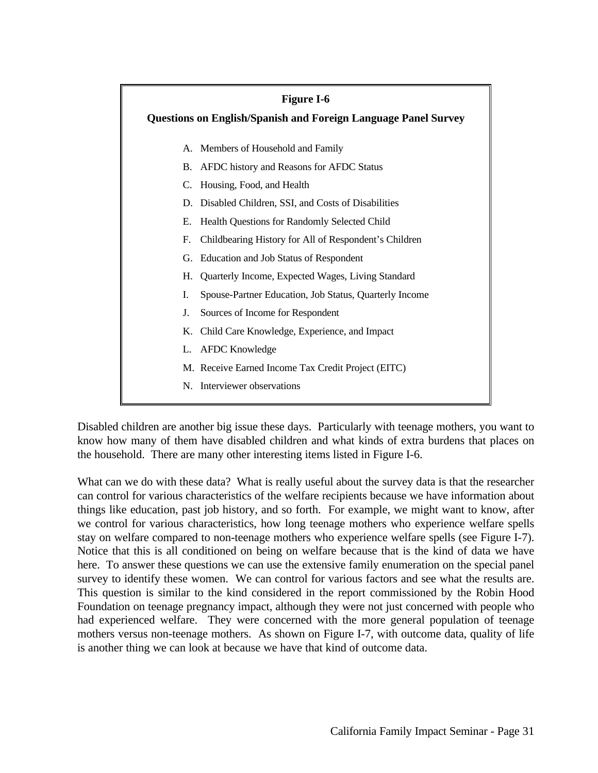# **Figure I-6 Questions on English/Spanish and Foreign Language Panel Survey** A. Members of Household and Family B. AFDC history and Reasons for AFDC Status C. Housing, Food, and Health D. Disabled Children, SSI, and Costs of Disabilities E. Health Questions for Randomly Selected Child F. Childbearing History for All of Respondent's Children G. Education and Job Status of Respondent H. Quarterly Income, Expected Wages, Living Standard I. Spouse-Partner Education, Job Status, Quarterly Income J. Sources of Income for Respondent K. Child Care Knowledge, Experience, and Impact L. AFDC Knowledge M. Receive Earned Income Tax Credit Project (EITC) N. Interviewer observations

Disabled children are another big issue these days. Particularly with teenage mothers, you want to know how many of them have disabled children and what kinds of extra burdens that places on the household. There are many other interesting items listed in Figure I-6.

What can we do with these data? What is really useful about the survey data is that the researcher can control for various characteristics of the welfare recipients because we have information about things like education, past job history, and so forth. For example, we might want to know, after we control for various characteristics, how long teenage mothers who experience welfare spells stay on welfare compared to non-teenage mothers who experience welfare spells (see Figure I-7). Notice that this is all conditioned on being on welfare because that is the kind of data we have here. To answer these questions we can use the extensive family enumeration on the special panel survey to identify these women. We can control for various factors and see what the results are. This question is similar to the kind considered in the report commissioned by the Robin Hood Foundation on teenage pregnancy impact, although they were not just concerned with people who had experienced welfare. They were concerned with the more general population of teenage mothers versus non-teenage mothers. As shown on Figure I-7, with outcome data, quality of life is another thing we can look at because we have that kind of outcome data.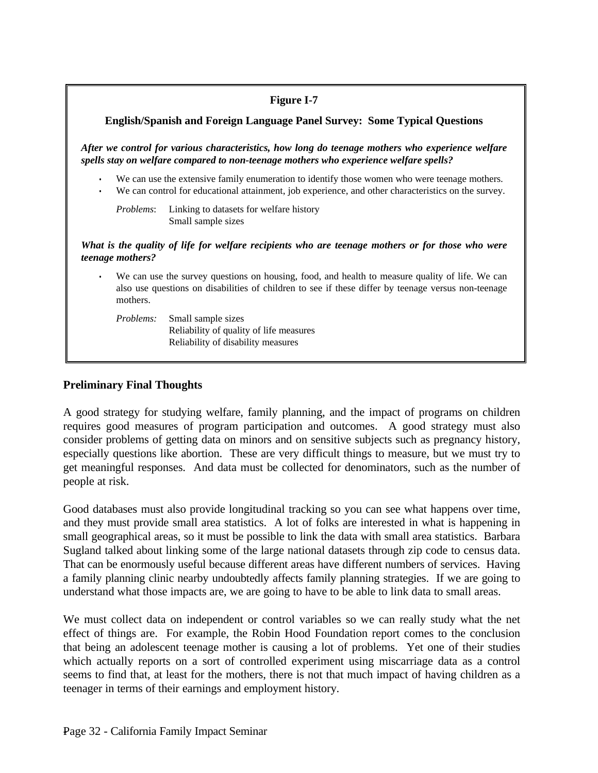# **Figure I-7**

**English/Spanish and Foreign Language Panel Survey: Some Typical Questions**

*After we control for various characteristics, how long do teenage mothers who experience welfare spells stay on welfare compared to non-teenage mothers who experience welfare spells?*

- We can use the extensive family enumeration to identify those women who were teenage mothers.
- We can control for educational attainment, job experience, and other characteristics on the survey.

*Problems*: Linking to datasets for welfare history Small sample sizes

*What is the quality of life for welfare recipients who are teenage mothers or for those who were teenage mothers?*

• We can use the survey questions on housing, food, and health to measure quality of life. We can also use questions on disabilities of children to see if these differ by teenage versus non-teenage mothers.

*Problems:* Small sample sizes Reliability of quality of life measures Reliability of disability measures

#### **Preliminary Final Thoughts**

A good strategy for studying welfare, family planning, and the impact of programs on children requires good measures of program participation and outcomes. A good strategy must also consider problems of getting data on minors and on sensitive subjects such as pregnancy history, especially questions like abortion. These are very difficult things to measure, but we must try to get meaningful responses. And data must be collected for denominators, such as the number of people at risk.

Good databases must also provide longitudinal tracking so you can see what happens over time, and they must provide small area statistics. A lot of folks are interested in what is happening in small geographical areas, so it must be possible to link the data with small area statistics. Barbara Sugland talked about linking some of the large national datasets through zip code to census data. That can be enormously useful because different areas have different numbers of services. Having a family planning clinic nearby undoubtedly affects family planning strategies. If we are going to understand what those impacts are, we are going to have to be able to link data to small areas.

We must collect data on independent or control variables so we can really study what the net effect of things are. For example, the Robin Hood Foundation report comes to the conclusion that being an adolescent teenage mother is causing a lot of problems. Yet one of their studies which actually reports on a sort of controlled experiment using miscarriage data as a control seems to find that, at least for the mothers, there is not that much impact of having children as a teenager in terms of their earnings and employment history.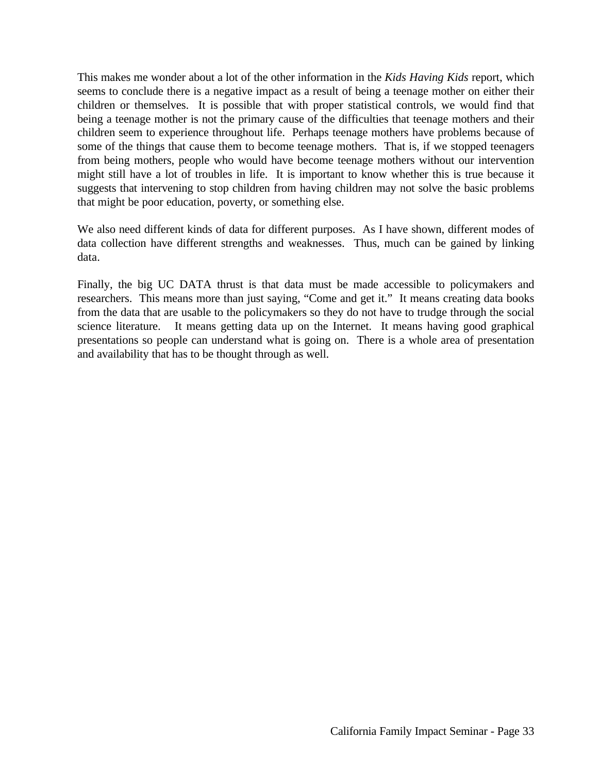This makes me wonder about a lot of the other information in the *Kids Having Kids* report, which seems to conclude there is a negative impact as a result of being a teenage mother on either their children or themselves. It is possible that with proper statistical controls, we would find that being a teenage mother is not the primary cause of the difficulties that teenage mothers and their children seem to experience throughout life. Perhaps teenage mothers have problems because of some of the things that cause them to become teenage mothers. That is, if we stopped teenagers from being mothers, people who would have become teenage mothers without our intervention might still have a lot of troubles in life. It is important to know whether this is true because it suggests that intervening to stop children from having children may not solve the basic problems that might be poor education, poverty, or something else.

We also need different kinds of data for different purposes. As I have shown, different modes of data collection have different strengths and weaknesses. Thus, much can be gained by linking data.

Finally, the big UC DATA thrust is that data must be made accessible to policymakers and researchers. This means more than just saying, "Come and get it." It means creating data books from the data that are usable to the policymakers so they do not have to trudge through the social science literature. It means getting data up on the Internet. It means having good graphical presentations so people can understand what is going on. There is a whole area of presentation and availability that has to be thought through as well.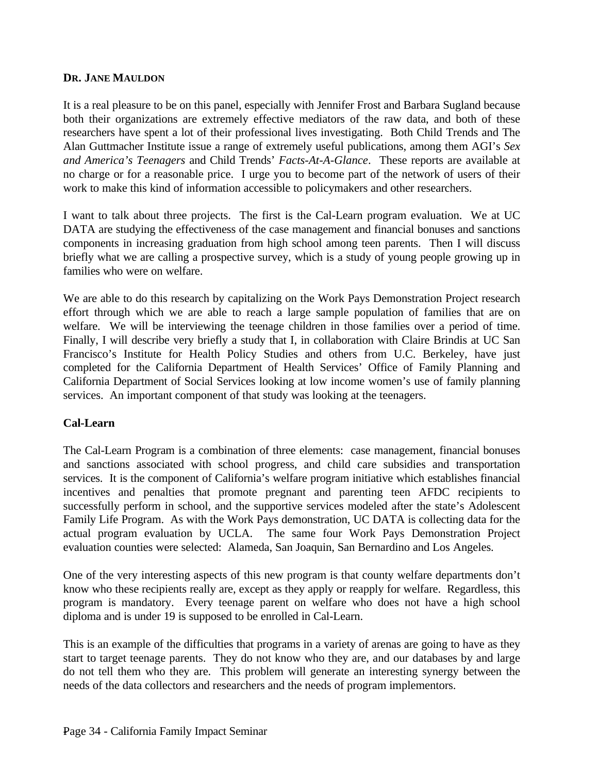### **DR. JANE MAULDON**

It is a real pleasure to be on this panel, especially with Jennifer Frost and Barbara Sugland because both their organizations are extremely effective mediators of the raw data, and both of these researchers have spent a lot of their professional lives investigating. Both Child Trends and The Alan Guttmacher Institute issue a range of extremely useful publications, among them AGI's *Sex and America's Teenagers* and Child Trends' *Facts-At-A-Glance*. These reports are available at no charge or for a reasonable price. I urge you to become part of the network of users of their work to make this kind of information accessible to policymakers and other researchers.

I want to talk about three projects. The first is the Cal-Learn program evaluation. We at UC DATA are studying the effectiveness of the case management and financial bonuses and sanctions components in increasing graduation from high school among teen parents. Then I will discuss briefly what we are calling a prospective survey, which is a study of young people growing up in families who were on welfare.

We are able to do this research by capitalizing on the Work Pays Demonstration Project research effort through which we are able to reach a large sample population of families that are on welfare. We will be interviewing the teenage children in those families over a period of time. Finally, I will describe very briefly a study that I, in collaboration with Claire Brindis at UC San Francisco's Institute for Health Policy Studies and others from U.C. Berkeley, have just completed for the California Department of Health Services' Office of Family Planning and California Department of Social Services looking at low income women's use of family planning services. An important component of that study was looking at the teenagers.

# **Cal-Learn**

The Cal-Learn Program is a combination of three elements: case management, financial bonuses and sanctions associated with school progress, and child care subsidies and transportation services. It is the component of California's welfare program initiative which establishes financial incentives and penalties that promote pregnant and parenting teen AFDC recipients to successfully perform in school, and the supportive services modeled after the state's Adolescent Family Life Program. As with the Work Pays demonstration, UC DATA is collecting data for the actual program evaluation by UCLA. The same four Work Pays Demonstration Project evaluation counties were selected: Alameda, San Joaquin, San Bernardino and Los Angeles.

One of the very interesting aspects of this new program is that county welfare departments don't know who these recipients really are, except as they apply or reapply for welfare. Regardless, this program is mandatory. Every teenage parent on welfare who does not have a high school diploma and is under 19 is supposed to be enrolled in Cal-Learn.

This is an example of the difficulties that programs in a variety of arenas are going to have as they start to target teenage parents. They do not know who they are, and our databases by and large do not tell them who they are. This problem will generate an interesting synergy between the needs of the data collectors and researchers and the needs of program implementors.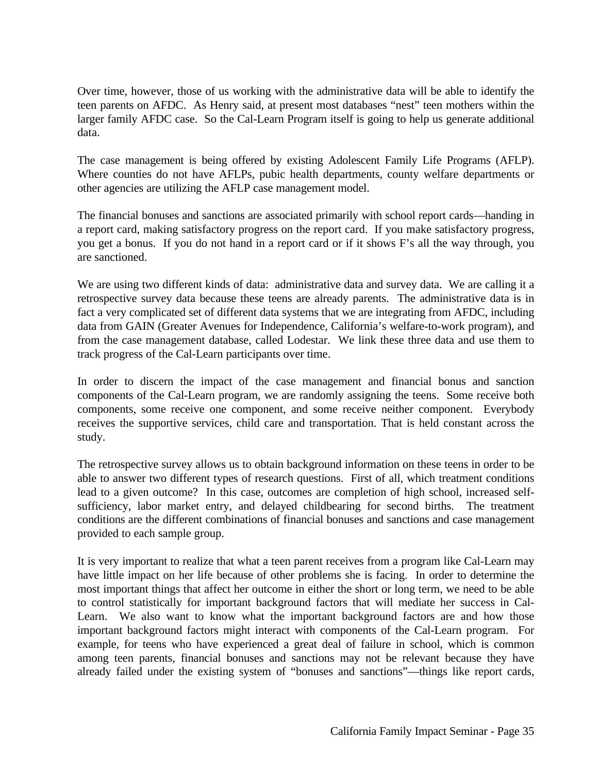Over time, however, those of us working with the administrative data will be able to identify the teen parents on AFDC. As Henry said, at present most databases "nest" teen mothers within the larger family AFDC case. So the Cal-Learn Program itself is going to help us generate additional data.

The case management is being offered by existing Adolescent Family Life Programs (AFLP). Where counties do not have AFLPs, pubic health departments, county welfare departments or other agencies are utilizing the AFLP case management model.

The financial bonuses and sanctions are associated primarily with school report cards—handing in a report card, making satisfactory progress on the report card. If you make satisfactory progress, you get a bonus. If you do not hand in a report card or if it shows F's all the way through, you are sanctioned.

We are using two different kinds of data: administrative data and survey data. We are calling it a retrospective survey data because these teens are already parents. The administrative data is in fact a very complicated set of different data systems that we are integrating from AFDC, including data from GAIN (Greater Avenues for Independence, California's welfare-to-work program), and from the case management database, called Lodestar. We link these three data and use them to track progress of the Cal-Learn participants over time.

In order to discern the impact of the case management and financial bonus and sanction components of the Cal-Learn program, we are randomly assigning the teens. Some receive both components, some receive one component, and some receive neither component. Everybody receives the supportive services, child care and transportation. That is held constant across the study.

The retrospective survey allows us to obtain background information on these teens in order to be able to answer two different types of research questions. First of all, which treatment conditions lead to a given outcome? In this case, outcomes are completion of high school, increased selfsufficiency, labor market entry, and delayed childbearing for second births. The treatment conditions are the different combinations of financial bonuses and sanctions and case management provided to each sample group.

It is very important to realize that what a teen parent receives from a program like Cal-Learn may have little impact on her life because of other problems she is facing. In order to determine the most important things that affect her outcome in either the short or long term, we need to be able to control statistically for important background factors that will mediate her success in Cal-Learn. We also want to know what the important background factors are and how those important background factors might interact with components of the Cal-Learn program. For example, for teens who have experienced a great deal of failure in school, which is common among teen parents, financial bonuses and sanctions may not be relevant because they have already failed under the existing system of "bonuses and sanctions"—things like report cards,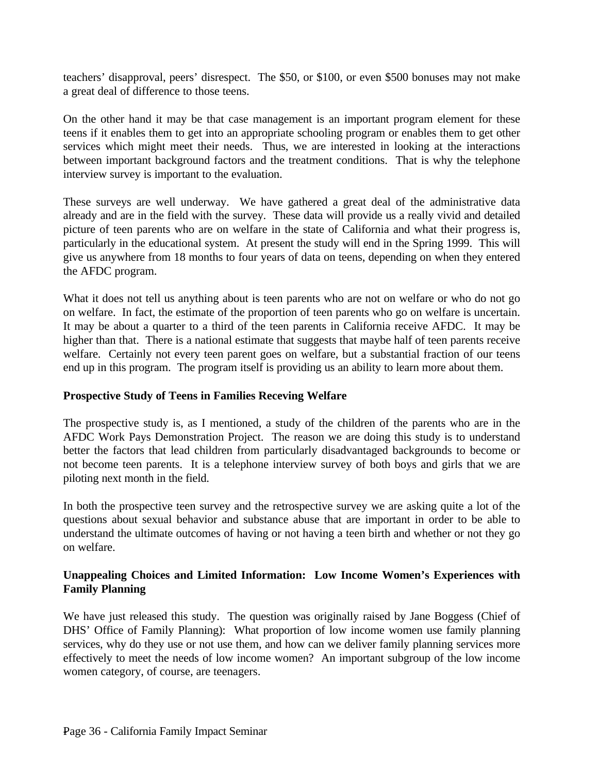teachers' disapproval, peers' disrespect. The \$50, or \$100, or even \$500 bonuses may not make a great deal of difference to those teens.

On the other hand it may be that case management is an important program element for these teens if it enables them to get into an appropriate schooling program or enables them to get other services which might meet their needs. Thus, we are interested in looking at the interactions between important background factors and the treatment conditions. That is why the telephone interview survey is important to the evaluation.

These surveys are well underway. We have gathered a great deal of the administrative data already and are in the field with the survey. These data will provide us a really vivid and detailed picture of teen parents who are on welfare in the state of California and what their progress is, particularly in the educational system. At present the study will end in the Spring 1999. This will give us anywhere from 18 months to four years of data on teens, depending on when they entered the AFDC program.

What it does not tell us anything about is teen parents who are not on welfare or who do not go on welfare. In fact, the estimate of the proportion of teen parents who go on welfare is uncertain. It may be about a quarter to a third of the teen parents in California receive AFDC. It may be higher than that. There is a national estimate that suggests that maybe half of teen parents receive welfare. Certainly not every teen parent goes on welfare, but a substantial fraction of our teens end up in this program. The program itself is providing us an ability to learn more about them.

#### **Prospective Study of Teens in Families Receving Welfare**

The prospective study is, as I mentioned, a study of the children of the parents who are in the AFDC Work Pays Demonstration Project. The reason we are doing this study is to understand better the factors that lead children from particularly disadvantaged backgrounds to become or not become teen parents. It is a telephone interview survey of both boys and girls that we are piloting next month in the field.

In both the prospective teen survey and the retrospective survey we are asking quite a lot of the questions about sexual behavior and substance abuse that are important in order to be able to understand the ultimate outcomes of having or not having a teen birth and whether or not they go on welfare.

# **Unappealing Choices and Limited Information: Low Income Women's Experiences with Family Planning**

We have just released this study. The question was originally raised by Jane Boggess (Chief of DHS' Office of Family Planning): What proportion of low income women use family planning services, why do they use or not use them, and how can we deliver family planning services more effectively to meet the needs of low income women? An important subgroup of the low income women category, of course, are teenagers.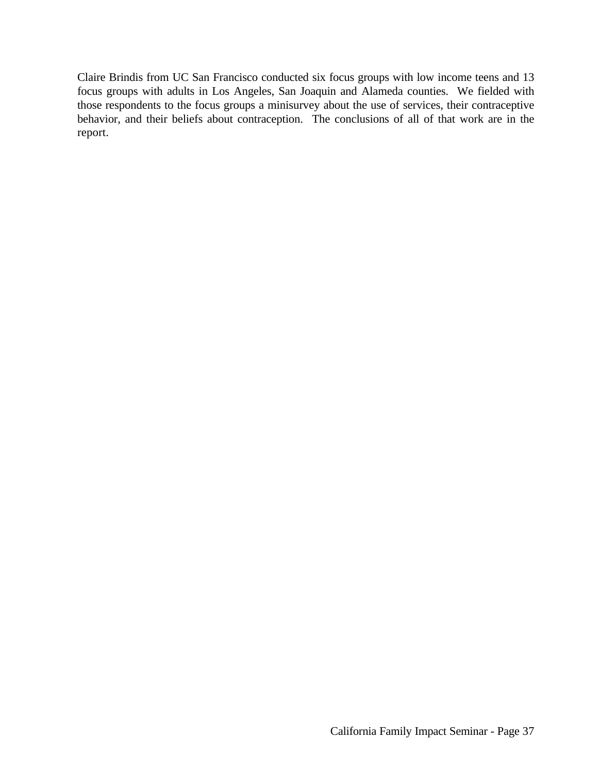Claire Brindis from UC San Francisco conducted six focus groups with low income teens and 13 focus groups with adults in Los Angeles, San Joaquin and Alameda counties. We fielded with those respondents to the focus groups a minisurvey about the use of services, their contraceptive behavior, and their beliefs about contraception. The conclusions of all of that work are in the report.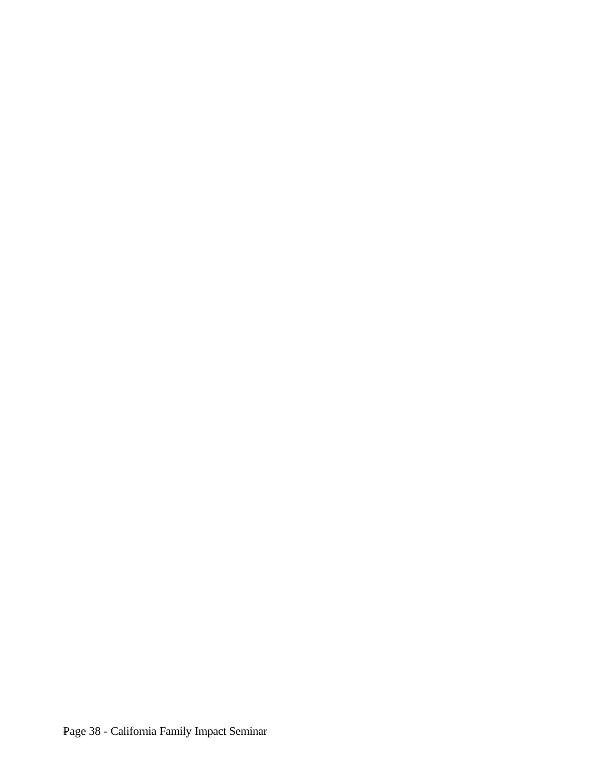Page 38 - California Family Impact Seminar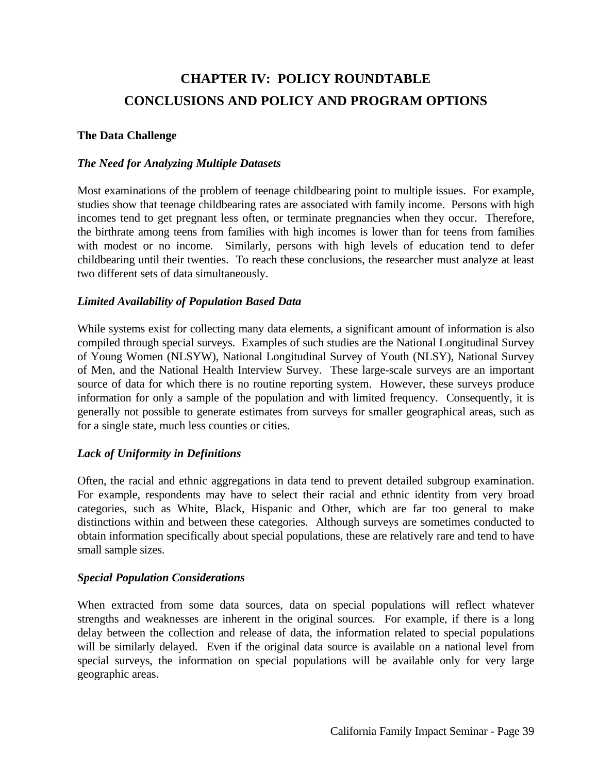# **CHAPTER IV: POLICY ROUNDTABLE CONCLUSIONS AND POLICY AND PROGRAM OPTIONS**

#### **The Data Challenge**

# *The Need for Analyzing Multiple Datasets*

Most examinations of the problem of teenage childbearing point to multiple issues. For example, studies show that teenage childbearing rates are associated with family income. Persons with high incomes tend to get pregnant less often, or terminate pregnancies when they occur. Therefore, the birthrate among teens from families with high incomes is lower than for teens from families with modest or no income. Similarly, persons with high levels of education tend to defer childbearing until their twenties. To reach these conclusions, the researcher must analyze at least two different sets of data simultaneously.

# *Limited Availability of Population Based Data*

While systems exist for collecting many data elements, a significant amount of information is also compiled through special surveys. Examples of such studies are the National Longitudinal Survey of Young Women (NLSYW), National Longitudinal Survey of Youth (NLSY), National Survey of Men, and the National Health Interview Survey. These large-scale surveys are an important source of data for which there is no routine reporting system. However, these surveys produce information for only a sample of the population and with limited frequency. Consequently, it is generally not possible to generate estimates from surveys for smaller geographical areas, such as for a single state, much less counties or cities.

#### *Lack of Uniformity in Definitions*

Often, the racial and ethnic aggregations in data tend to prevent detailed subgroup examination. For example, respondents may have to select their racial and ethnic identity from very broad categories, such as White, Black, Hispanic and Other, which are far too general to make distinctions within and between these categories. Although surveys are sometimes conducted to obtain information specifically about special populations, these are relatively rare and tend to have small sample sizes.

#### *Special Population Considerations*

When extracted from some data sources, data on special populations will reflect whatever strengths and weaknesses are inherent in the original sources. For example, if there is a long delay between the collection and release of data, the information related to special populations will be similarly delayed. Even if the original data source is available on a national level from special surveys, the information on special populations will be available only for very large geographic areas.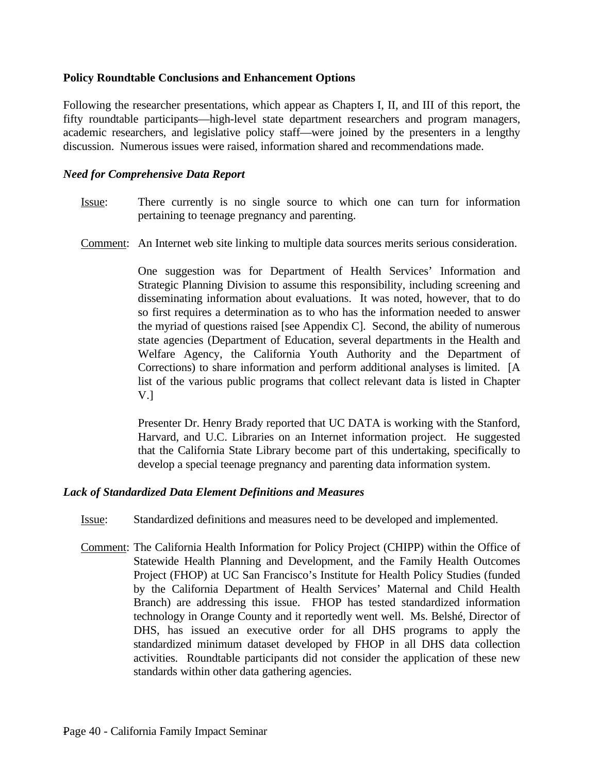#### **Policy Roundtable Conclusions and Enhancement Options**

Following the researcher presentations, which appear as Chapters I, II, and III of this report, the fifty roundtable participants—high-level state department researchers and program managers, academic researchers, and legislative policy staff—were joined by the presenters in a lengthy discussion. Numerous issues were raised, information shared and recommendations made.

# *Need for Comprehensive Data Report*

- Issue: There currently is no single source to which one can turn for information pertaining to teenage pregnancy and parenting.
- Comment: An Internet web site linking to multiple data sources merits serious consideration.

One suggestion was for Department of Health Services' Information and Strategic Planning Division to assume this responsibility, including screening and disseminating information about evaluations. It was noted, however, that to do so first requires a determination as to who has the information needed to answer the myriad of questions raised [see Appendix C]. Second, the ability of numerous state agencies (Department of Education, several departments in the Health and Welfare Agency, the California Youth Authority and the Department of Corrections) to share information and perform additional analyses is limited. [A list of the various public programs that collect relevant data is listed in Chapter V.]

Presenter Dr. Henry Brady reported that UC DATA is working with the Stanford, Harvard, and U.C. Libraries on an Internet information project. He suggested that the California State Library become part of this undertaking, specifically to develop a special teenage pregnancy and parenting data information system.

#### *Lack of Standardized Data Element Definitions and Measures*

- Issue: Standardized definitions and measures need to be developed and implemented.
- Comment: The California Health Information for Policy Project (CHIPP) within the Office of Statewide Health Planning and Development, and the Family Health Outcomes Project (FHOP) at UC San Francisco's Institute for Health Policy Studies (funded by the California Department of Health Services' Maternal and Child Health Branch) are addressing this issue. FHOP has tested standardized information technology in Orange County and it reportedly went well. Ms. Belshé, Director of DHS, has issued an executive order for all DHS programs to apply the standardized minimum dataset developed by FHOP in all DHS data collection activities. Roundtable participants did not consider the application of these new standards within other data gathering agencies.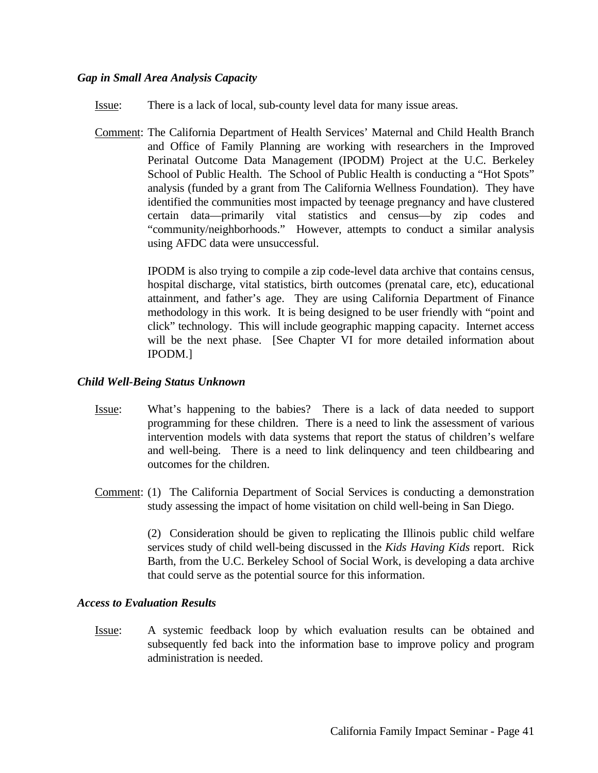#### *Gap in Small Area Analysis Capacity*

Issue: There is a lack of local, sub-county level data for many issue areas.

Comment: The California Department of Health Services' Maternal and Child Health Branch and Office of Family Planning are working with researchers in the Improved Perinatal Outcome Data Management (IPODM) Project at the U.C. Berkeley School of Public Health. The School of Public Health is conducting a "Hot Spots" analysis (funded by a grant from The California Wellness Foundation). They have identified the communities most impacted by teenage pregnancy and have clustered certain data—primarily vital statistics and census—by zip codes and "community/neighborhoods." However, attempts to conduct a similar analysis using AFDC data were unsuccessful.

> IPODM is also trying to compile a zip code-level data archive that contains census, hospital discharge, vital statistics, birth outcomes (prenatal care, etc), educational attainment, and father's age. They are using California Department of Finance methodology in this work. It is being designed to be user friendly with "point and click" technology. This will include geographic mapping capacity. Internet access will be the next phase. [See Chapter VI for more detailed information about IPODM.]

#### *Child Well-Being Status Unknown*

- Issue: What's happening to the babies? There is a lack of data needed to support programming for these children. There is a need to link the assessment of various intervention models with data systems that report the status of children's welfare and well-being. There is a need to link delinquency and teen childbearing and outcomes for the children.
- Comment: (1) The California Department of Social Services is conducting a demonstration study assessing the impact of home visitation on child well-being in San Diego.

(2) Consideration should be given to replicating the Illinois public child welfare services study of child well-being discussed in the *Kids Having Kids* report. Rick Barth, from the U.C. Berkeley School of Social Work, is developing a data archive that could serve as the potential source for this information.

#### *Access to Evaluation Results*

Issue: A systemic feedback loop by which evaluation results can be obtained and subsequently fed back into the information base to improve policy and program administration is needed.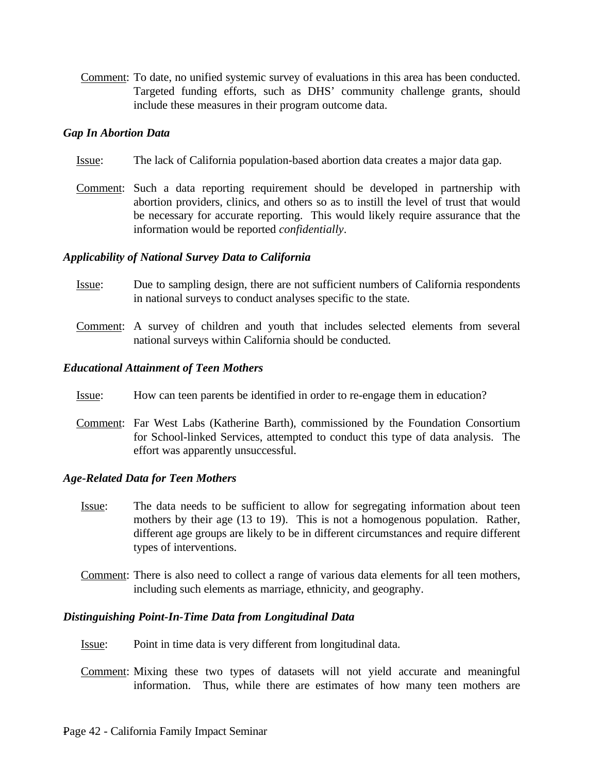Comment: To date, no unified systemic survey of evaluations in this area has been conducted. Targeted funding efforts, such as DHS' community challenge grants, should include these measures in their program outcome data.

#### *Gap In Abortion Data*

- Issue: The lack of California population-based abortion data creates a major data gap.
- Comment: Such a data reporting requirement should be developed in partnership with abortion providers, clinics, and others so as to instill the level of trust that would be necessary for accurate reporting. This would likely require assurance that the information would be reported *confidentially*.

#### *Applicability of National Survey Data to California*

- Issue: Due to sampling design, there are not sufficient numbers of California respondents in national surveys to conduct analyses specific to the state.
- Comment: A survey of children and youth that includes selected elements from several national surveys within California should be conducted.

#### *Educational Attainment of Teen Mothers*

- Issue: How can teen parents be identified in order to re-engage them in education?
- Comment: Far West Labs (Katherine Barth), commissioned by the Foundation Consortium for School-linked Services, attempted to conduct this type of data analysis. The effort was apparently unsuccessful.

#### *Age-Related Data for Teen Mothers*

- Issue: The data needs to be sufficient to allow for segregating information about teen mothers by their age (13 to 19). This is not a homogenous population. Rather, different age groups are likely to be in different circumstances and require different types of interventions.
- Comment: There is also need to collect a range of various data elements for all teen mothers, including such elements as marriage, ethnicity, and geography.

#### *Distinguishing Point-In-Time Data from Longitudinal Data*

- Issue: Point in time data is very different from longitudinal data.
- Comment: Mixing these two types of datasets will not yield accurate and meaningful information. Thus, while there are estimates of how many teen mothers are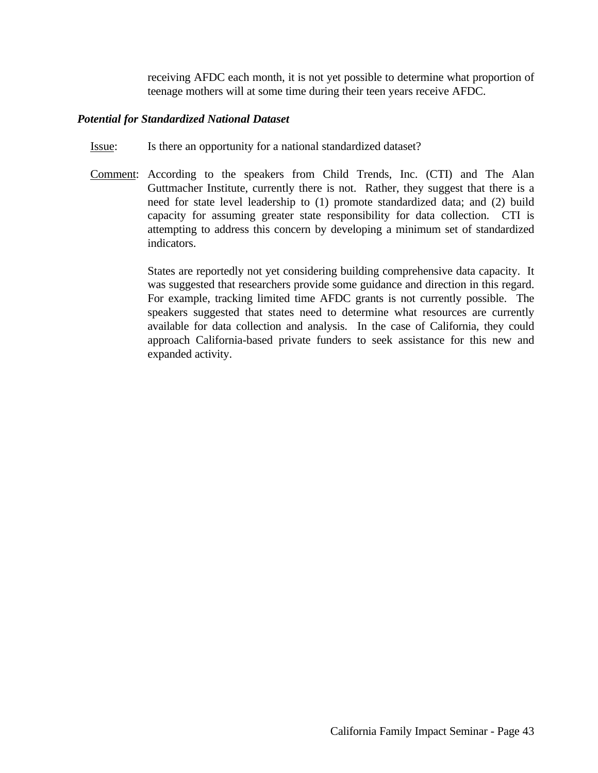receiving AFDC each month, it is not yet possible to determine what proportion of teenage mothers will at some time during their teen years receive AFDC.

#### *Potential for Standardized National Dataset*

- Issue: Is there an opportunity for a national standardized dataset?
- Comment: According to the speakers from Child Trends, Inc. (CTI) and The Alan Guttmacher Institute, currently there is not. Rather, they suggest that there is a need for state level leadership to (1) promote standardized data; and (2) build capacity for assuming greater state responsibility for data collection. CTI is attempting to address this concern by developing a minimum set of standardized indicators.

States are reportedly not yet considering building comprehensive data capacity. It was suggested that researchers provide some guidance and direction in this regard. For example, tracking limited time AFDC grants is not currently possible. The speakers suggested that states need to determine what resources are currently available for data collection and analysis. In the case of California, they could approach California-based private funders to seek assistance for this new and expanded activity.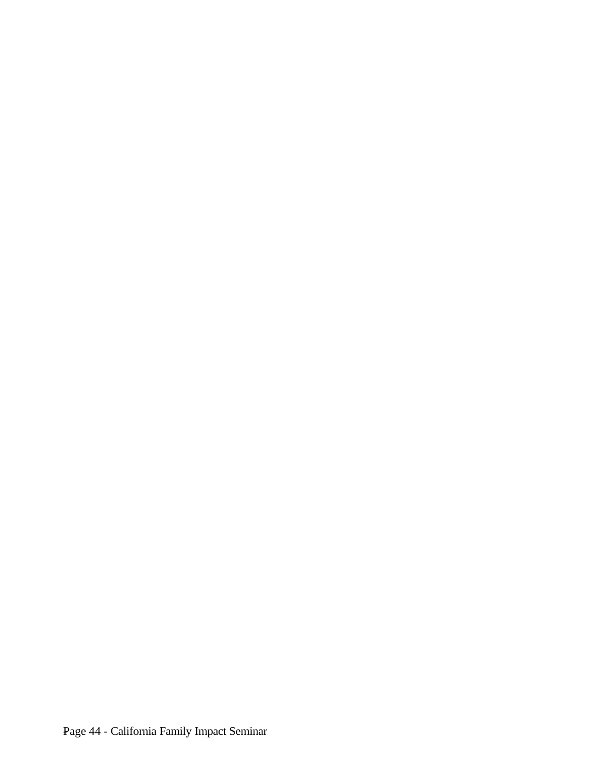Page 44 - California Family Impact Seminar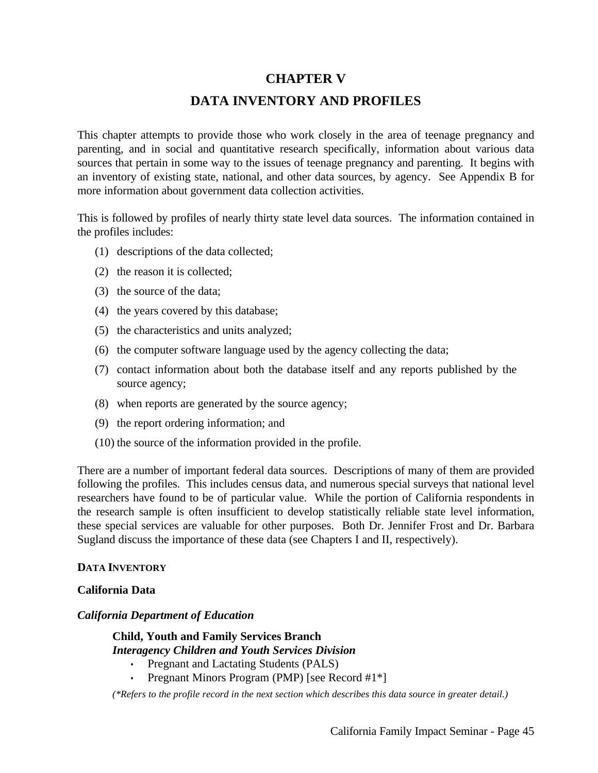# **CHAPTER V DATA INVENTORY AND PROFILES**

This chapter attempts to provide those who work closely in the area of teenage pregnancy and parenting, and in social and quantitative research specifically, information about various data sources that pertain in some way to the issues of teenage pregnancy and parenting. It begins with an inventory of existing state, national, and other data sources, by agency. See Appendix B for more information about government data collection activities.

This is followed by profiles of nearly thirty state level data sources. The information contained in the profiles includes:

- (1) descriptions of the data collected;
- (2) the reason it is collected;
- (3) the source of the data;
- (4) the years covered by this database;
- (5) the characteristics and units analyzed;
- (6) the computer software language used by the agency collecting the data;
- (7) contact information about both the database itself and any reports published by the source agency;
- (8) when reports are generated by the source agency;
- (9) the report ordering information; and
- (10) the source of the information provided in the profile.

There are a number of important federal data sources. Descriptions of many of them are provided following the profiles. This includes census data, and numerous special surveys that national level researchers have found to be of particular value. While the portion of California respondents in the research sample is often insufficient to develop statistically reliable state level information, these special services are valuable for other purposes. Both Dr. Jennifer Frost and Dr. Barbara Sugland discuss the importance of these data (see Chapters I and II, respectively).

#### **DATA INVENTORY**

#### **California Data**

# *California Department of Education*

# **Child, Youth and Family Services Branch** *Interagency Children and Youth Services Division*

- Pregnant and Lactating Students (PALS)
- Pregnant Minors Program (PMP) [see Record #1\*]

*(\*Refers to the profile record in the next section which describes this data source in greater detail.)*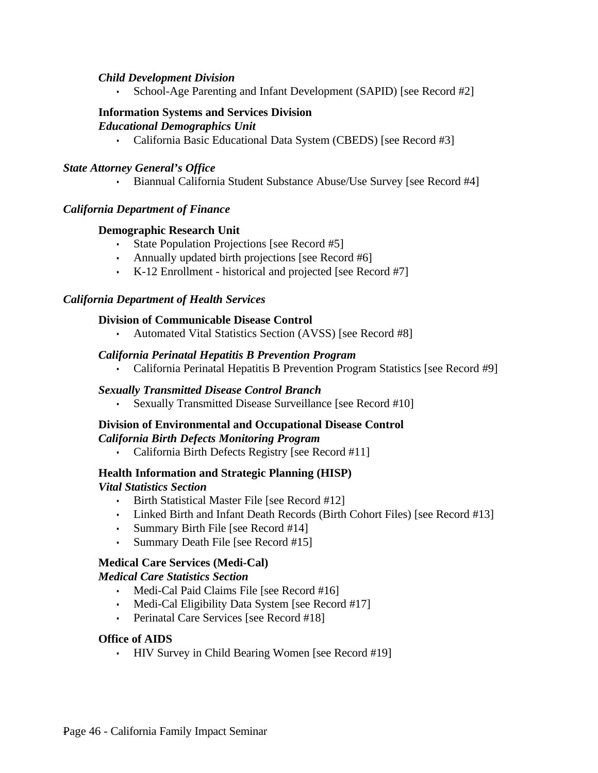#### *Child Development Division*

School-Age Parenting and Infant Development (SAPID) [see Record #2]

# **Information Systems and Services Division**

#### *Educational Demographics Unit*

• California Basic Educational Data System (CBEDS) [see Record #3]

#### *State Attorney General's Office*

• Biannual California Student Substance Abuse/Use Survey [see Record #4]

#### *California Department of Finance*

#### **Demographic Research Unit**

- State Population Projections [see Record #5]
- Annually updated birth projections [see Record #6]
- K-12 Enrollment historical and projected [see Record #7]

#### *California Department of Health Services*

#### **Division of Communicable Disease Control**

• Automated Vital Statistics Section (AVSS) [see Record #8]

#### *California Perinatal Hepatitis B Prevention Program*

• California Perinatal Hepatitis B Prevention Program Statistics [see Record #9]

#### *Sexually Transmitted Disease Control Branch*

• Sexually Transmitted Disease Surveillance [see Record #10]

#### **Division of Environmental and Occupational Disease Control** *California Birth Defects Monitoring Program*

• California Birth Defects Registry [see Record #11]

# **Health Information and Strategic Planning (HISP)**

#### *Vital Statistics Section*

- Birth Statistical Master File [see Record #12]
- Linked Birth and Infant Death Records (Birth Cohort Files) [see Record #13]
- Summary Birth File [see Record #14]
- Summary Death File [see Record #15]

# **Medical Care Services (Medi-Cal)**

#### *Medical Care Statistics Section*

- Medi-Cal Paid Claims File [see Record #16]
- Medi-Cal Eligibility Data System [see Record #17]
- Perinatal Care Services [see Record #18]

#### **Office of AIDS**

• HIV Survey in Child Bearing Women [see Record #19]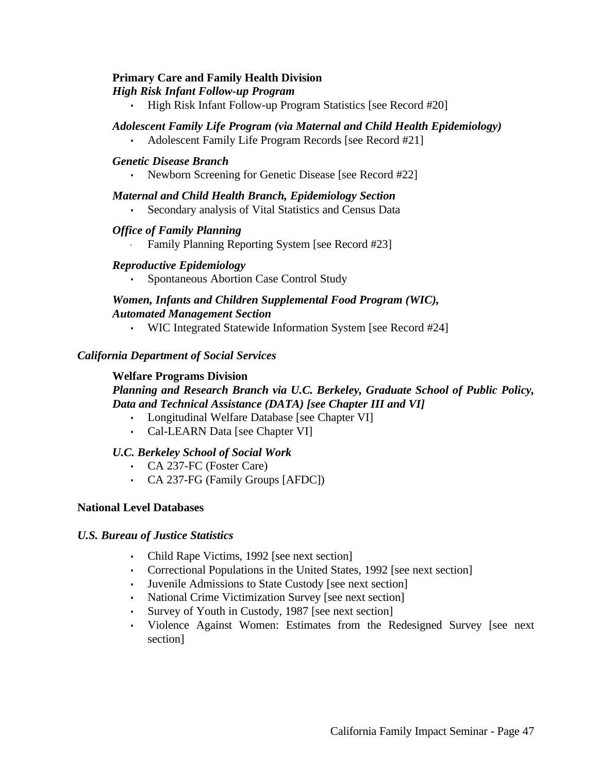# **Primary Care and Family Health Division**

*High Risk Infant Follow-up Program*

• High Risk Infant Follow-up Program Statistics [see Record #20]

# *Adolescent Family Life Program (via Maternal and Child Health Epidemiology)*

Adolescent Family Life Program Records [see Record #21]

#### *Genetic Disease Branch*

• Newborn Screening for Genetic Disease [see Record #22]

#### *Maternal and Child Health Branch, Epidemiology Section*

• Secondary analysis of Vital Statistics and Census Data

#### *Office of Family Planning*

Family Planning Reporting System [see Record #23]

#### *Reproductive Epidemiology*

• Spontaneous Abortion Case Control Study

#### *Women, Infants and Children Supplemental Food Program (WIC), Automated Management Section*

• WIC Integrated Statewide Information System [see Record #24]

#### *California Department of Social Services*

#### **Welfare Programs Division**

# *Planning and Research Branch via U.C. Berkeley, Graduate School of Public Policy, Data and Technical Assistance (DATA) [see Chapter III and VI]*

- Longitudinal Welfare Database [see Chapter VI]
- Cal-LEARN Data [see Chapter VI]

#### *U.C. Berkeley School of Social Work*

- CA 237-FC (Foster Care)
- CA 237-FG (Family Groups [AFDC])

#### **National Level Databases**

#### *U.S. Bureau of Justice Statistics*

- Child Rape Victims, 1992 [see next section]
- Correctional Populations in the United States, 1992 [see next section]
- Juvenile Admissions to State Custody [see next section]
- National Crime Victimization Survey [see next section]
- Survey of Youth in Custody, 1987 [see next section]
- Violence Against Women: Estimates from the Redesigned Survey [see next section]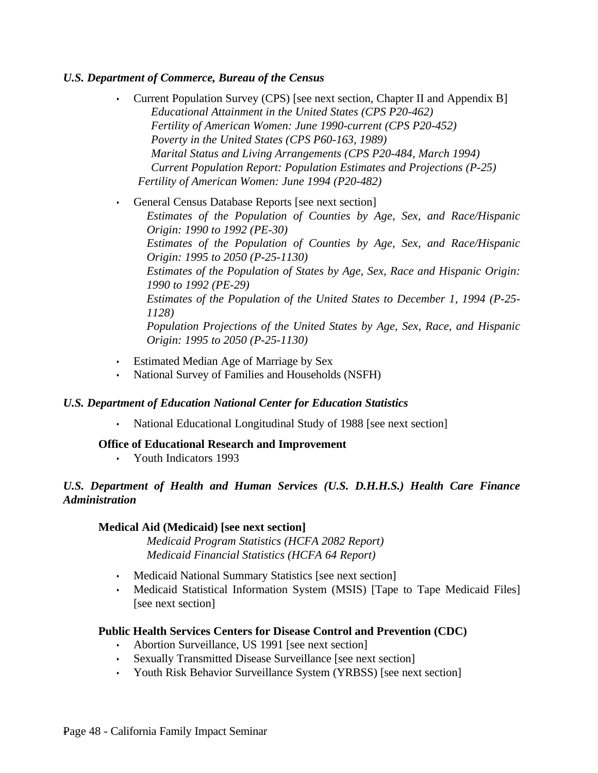# *U.S. Department of Commerce, Bureau of the Census*

• Current Population Survey (CPS) [see next section, Chapter II and Appendix B] *Educational Attainment in the United States (CPS P20-462) Fertility of American Women: June 1990-current (CPS P20-452) Poverty in the United States (CPS P60-163, 1989) Marital Status and Living Arrangements (CPS P20-484, March 1994) Current Population Report: Population Estimates and Projections (P-25) Fertility of American Women: June 1994 (P20-482)*

• General Census Database Reports [see next section] *Estimates of the Population of Counties by Age, Sex, and Race/Hispanic Origin: 1990 to 1992 (PE-30) Estimates of the Population of Counties by Age, Sex, and Race/Hispanic Origin: 1995 to 2050 (P-25-1130) Estimates of the Population of States by Age, Sex, Race and Hispanic Origin: 1990 to 1992 (PE-29) Estimates of the Population of the United States to December 1, 1994 (P-25- 1128) Population Projections of the United States by Age, Sex, Race, and Hispanic Origin: 1995 to 2050 (P-25-1130)*

- Estimated Median Age of Marriage by Sex
- National Survey of Families and Households (NSFH)

#### *U.S. Department of Education National Center for Education Statistics*

• National Educational Longitudinal Study of 1988 [see next section]

#### **Office of Educational Research and Improvement**

• Youth Indicators 1993

# *U.S. Department of Health and Human Services (U.S. D.H.H.S.) Health Care Finance Administration*

#### **Medical Aid (Medicaid) [see next section]**

*Medicaid Program Statistics (HCFA 2082 Report) Medicaid Financial Statistics (HCFA 64 Report)*

- Medicaid National Summary Statistics [see next section]
- Medicaid Statistical Information System (MSIS) [Tape to Tape Medicaid Files] [see next section]

#### **Public Health Services Centers for Disease Control and Prevention (CDC)**

- Abortion Surveillance, US 1991 [see next section]
- Sexually Transmitted Disease Surveillance [see next section]
- Youth Risk Behavior Surveillance System (YRBSS) [see next section]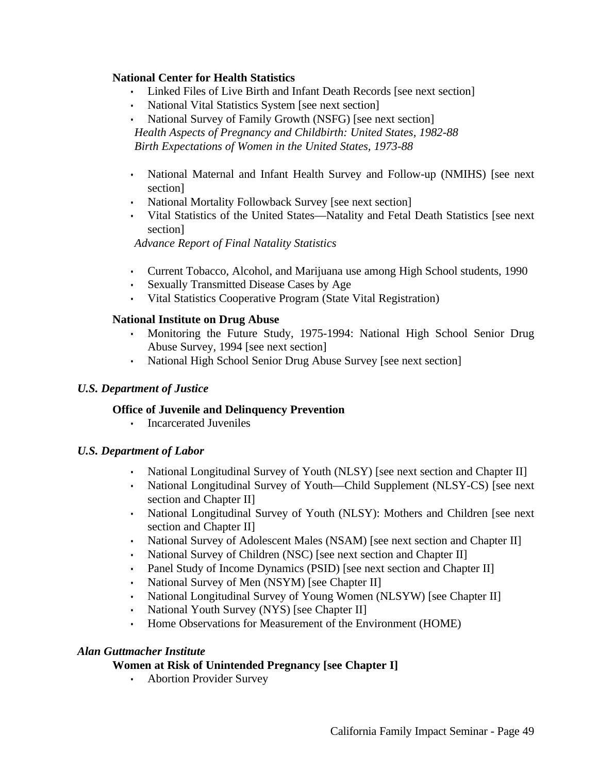# **National Center for Health Statistics**

- Linked Files of Live Birth and Infant Death Records [see next section]
- National Vital Statistics System [see next section]
- National Survey of Family Growth (NSFG) [see next section]

*Health Aspects of Pregnancy and Childbirth: United States, 1982-88 Birth Expectations of Women in the United States, 1973-88*

- National Maternal and Infant Health Survey and Follow-up (NMIHS) [see next section]
- National Mortality Followback Survey [see next section]
- Vital Statistics of the United States—Natality and Fetal Death Statistics [see next section]

*Advance Report of Final Natality Statistics*

- Current Tobacco, Alcohol, and Marijuana use among High School students, 1990
- Sexually Transmitted Disease Cases by Age
- Vital Statistics Cooperative Program (State Vital Registration)

#### **National Institute on Drug Abuse**

- Monitoring the Future Study, 1975-1994: National High School Senior Drug Abuse Survey, 1994 [see next section]
- National High School Senior Drug Abuse Survey [see next section]

#### *U.S. Department of Justice*

#### **Office of Juvenile and Delinquency Prevention**

• Incarcerated Juveniles

#### *U.S. Department of Labor*

- National Longitudinal Survey of Youth (NLSY) [see next section and Chapter II]
- National Longitudinal Survey of Youth—Child Supplement (NLSY-CS) [see next section and Chapter II]
- National Longitudinal Survey of Youth (NLSY): Mothers and Children [see next section and Chapter II]
- National Survey of Adolescent Males (NSAM) [see next section and Chapter II]
- National Survey of Children (NSC) [see next section and Chapter II]
- Panel Study of Income Dynamics (PSID) [see next section and Chapter II]
- National Survey of Men (NSYM) [see Chapter II]
- National Longitudinal Survey of Young Women (NLSYW) [see Chapter II]
- National Youth Survey (NYS) [see Chapter II]
- Home Observations for Measurement of the Environment (HOME)

#### *Alan Guttmacher Institute*

#### **Women at Risk of Unintended Pregnancy [see Chapter I]**

• Abortion Provider Survey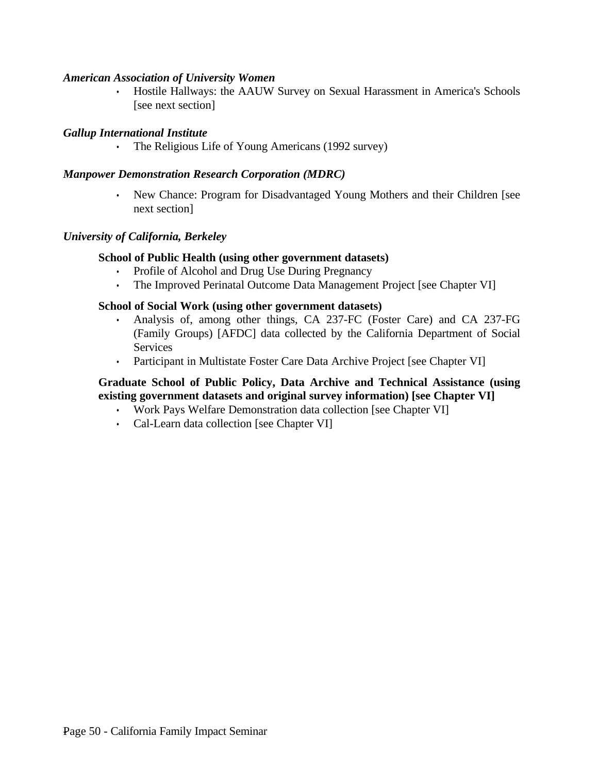#### *American Association of University Women*

• Hostile Hallways: the AAUW Survey on Sexual Harassment in America's Schools [see next section]

# *Gallup International Institute*

• The Religious Life of Young Americans (1992 survey)

### *Manpower Demonstration Research Corporation (MDRC)*

• New Chance: Program for Disadvantaged Young Mothers and their Children [see next section]

# *University of California, Berkeley*

# **School of Public Health (using other government datasets)**

- Profile of Alcohol and Drug Use During Pregnancy
- The Improved Perinatal Outcome Data Management Project [see Chapter VI]

# **School of Social Work (using other government datasets)**

- Analysis of, among other things, CA 237-FC (Foster Care) and CA 237-FG (Family Groups) [AFDC] data collected by the California Department of Social **Services**
- Participant in Multistate Foster Care Data Archive Project [see Chapter VI]

# **Graduate School of Public Policy, Data Archive and Technical Assistance (using existing government datasets and original survey information) [see Chapter VI]**

- Work Pays Welfare Demonstration data collection [see Chapter VI]
- Cal-Learn data collection [see Chapter VI]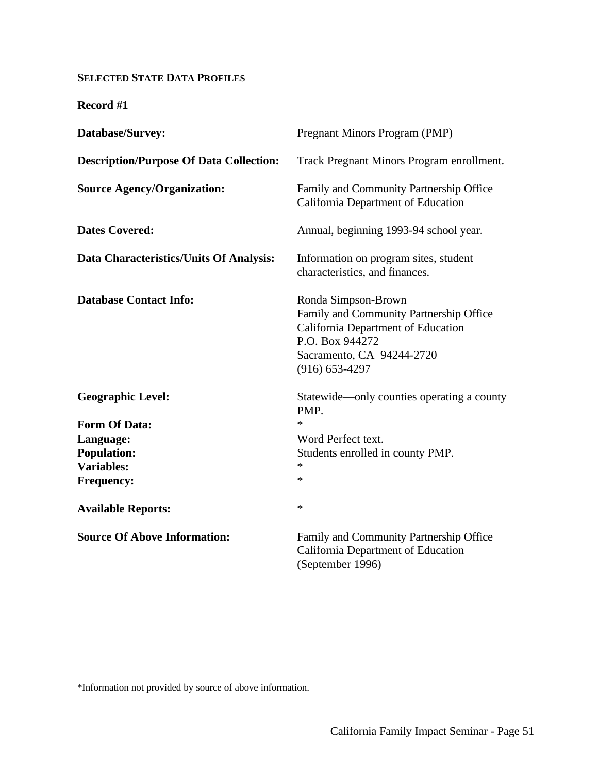# **SELECTED STATE DATA PROFILES**

**Record #1**

| Database/Survey:                               | Pregnant Minors Program (PMP)                                                                                                                                              |
|------------------------------------------------|----------------------------------------------------------------------------------------------------------------------------------------------------------------------------|
| <b>Description/Purpose Of Data Collection:</b> | Track Pregnant Minors Program enrollment.                                                                                                                                  |
| <b>Source Agency/Organization:</b>             | Family and Community Partnership Office<br>California Department of Education                                                                                              |
| <b>Dates Covered:</b>                          | Annual, beginning 1993-94 school year.                                                                                                                                     |
| <b>Data Characteristics/Units Of Analysis:</b> | Information on program sites, student<br>characteristics, and finances.                                                                                                    |
| <b>Database Contact Info:</b>                  | Ronda Simpson-Brown<br>Family and Community Partnership Office<br>California Department of Education<br>P.O. Box 944272<br>Sacramento, CA 94244-2720<br>$(916) 653 - 4297$ |
| <b>Geographic Level:</b>                       | Statewide—only counties operating a county<br>PMP.                                                                                                                         |
| <b>Form Of Data:</b>                           | $\ast$                                                                                                                                                                     |
| Language:                                      | Word Perfect text.                                                                                                                                                         |
| <b>Population:</b><br><b>Variables:</b>        | Students enrolled in county PMP.<br>$\ast$                                                                                                                                 |
| <b>Frequency:</b>                              | $\ast$                                                                                                                                                                     |
| <b>Available Reports:</b>                      | $\ast$                                                                                                                                                                     |
| <b>Source Of Above Information:</b>            | Family and Community Partnership Office<br>California Department of Education<br>(September 1996)                                                                          |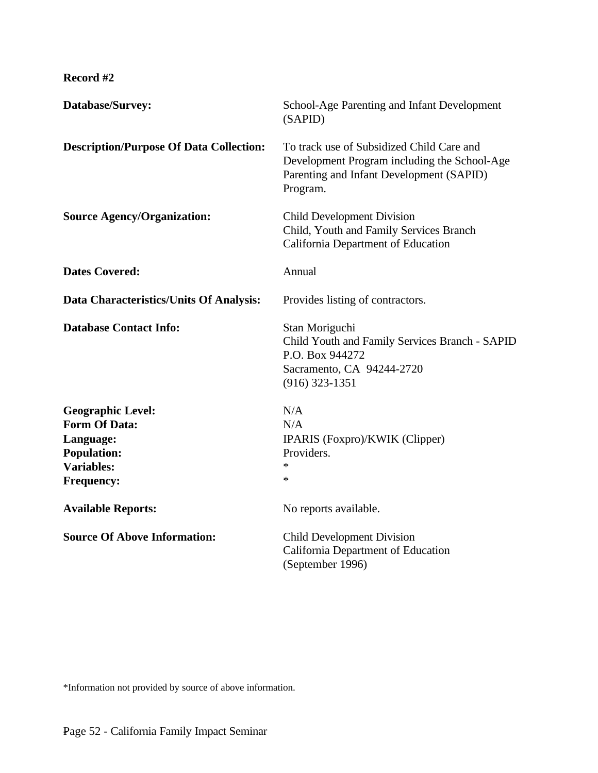| Database/Survey:                               | School-Age Parenting and Infant Development<br>(SAPID)                                                                                            |
|------------------------------------------------|---------------------------------------------------------------------------------------------------------------------------------------------------|
| <b>Description/Purpose Of Data Collection:</b> | To track use of Subsidized Child Care and<br>Development Program including the School-Age<br>Parenting and Infant Development (SAPID)<br>Program. |
| <b>Source Agency/Organization:</b>             | <b>Child Development Division</b><br>Child, Youth and Family Services Branch<br>California Department of Education                                |
| <b>Dates Covered:</b>                          | Annual                                                                                                                                            |
| Data Characteristics/Units Of Analysis:        | Provides listing of contractors.                                                                                                                  |
| <b>Database Contact Info:</b>                  | Stan Moriguchi<br>Child Youth and Family Services Branch - SAPID<br>P.O. Box 944272<br>Sacramento, CA 94244-2720<br>$(916)$ 323-1351              |
| <b>Geographic Level:</b>                       | N/A                                                                                                                                               |
| <b>Form Of Data:</b>                           | N/A                                                                                                                                               |
| Language:                                      | IPARIS (Foxpro)/KWIK (Clipper)                                                                                                                    |
| <b>Population:</b>                             | Providers.                                                                                                                                        |
| Variables:                                     | $\ast$                                                                                                                                            |
| <b>Frequency:</b>                              | $\ast$                                                                                                                                            |
| <b>Available Reports:</b>                      | No reports available.                                                                                                                             |
| <b>Source Of Above Information:</b>            | <b>Child Development Division</b><br>California Department of Education<br>(September 1996)                                                       |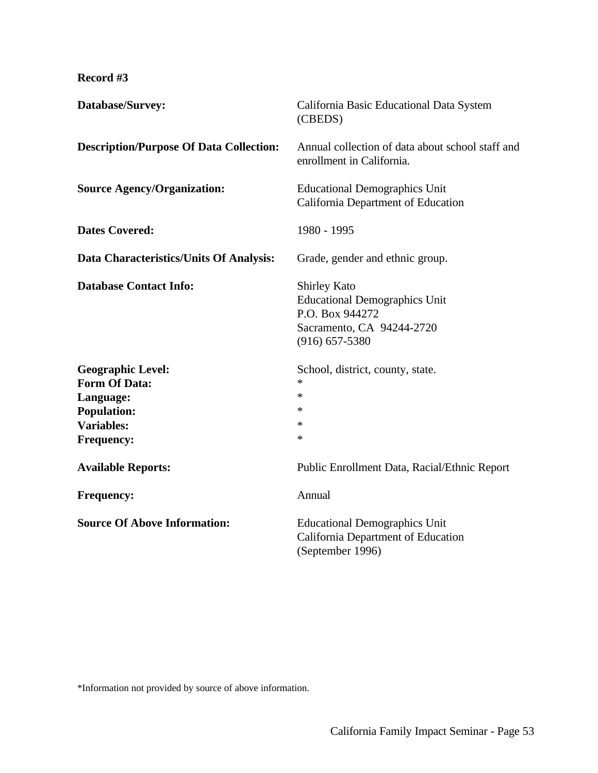| Database/Survey:                                                                                                       | California Basic Educational Data System<br>(CBEDS)                                                                               |
|------------------------------------------------------------------------------------------------------------------------|-----------------------------------------------------------------------------------------------------------------------------------|
| <b>Description/Purpose Of Data Collection:</b>                                                                         | Annual collection of data about school staff and<br>enrollment in California.                                                     |
| <b>Source Agency/Organization:</b>                                                                                     | <b>Educational Demographics Unit</b><br>California Department of Education                                                        |
| <b>Dates Covered:</b>                                                                                                  | 1980 - 1995                                                                                                                       |
| Data Characteristics/Units Of Analysis:                                                                                | Grade, gender and ethnic group.                                                                                                   |
| <b>Database Contact Info:</b>                                                                                          | <b>Shirley Kato</b><br><b>Educational Demographics Unit</b><br>P.O. Box 944272<br>Sacramento, CA 94244-2720<br>$(916) 657 - 5380$ |
| <b>Geographic Level:</b><br><b>Form Of Data:</b><br>Language:<br><b>Population:</b><br>Variables:<br><b>Frequency:</b> | School, district, county, state.<br>$\ast$<br>$\ast$<br>$\ast$<br>$\ast$<br>$\ast$                                                |
| <b>Available Reports:</b>                                                                                              | Public Enrollment Data, Racial/Ethnic Report                                                                                      |
| <b>Frequency:</b>                                                                                                      | Annual                                                                                                                            |
| <b>Source Of Above Information:</b>                                                                                    | <b>Educational Demographics Unit</b><br>California Department of Education<br>(September 1996)                                    |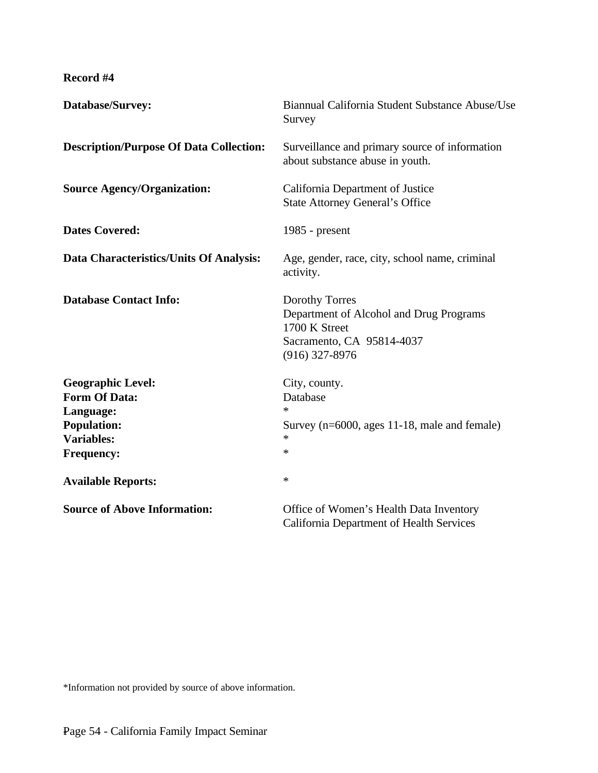| Database/Survey:                                                                                                              | Biannual California Student Substance Abuse/Use<br>Survey                                                                   |
|-------------------------------------------------------------------------------------------------------------------------------|-----------------------------------------------------------------------------------------------------------------------------|
| <b>Description/Purpose Of Data Collection:</b>                                                                                | Surveillance and primary source of information<br>about substance abuse in youth.                                           |
| <b>Source Agency/Organization:</b>                                                                                            | California Department of Justice<br><b>State Attorney General's Office</b>                                                  |
| <b>Dates Covered:</b>                                                                                                         | 1985 - present                                                                                                              |
| Data Characteristics/Units Of Analysis:                                                                                       | Age, gender, race, city, school name, criminal<br>activity.                                                                 |
| <b>Database Contact Info:</b>                                                                                                 | Dorothy Torres<br>Department of Alcohol and Drug Programs<br>1700 K Street<br>Sacramento, CA 95814-4037<br>$(916)$ 327-8976 |
| <b>Geographic Level:</b><br><b>Form Of Data:</b><br>Language:<br><b>Population:</b><br><b>Variables:</b><br><b>Frequency:</b> | City, county.<br>Database<br>*<br>Survey ( $n=6000$ , ages 11-18, male and female)<br>*<br>$\ast$                           |
| <b>Available Reports:</b>                                                                                                     | *                                                                                                                           |
| <b>Source of Above Information:</b>                                                                                           | Office of Women's Health Data Inventory<br>California Department of Health Services                                         |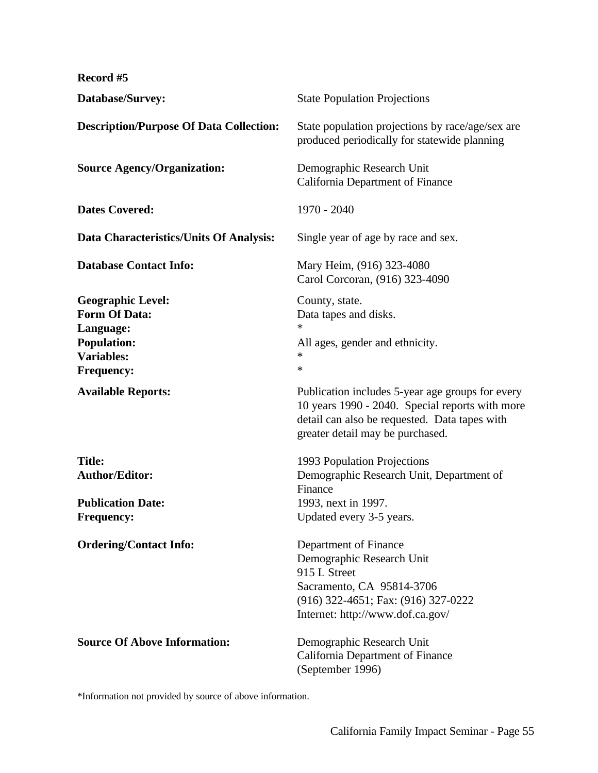| Database/Survey:                                                                                                              | <b>State Population Projections</b>                                                                                                                                                      |
|-------------------------------------------------------------------------------------------------------------------------------|------------------------------------------------------------------------------------------------------------------------------------------------------------------------------------------|
| <b>Description/Purpose Of Data Collection:</b>                                                                                | State population projections by race/age/sex are<br>produced periodically for statewide planning                                                                                         |
| <b>Source Agency/Organization:</b>                                                                                            | Demographic Research Unit<br>California Department of Finance                                                                                                                            |
| <b>Dates Covered:</b>                                                                                                         | 1970 - 2040                                                                                                                                                                              |
| Data Characteristics/Units Of Analysis:                                                                                       | Single year of age by race and sex.                                                                                                                                                      |
| <b>Database Contact Info:</b>                                                                                                 | Mary Heim, (916) 323-4080<br>Carol Corcoran, (916) 323-4090                                                                                                                              |
| <b>Geographic Level:</b><br><b>Form Of Data:</b><br>Language:<br><b>Population:</b><br><b>Variables:</b><br><b>Frequency:</b> | County, state.<br>Data tapes and disks.<br>$\ast$<br>All ages, gender and ethnicity.<br>$\ast$<br>*                                                                                      |
| <b>Available Reports:</b>                                                                                                     | Publication includes 5-year age groups for every<br>10 years 1990 - 2040. Special reports with more<br>detail can also be requested. Data tapes with<br>greater detail may be purchased. |
| <b>Title:</b><br><b>Author/Editor:</b><br><b>Publication Date:</b><br><b>Frequency:</b>                                       | 1993 Population Projections<br>Demographic Research Unit, Department of<br>Finance<br>1993, next in 1997.<br>Updated every 3-5 years.                                                    |
| <b>Ordering/Contact Info:</b>                                                                                                 | Department of Finance<br>Demographic Research Unit<br>915 L Street<br>Sacramento, CA 95814-3706<br>(916) 322-4651; Fax: (916) 327-0222<br>Internet: http://www.dof.ca.gov/               |
| <b>Source Of Above Information:</b>                                                                                           | Demographic Research Unit<br>California Department of Finance<br>(September 1996)                                                                                                        |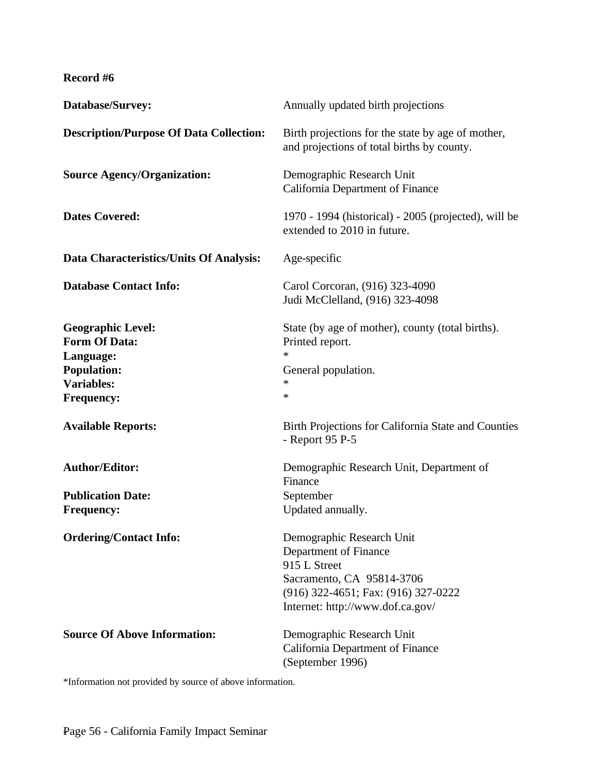| Database/Survey:                                                                                                              | Annually updated birth projections                                                                                                                                         |
|-------------------------------------------------------------------------------------------------------------------------------|----------------------------------------------------------------------------------------------------------------------------------------------------------------------------|
| <b>Description/Purpose Of Data Collection:</b>                                                                                | Birth projections for the state by age of mother,<br>and projections of total births by county.                                                                            |
| <b>Source Agency/Organization:</b>                                                                                            | Demographic Research Unit<br>California Department of Finance                                                                                                              |
| <b>Dates Covered:</b>                                                                                                         | 1970 - 1994 (historical) - 2005 (projected), will be<br>extended to 2010 in future.                                                                                        |
| Data Characteristics/Units Of Analysis:                                                                                       | Age-specific                                                                                                                                                               |
| <b>Database Contact Info:</b>                                                                                                 | Carol Corcoran, (916) 323-4090<br>Judi McClelland, (916) 323-4098                                                                                                          |
| <b>Geographic Level:</b><br><b>Form Of Data:</b><br>Language:<br><b>Population:</b><br><b>Variables:</b><br><b>Frequency:</b> | State (by age of mother), county (total births).<br>Printed report.<br>*<br>General population.<br>*<br>*                                                                  |
| <b>Available Reports:</b>                                                                                                     | Birth Projections for California State and Counties<br>- Report 95 P-5                                                                                                     |
| <b>Author/Editor:</b><br><b>Publication Date:</b><br><b>Frequency:</b>                                                        | Demographic Research Unit, Department of<br>Finance<br>September<br>Updated annually.                                                                                      |
| <b>Ordering/Contact Info:</b>                                                                                                 | Demographic Research Unit<br>Department of Finance<br>915 L Street<br>Sacramento, CA 95814-3706<br>(916) 322-4651; Fax: (916) 327-0222<br>Internet: http://www.dof.ca.gov/ |
| <b>Source Of Above Information:</b>                                                                                           | Demographic Research Unit<br>California Department of Finance<br>(September 1996)                                                                                          |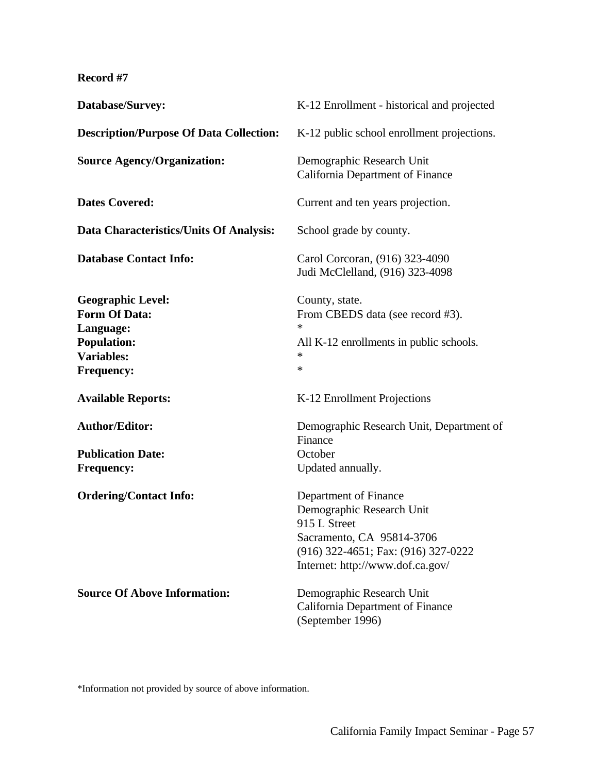| Database/Survey:                                                                                                              | K-12 Enrollment - historical and projected                                                                                                                                 |
|-------------------------------------------------------------------------------------------------------------------------------|----------------------------------------------------------------------------------------------------------------------------------------------------------------------------|
| <b>Description/Purpose Of Data Collection:</b>                                                                                | K-12 public school enrollment projections.                                                                                                                                 |
| <b>Source Agency/Organization:</b>                                                                                            | Demographic Research Unit<br>California Department of Finance                                                                                                              |
| <b>Dates Covered:</b>                                                                                                         | Current and ten years projection.                                                                                                                                          |
| Data Characteristics/Units Of Analysis:                                                                                       | School grade by county.                                                                                                                                                    |
| <b>Database Contact Info:</b>                                                                                                 | Carol Corcoran, (916) 323-4090<br>Judi McClelland, (916) 323-4098                                                                                                          |
| <b>Geographic Level:</b><br><b>Form Of Data:</b><br>Language:<br><b>Population:</b><br><b>Variables:</b><br><b>Frequency:</b> | County, state.<br>From CBEDS data (see record #3).<br>*<br>All K-12 enrollments in public schools.<br>*<br>*                                                               |
| <b>Available Reports:</b>                                                                                                     | K-12 Enrollment Projections                                                                                                                                                |
| <b>Author/Editor:</b><br><b>Publication Date:</b><br><b>Frequency:</b>                                                        | Demographic Research Unit, Department of<br>Finance<br>October<br>Updated annually.                                                                                        |
| <b>Ordering/Contact Info:</b>                                                                                                 | Department of Finance<br>Demographic Research Unit<br>915 L Street<br>Sacramento, CA 95814-3706<br>(916) 322-4651; Fax: (916) 327-0222<br>Internet: http://www.dof.ca.gov/ |
| <b>Source Of Above Information:</b>                                                                                           | Demographic Research Unit<br>California Department of Finance<br>(September 1996)                                                                                          |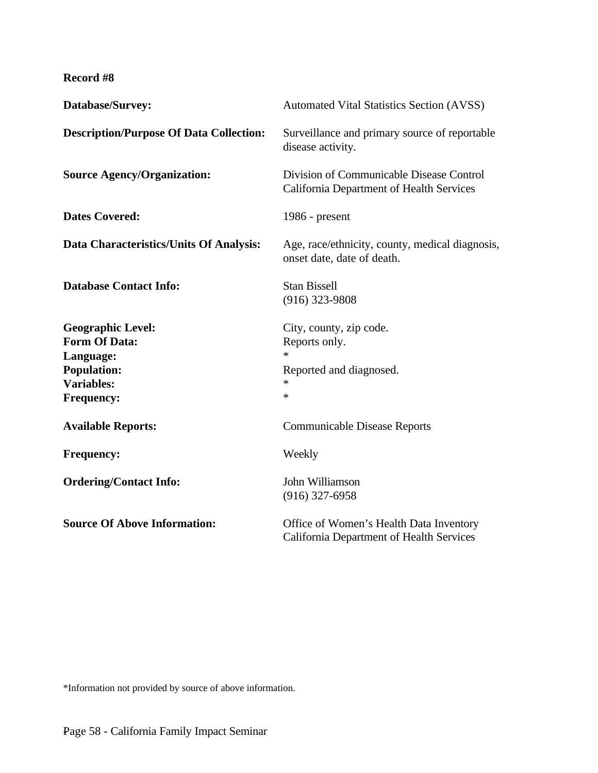| Database/Survey:                               | <b>Automated Vital Statistics Section (AVSS)</b>                                     |
|------------------------------------------------|--------------------------------------------------------------------------------------|
| <b>Description/Purpose Of Data Collection:</b> | Surveillance and primary source of reportable<br>disease activity.                   |
| <b>Source Agency/Organization:</b>             | Division of Communicable Disease Control<br>California Department of Health Services |
| <b>Dates Covered:</b>                          | 1986 - present                                                                       |
| Data Characteristics/Units Of Analysis:        | Age, race/ethnicity, county, medical diagnosis,<br>onset date, date of death.        |
| <b>Database Contact Info:</b>                  | <b>Stan Bissell</b><br>$(916)$ 323-9808                                              |
| <b>Geographic Level:</b>                       | City, county, zip code.                                                              |
| <b>Form Of Data:</b>                           | Reports only.                                                                        |
| Language:                                      |                                                                                      |
| <b>Population:</b>                             | Reported and diagnosed.                                                              |
| <b>Variables:</b>                              | *                                                                                    |
| <b>Frequency:</b>                              | $\ast$                                                                               |
| <b>Available Reports:</b>                      | <b>Communicable Disease Reports</b>                                                  |
| <b>Frequency:</b>                              | Weekly                                                                               |
| <b>Ordering/Contact Info:</b>                  | John Williamson<br>$(916)$ 327-6958                                                  |
| <b>Source Of Above Information:</b>            | Office of Women's Health Data Inventory<br>California Department of Health Services  |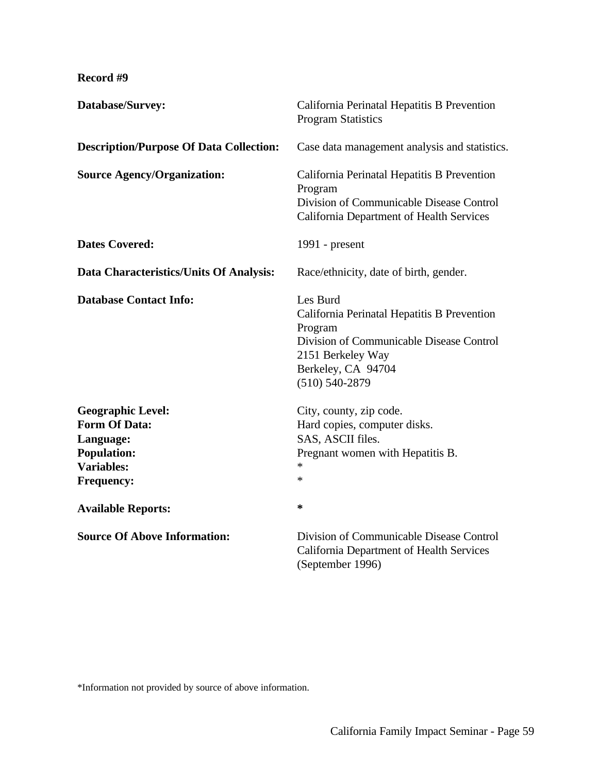| Database/Survey:                                                                                                              | California Perinatal Hepatitis B Prevention<br><b>Program Statistics</b>                                                                                                        |
|-------------------------------------------------------------------------------------------------------------------------------|---------------------------------------------------------------------------------------------------------------------------------------------------------------------------------|
| <b>Description/Purpose Of Data Collection:</b>                                                                                | Case data management analysis and statistics.                                                                                                                                   |
| <b>Source Agency/Organization:</b>                                                                                            | California Perinatal Hepatitis B Prevention<br>Program<br>Division of Communicable Disease Control<br>California Department of Health Services                                  |
| <b>Dates Covered:</b>                                                                                                         | 1991 - present                                                                                                                                                                  |
| Data Characteristics/Units Of Analysis:                                                                                       | Race/ethnicity, date of birth, gender.                                                                                                                                          |
| <b>Database Contact Info:</b>                                                                                                 | Les Burd<br>California Perinatal Hepatitis B Prevention<br>Program<br>Division of Communicable Disease Control<br>2151 Berkeley Way<br>Berkeley, CA 94704<br>$(510) 540 - 2879$ |
| <b>Geographic Level:</b><br><b>Form Of Data:</b><br>Language:<br><b>Population:</b><br><b>Variables:</b><br><b>Frequency:</b> | City, county, zip code.<br>Hard copies, computer disks.<br>SAS, ASCII files.<br>Pregnant women with Hepatitis B.<br>$\ast$<br>$\ast$                                            |
| <b>Available Reports:</b>                                                                                                     | $\ast$                                                                                                                                                                          |
| <b>Source Of Above Information:</b>                                                                                           | Division of Communicable Disease Control<br>California Department of Health Services<br>(September 1996)                                                                        |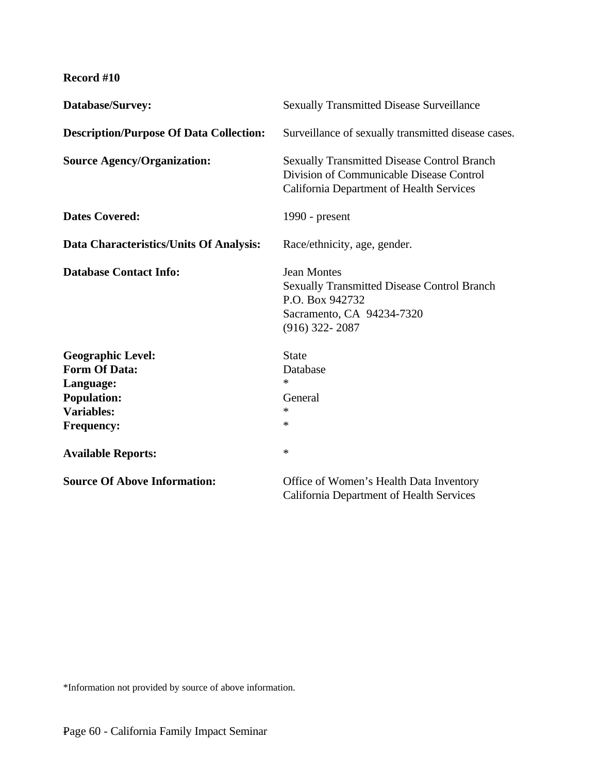| Database/Survey:                                                                                                              | <b>Sexually Transmitted Disease Surveillance</b>                                                                                             |
|-------------------------------------------------------------------------------------------------------------------------------|----------------------------------------------------------------------------------------------------------------------------------------------|
| <b>Description/Purpose Of Data Collection:</b>                                                                                | Surveillance of sexually transmitted disease cases.                                                                                          |
| <b>Source Agency/Organization:</b>                                                                                            | <b>Sexually Transmitted Disease Control Branch</b><br>Division of Communicable Disease Control<br>California Department of Health Services   |
| <b>Dates Covered:</b>                                                                                                         | 1990 - $present$                                                                                                                             |
| Data Characteristics/Units Of Analysis:                                                                                       | Race/ethnicity, age, gender.                                                                                                                 |
| <b>Database Contact Info:</b>                                                                                                 | <b>Jean Montes</b><br><b>Sexually Transmitted Disease Control Branch</b><br>P.O. Box 942732<br>Sacramento, CA 94234-7320<br>$(916)$ 322-2087 |
| <b>Geographic Level:</b><br><b>Form Of Data:</b><br>Language:<br><b>Population:</b><br><b>Variables:</b><br><b>Frequency:</b> | <b>State</b><br>Database<br>*<br>General<br>*<br>*                                                                                           |
| <b>Available Reports:</b>                                                                                                     | $\ast$                                                                                                                                       |
| <b>Source Of Above Information:</b>                                                                                           | Office of Women's Health Data Inventory<br>California Department of Health Services                                                          |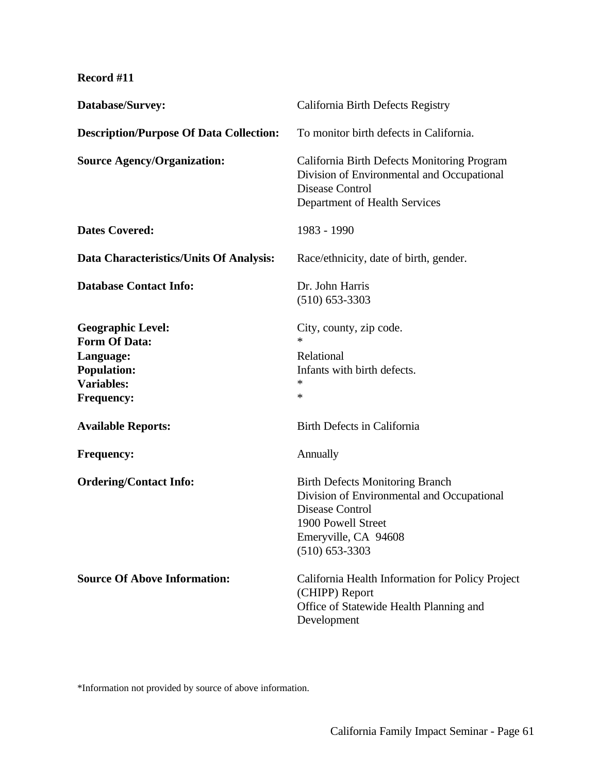| Database/Survey:                                                                                                              | California Birth Defects Registry                                                                                                                                           |
|-------------------------------------------------------------------------------------------------------------------------------|-----------------------------------------------------------------------------------------------------------------------------------------------------------------------------|
| <b>Description/Purpose Of Data Collection:</b>                                                                                | To monitor birth defects in California.                                                                                                                                     |
| <b>Source Agency/Organization:</b>                                                                                            | California Birth Defects Monitoring Program<br>Division of Environmental and Occupational<br>Disease Control<br>Department of Health Services                               |
| <b>Dates Covered:</b>                                                                                                         | 1983 - 1990                                                                                                                                                                 |
| Data Characteristics/Units Of Analysis:                                                                                       | Race/ethnicity, date of birth, gender.                                                                                                                                      |
| <b>Database Contact Info:</b>                                                                                                 | Dr. John Harris<br>$(510) 653 - 3303$                                                                                                                                       |
| <b>Geographic Level:</b><br><b>Form Of Data:</b><br>Language:<br><b>Population:</b><br><b>Variables:</b><br><b>Frequency:</b> | City, county, zip code.<br>$\ast$<br>Relational<br>Infants with birth defects.<br>$\ast$<br>$\ast$                                                                          |
| <b>Available Reports:</b>                                                                                                     | Birth Defects in California                                                                                                                                                 |
| <b>Frequency:</b>                                                                                                             | Annually                                                                                                                                                                    |
| <b>Ordering/Contact Info:</b>                                                                                                 | <b>Birth Defects Monitoring Branch</b><br>Division of Environmental and Occupational<br>Disease Control<br>1900 Powell Street<br>Emeryville, CA 94608<br>$(510) 653 - 3303$ |
| <b>Source Of Above Information:</b>                                                                                           | California Health Information for Policy Project<br>(CHIPP) Report<br>Office of Statewide Health Planning and<br>Development                                                |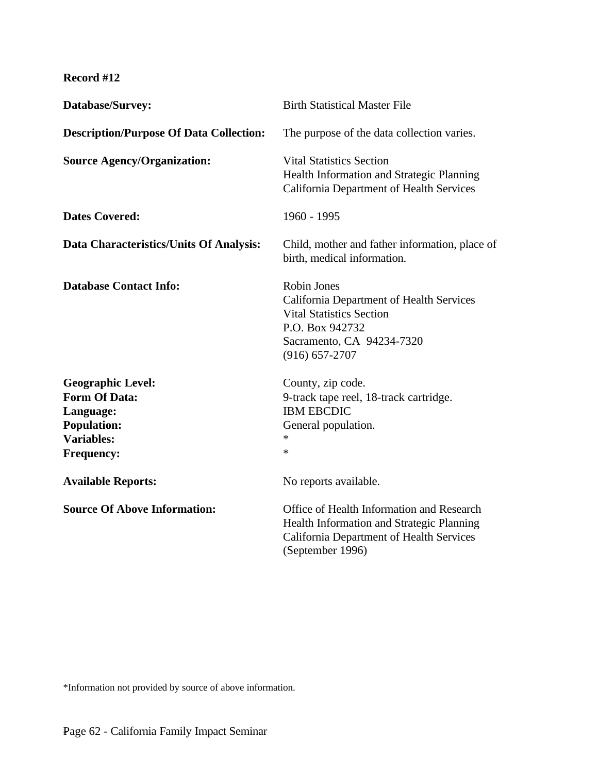| Database/Survey:                                                                                                              | <b>Birth Statistical Master File</b>                                                                                                                                    |
|-------------------------------------------------------------------------------------------------------------------------------|-------------------------------------------------------------------------------------------------------------------------------------------------------------------------|
| <b>Description/Purpose Of Data Collection:</b>                                                                                | The purpose of the data collection varies.                                                                                                                              |
| <b>Source Agency/Organization:</b>                                                                                            | <b>Vital Statistics Section</b><br>Health Information and Strategic Planning<br>California Department of Health Services                                                |
| <b>Dates Covered:</b>                                                                                                         | 1960 - 1995                                                                                                                                                             |
| Data Characteristics/Units Of Analysis:                                                                                       | Child, mother and father information, place of<br>birth, medical information.                                                                                           |
| <b>Database Contact Info:</b>                                                                                                 | <b>Robin Jones</b><br>California Department of Health Services<br><b>Vital Statistics Section</b><br>P.O. Box 942732<br>Sacramento, CA 94234-7320<br>$(916) 657 - 2707$ |
| <b>Geographic Level:</b><br><b>Form Of Data:</b><br>Language:<br><b>Population:</b><br><b>Variables:</b><br><b>Frequency:</b> | County, zip code.<br>9-track tape reel, 18-track cartridge.<br><b>IBM EBCDIC</b><br>General population.<br>$\ast$<br>$\ast$                                             |
| <b>Available Reports:</b>                                                                                                     | No reports available.                                                                                                                                                   |
| <b>Source Of Above Information:</b>                                                                                           | Office of Health Information and Research<br>Health Information and Strategic Planning<br>California Department of Health Services<br>(September 1996)                  |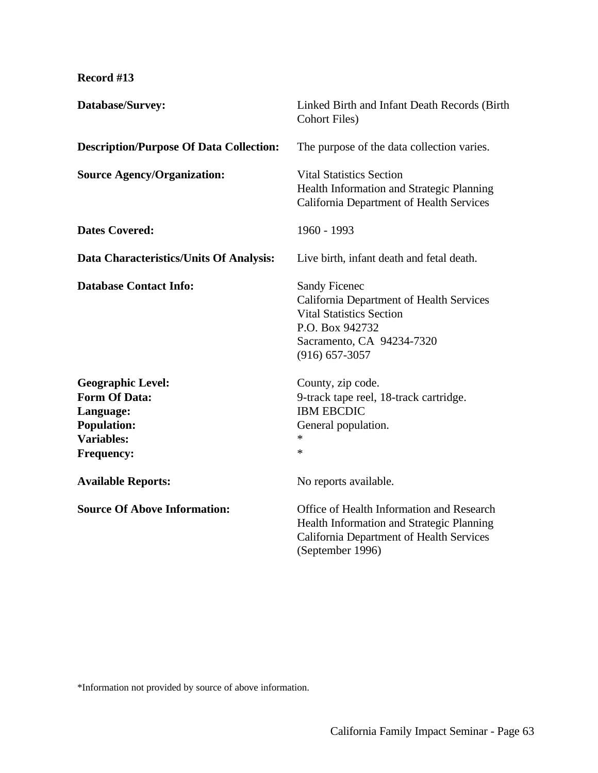| Database/Survey:                                                                                                       | Linked Birth and Infant Death Records (Birth<br><b>Cohort Files)</b>                                                                                                      |
|------------------------------------------------------------------------------------------------------------------------|---------------------------------------------------------------------------------------------------------------------------------------------------------------------------|
| <b>Description/Purpose Of Data Collection:</b>                                                                         | The purpose of the data collection varies.                                                                                                                                |
| <b>Source Agency/Organization:</b>                                                                                     | <b>Vital Statistics Section</b><br>Health Information and Strategic Planning<br>California Department of Health Services                                                  |
| <b>Dates Covered:</b>                                                                                                  | 1960 - 1993                                                                                                                                                               |
| Data Characteristics/Units Of Analysis:                                                                                | Live birth, infant death and fetal death.                                                                                                                                 |
| <b>Database Contact Info:</b>                                                                                          | <b>Sandy Ficenec</b><br>California Department of Health Services<br><b>Vital Statistics Section</b><br>P.O. Box 942732<br>Sacramento, CA 94234-7320<br>$(916) 657 - 3057$ |
| <b>Geographic Level:</b><br><b>Form Of Data:</b><br>Language:<br><b>Population:</b><br>Variables:<br><b>Frequency:</b> | County, zip code.<br>9-track tape reel, 18-track cartridge.<br><b>IBM EBCDIC</b><br>General population.<br>$\ast$<br>$\ast$                                               |
| <b>Available Reports:</b>                                                                                              | No reports available.                                                                                                                                                     |
| <b>Source Of Above Information:</b>                                                                                    | Office of Health Information and Research<br>Health Information and Strategic Planning<br>California Department of Health Services<br>(September 1996)                    |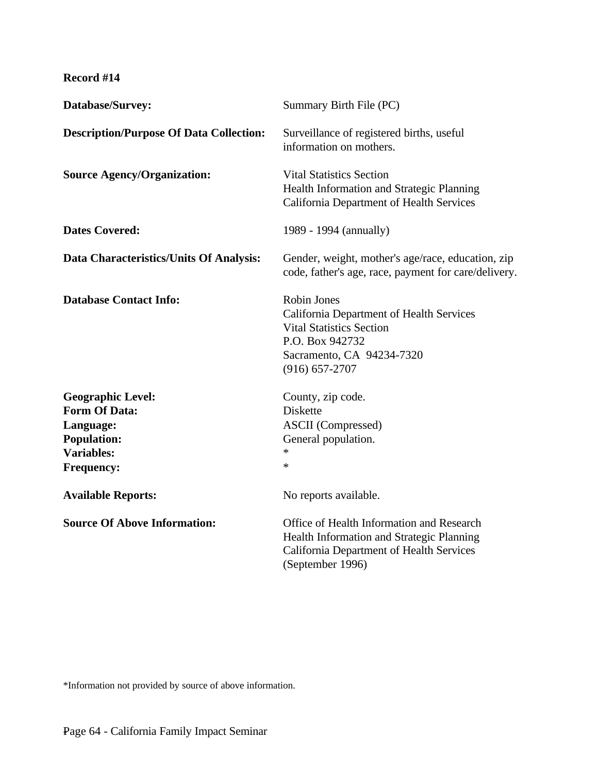| Database/Survey:                                                                                                              | Summary Birth File (PC)                                                                                                                                          |
|-------------------------------------------------------------------------------------------------------------------------------|------------------------------------------------------------------------------------------------------------------------------------------------------------------|
| <b>Description/Purpose Of Data Collection:</b>                                                                                | Surveillance of registered births, useful<br>information on mothers.                                                                                             |
| <b>Source Agency/Organization:</b>                                                                                            | <b>Vital Statistics Section</b><br>Health Information and Strategic Planning<br>California Department of Health Services                                         |
| <b>Dates Covered:</b>                                                                                                         | 1989 - 1994 (annually)                                                                                                                                           |
| <b>Data Characteristics/Units Of Analysis:</b>                                                                                | Gender, weight, mother's age/race, education, zip<br>code, father's age, race, payment for care/delivery.                                                        |
| <b>Database Contact Info:</b>                                                                                                 | Robin Jones<br>California Department of Health Services<br><b>Vital Statistics Section</b><br>P.O. Box 942732<br>Sacramento, CA 94234-7320<br>$(916) 657 - 2707$ |
| <b>Geographic Level:</b><br><b>Form Of Data:</b><br>Language:<br><b>Population:</b><br><b>Variables:</b><br><b>Frequency:</b> | County, zip code.<br><b>Diskette</b><br><b>ASCII</b> (Compressed)<br>General population.<br>*<br>$\ast$                                                          |
| <b>Available Reports:</b>                                                                                                     | No reports available.                                                                                                                                            |
| <b>Source Of Above Information:</b>                                                                                           | Office of Health Information and Research<br>Health Information and Strategic Planning<br>California Department of Health Services<br>(September 1996)           |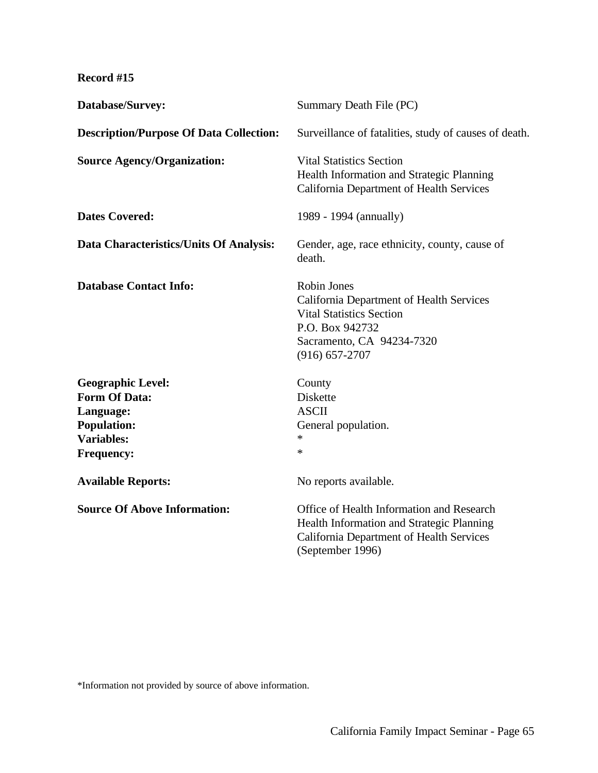| Database/Survey:                                                                                                              | Summary Death File (PC)                                                                                                                                          |
|-------------------------------------------------------------------------------------------------------------------------------|------------------------------------------------------------------------------------------------------------------------------------------------------------------|
| <b>Description/Purpose Of Data Collection:</b>                                                                                | Surveillance of fatalities, study of causes of death.                                                                                                            |
| <b>Source Agency/Organization:</b>                                                                                            | <b>Vital Statistics Section</b><br>Health Information and Strategic Planning<br>California Department of Health Services                                         |
| <b>Dates Covered:</b>                                                                                                         | 1989 - 1994 (annually)                                                                                                                                           |
| Data Characteristics/Units Of Analysis:                                                                                       | Gender, age, race ethnicity, county, cause of<br>death.                                                                                                          |
| <b>Database Contact Info:</b>                                                                                                 | Robin Jones<br>California Department of Health Services<br><b>Vital Statistics Section</b><br>P.O. Box 942732<br>Sacramento, CA 94234-7320<br>$(916) 657 - 2707$ |
| <b>Geographic Level:</b><br><b>Form Of Data:</b><br>Language:<br><b>Population:</b><br><b>Variables:</b><br><b>Frequency:</b> | County<br><b>Diskette</b><br><b>ASCII</b><br>General population.<br>$\ast$<br>$\ast$                                                                             |
| <b>Available Reports:</b>                                                                                                     | No reports available.                                                                                                                                            |
| <b>Source Of Above Information:</b>                                                                                           | Office of Health Information and Research<br>Health Information and Strategic Planning<br>California Department of Health Services<br>(September 1996)           |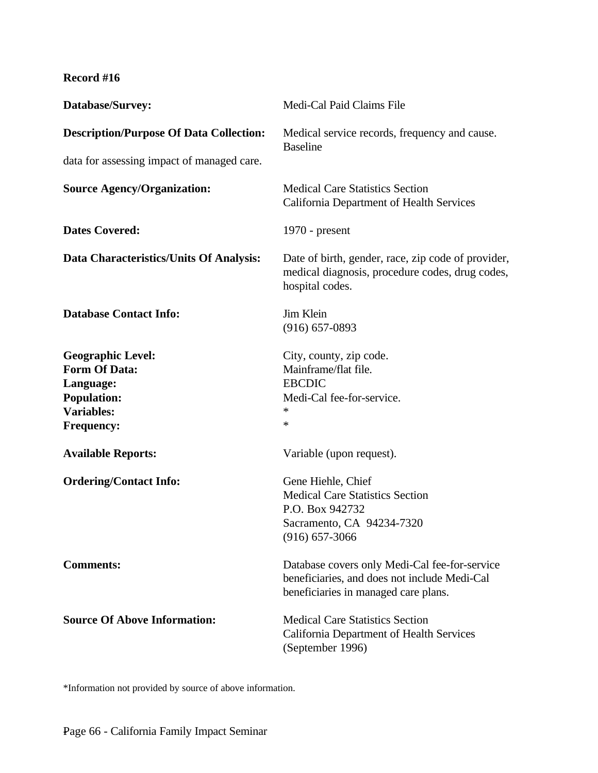| Database/Survey:                                                                                                              | Medi-Cal Paid Claims File                                                                                                             |
|-------------------------------------------------------------------------------------------------------------------------------|---------------------------------------------------------------------------------------------------------------------------------------|
| <b>Description/Purpose Of Data Collection:</b>                                                                                | Medical service records, frequency and cause.<br><b>Baseline</b>                                                                      |
| data for assessing impact of managed care.                                                                                    |                                                                                                                                       |
| <b>Source Agency/Organization:</b>                                                                                            | <b>Medical Care Statistics Section</b><br>California Department of Health Services                                                    |
| <b>Dates Covered:</b>                                                                                                         | $1970$ - present                                                                                                                      |
| Data Characteristics/Units Of Analysis:                                                                                       | Date of birth, gender, race, zip code of provider,<br>medical diagnosis, procedure codes, drug codes,<br>hospital codes.              |
| <b>Database Contact Info:</b>                                                                                                 | Jim Klein<br>$(916) 657 - 0893$                                                                                                       |
| <b>Geographic Level:</b><br><b>Form Of Data:</b><br>Language:<br><b>Population:</b><br><b>Variables:</b><br><b>Frequency:</b> | City, county, zip code.<br>Mainframe/flat file.<br><b>EBCDIC</b><br>Medi-Cal fee-for-service.<br>*<br>*                               |
| <b>Available Reports:</b>                                                                                                     | Variable (upon request).                                                                                                              |
| <b>Ordering/Contact Info:</b>                                                                                                 | Gene Hiehle, Chief<br><b>Medical Care Statistics Section</b><br>P.O. Box 942732<br>Sacramento, CA 94234-7320<br>$(916)$ 657-3066      |
| <b>Comments:</b>                                                                                                              | Database covers only Medi-Cal fee-for-service<br>beneficiaries, and does not include Medi-Cal<br>beneficiaries in managed care plans. |
| <b>Source Of Above Information:</b>                                                                                           | <b>Medical Care Statistics Section</b><br>California Department of Health Services<br>(September 1996)                                |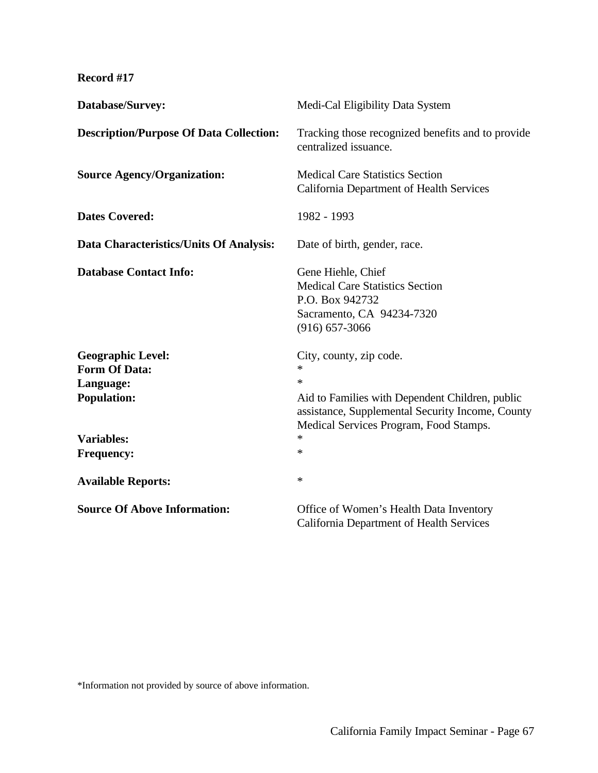| Database/Survey:                                                                    | Medi-Cal Eligibility Data System                                                                                                   |
|-------------------------------------------------------------------------------------|------------------------------------------------------------------------------------------------------------------------------------|
| <b>Description/Purpose Of Data Collection:</b>                                      | Tracking those recognized benefits and to provide<br>centralized issuance.                                                         |
| <b>Source Agency/Organization:</b>                                                  | <b>Medical Care Statistics Section</b><br>California Department of Health Services                                                 |
| <b>Dates Covered:</b>                                                               | 1982 - 1993                                                                                                                        |
| Data Characteristics/Units Of Analysis:                                             | Date of birth, gender, race.                                                                                                       |
| <b>Database Contact Info:</b>                                                       | Gene Hiehle, Chief<br><b>Medical Care Statistics Section</b><br>P.O. Box 942732<br>Sacramento, CA 94234-7320<br>$(916) 657 - 3066$ |
| <b>Geographic Level:</b><br><b>Form Of Data:</b><br>Language:<br><b>Population:</b> | City, county, zip code.<br>∗<br>$\ast$<br>Aid to Families with Dependent Children, public                                          |
| <b>Variables:</b><br><b>Frequency:</b>                                              | assistance, Supplemental Security Income, County<br>Medical Services Program, Food Stamps.<br>$\ast$<br>$\ast$                     |
| <b>Available Reports:</b>                                                           | $\ast$                                                                                                                             |
| <b>Source Of Above Information:</b>                                                 | Office of Women's Health Data Inventory<br>California Department of Health Services                                                |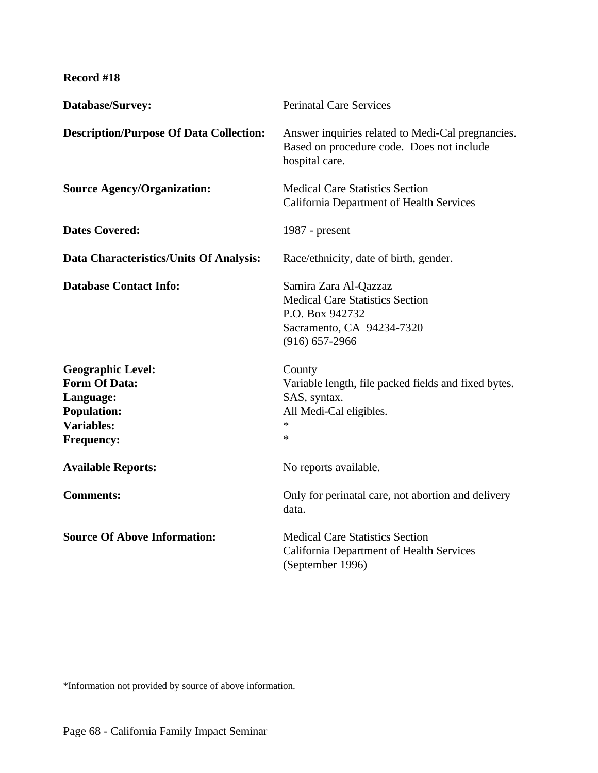| Database/Survey:                                                                                                              | <b>Perinatal Care Services</b>                                                                                                        |
|-------------------------------------------------------------------------------------------------------------------------------|---------------------------------------------------------------------------------------------------------------------------------------|
| <b>Description/Purpose Of Data Collection:</b>                                                                                | Answer inquiries related to Medi-Cal pregnancies.<br>Based on procedure code. Does not include<br>hospital care.                      |
| <b>Source Agency/Organization:</b>                                                                                            | <b>Medical Care Statistics Section</b><br>California Department of Health Services                                                    |
| <b>Dates Covered:</b>                                                                                                         | 1987 - present                                                                                                                        |
| Data Characteristics/Units Of Analysis:                                                                                       | Race/ethnicity, date of birth, gender.                                                                                                |
| <b>Database Contact Info:</b>                                                                                                 | Samira Zara Al-Qazzaz<br><b>Medical Care Statistics Section</b><br>P.O. Box 942732<br>Sacramento, CA 94234-7320<br>$(916) 657 - 2966$ |
| <b>Geographic Level:</b><br><b>Form Of Data:</b><br>Language:<br><b>Population:</b><br><b>Variables:</b><br><b>Frequency:</b> | County<br>Variable length, file packed fields and fixed bytes.<br>SAS, syntax.<br>All Medi-Cal eligibles.<br>*<br>$\ast$              |
| <b>Available Reports:</b>                                                                                                     | No reports available.                                                                                                                 |
| <b>Comments:</b>                                                                                                              | Only for perinatal care, not abortion and delivery<br>data.                                                                           |
| <b>Source Of Above Information:</b>                                                                                           | <b>Medical Care Statistics Section</b><br>California Department of Health Services<br>(September 1996)                                |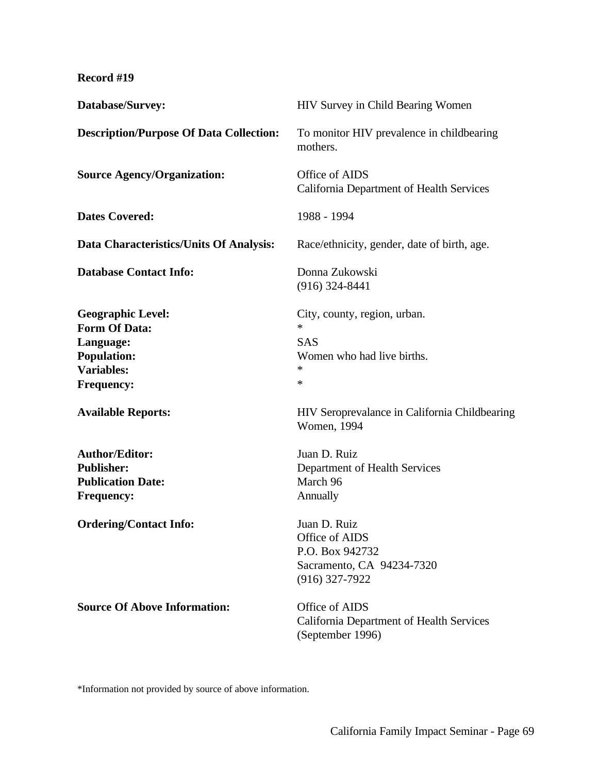| Database/Survey:                                                                                                       | HIV Survey in Child Bearing Women                                                                  |
|------------------------------------------------------------------------------------------------------------------------|----------------------------------------------------------------------------------------------------|
| <b>Description/Purpose Of Data Collection:</b>                                                                         | To monitor HIV prevalence in childbearing<br>mothers.                                              |
| <b>Source Agency/Organization:</b>                                                                                     | Office of AIDS<br>California Department of Health Services                                         |
| <b>Dates Covered:</b>                                                                                                  | 1988 - 1994                                                                                        |
| Data Characteristics/Units Of Analysis:                                                                                | Race/ethnicity, gender, date of birth, age.                                                        |
| <b>Database Contact Info:</b>                                                                                          | Donna Zukowski<br>$(916)$ 324-8441                                                                 |
| <b>Geographic Level:</b><br><b>Form Of Data:</b><br>Language:<br><b>Population:</b><br><b>Variables:</b><br>Frequency: | City, county, region, urban.<br>$\ast$<br><b>SAS</b><br>Women who had live births.<br>*<br>$\ast$  |
| <b>Available Reports:</b>                                                                                              | HIV Seroprevalance in California Childbearing<br>Women, 1994                                       |
| <b>Author/Editor:</b><br><b>Publisher:</b><br><b>Publication Date:</b><br><b>Frequency:</b>                            | Juan D. Ruiz<br>Department of Health Services<br>March 96<br>Annually                              |
| <b>Ordering/Contact Info:</b>                                                                                          | Juan D. Ruiz<br>Office of AIDS<br>P.O. Box 942732<br>Sacramento, CA 94234-7320<br>$(916)$ 327-7922 |
| <b>Source Of Above Information:</b>                                                                                    | Office of AIDS<br>California Department of Health Services<br>(September 1996)                     |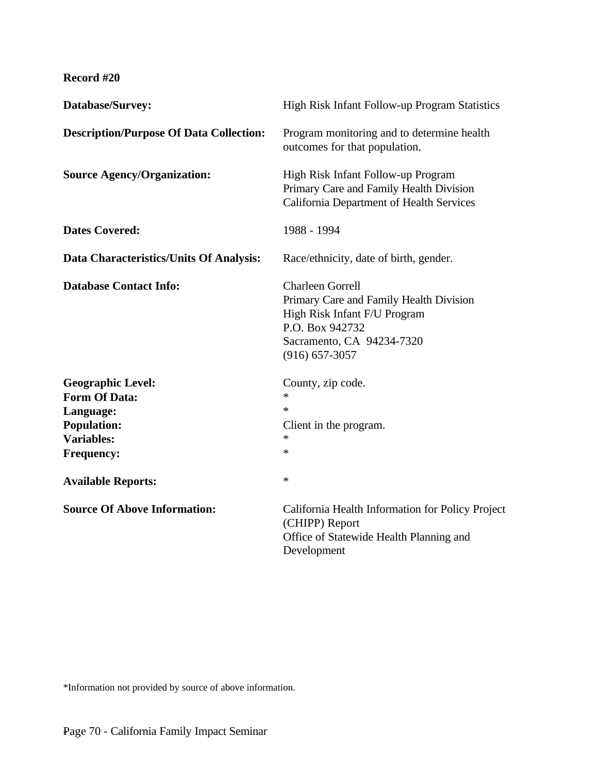| Database/Survey:                                                                                                              | High Risk Infant Follow-up Program Statistics                                                                                                                            |
|-------------------------------------------------------------------------------------------------------------------------------|--------------------------------------------------------------------------------------------------------------------------------------------------------------------------|
| <b>Description/Purpose Of Data Collection:</b>                                                                                | Program monitoring and to determine health<br>outcomes for that population.                                                                                              |
| <b>Source Agency/Organization:</b>                                                                                            | High Risk Infant Follow-up Program<br>Primary Care and Family Health Division<br>California Department of Health Services                                                |
| <b>Dates Covered:</b>                                                                                                         | 1988 - 1994                                                                                                                                                              |
| Data Characteristics/Units Of Analysis:                                                                                       | Race/ethnicity, date of birth, gender.                                                                                                                                   |
| <b>Database Contact Info:</b>                                                                                                 | <b>Charleen Gorrell</b><br>Primary Care and Family Health Division<br>High Risk Infant F/U Program<br>P.O. Box 942732<br>Sacramento, CA 94234-7320<br>$(916) 657 - 3057$ |
| <b>Geographic Level:</b><br><b>Form Of Data:</b><br>Language:<br><b>Population:</b><br><b>Variables:</b><br><b>Frequency:</b> | County, zip code.<br>$\ast$<br>*<br>Client in the program.<br>*<br>$\ast$                                                                                                |
| <b>Available Reports:</b>                                                                                                     | $\ast$                                                                                                                                                                   |
| <b>Source Of Above Information:</b>                                                                                           | California Health Information for Policy Project<br>(CHIPP) Report<br>Office of Statewide Health Planning and<br>Development                                             |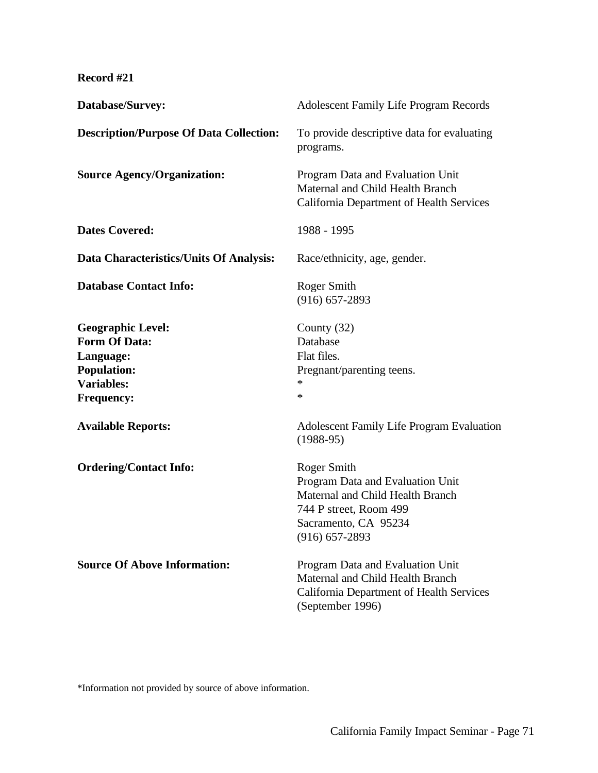| Database/Survey:                                                                                                              | <b>Adolescent Family Life Program Records</b>                                                                                                               |
|-------------------------------------------------------------------------------------------------------------------------------|-------------------------------------------------------------------------------------------------------------------------------------------------------------|
| <b>Description/Purpose Of Data Collection:</b>                                                                                | To provide descriptive data for evaluating<br>programs.                                                                                                     |
| <b>Source Agency/Organization:</b>                                                                                            | Program Data and Evaluation Unit<br>Maternal and Child Health Branch<br>California Department of Health Services                                            |
| <b>Dates Covered:</b>                                                                                                         | 1988 - 1995                                                                                                                                                 |
| Data Characteristics/Units Of Analysis:                                                                                       | Race/ethnicity, age, gender.                                                                                                                                |
| <b>Database Contact Info:</b>                                                                                                 | Roger Smith<br>$(916) 657 - 2893$                                                                                                                           |
| <b>Geographic Level:</b><br><b>Form Of Data:</b><br>Language:<br><b>Population:</b><br><b>Variables:</b><br><b>Frequency:</b> | County (32)<br>Database<br>Flat files.<br>Pregnant/parenting teens.<br>$\ast$<br>$\ast$                                                                     |
| <b>Available Reports:</b>                                                                                                     | <b>Adolescent Family Life Program Evaluation</b><br>$(1988-95)$                                                                                             |
| <b>Ordering/Contact Info:</b>                                                                                                 | Roger Smith<br>Program Data and Evaluation Unit<br>Maternal and Child Health Branch<br>744 P street, Room 499<br>Sacramento, CA 95234<br>$(916) 657 - 2893$ |
| <b>Source Of Above Information:</b>                                                                                           | Program Data and Evaluation Unit<br>Maternal and Child Health Branch<br>California Department of Health Services<br>(September 1996)                        |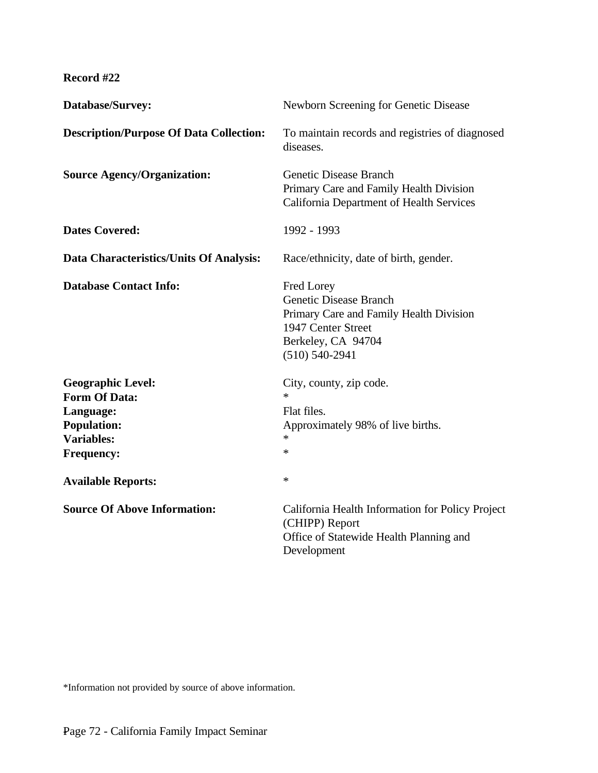| Database/Survey:                                                                                                              | Newborn Screening for Genetic Disease                                                                                                                    |
|-------------------------------------------------------------------------------------------------------------------------------|----------------------------------------------------------------------------------------------------------------------------------------------------------|
| <b>Description/Purpose Of Data Collection:</b>                                                                                | To maintain records and registries of diagnosed<br>diseases.                                                                                             |
| <b>Source Agency/Organization:</b>                                                                                            | Genetic Disease Branch<br>Primary Care and Family Health Division<br>California Department of Health Services                                            |
| <b>Dates Covered:</b>                                                                                                         | 1992 - 1993                                                                                                                                              |
| Data Characteristics/Units Of Analysis:                                                                                       | Race/ethnicity, date of birth, gender.                                                                                                                   |
| <b>Database Contact Info:</b>                                                                                                 | Fred Lorey<br><b>Genetic Disease Branch</b><br>Primary Care and Family Health Division<br>1947 Center Street<br>Berkeley, CA 94704<br>$(510) 540 - 2941$ |
| <b>Geographic Level:</b><br><b>Form Of Data:</b><br>Language:<br><b>Population:</b><br><b>Variables:</b><br><b>Frequency:</b> | City, county, zip code.<br>$\ast$<br>Flat files.<br>Approximately 98% of live births.<br>$\ast$<br>$\ast$                                                |
| <b>Available Reports:</b>                                                                                                     | $\ast$                                                                                                                                                   |
| <b>Source Of Above Information:</b>                                                                                           | California Health Information for Policy Project<br>(CHIPP) Report<br>Office of Statewide Health Planning and<br>Development                             |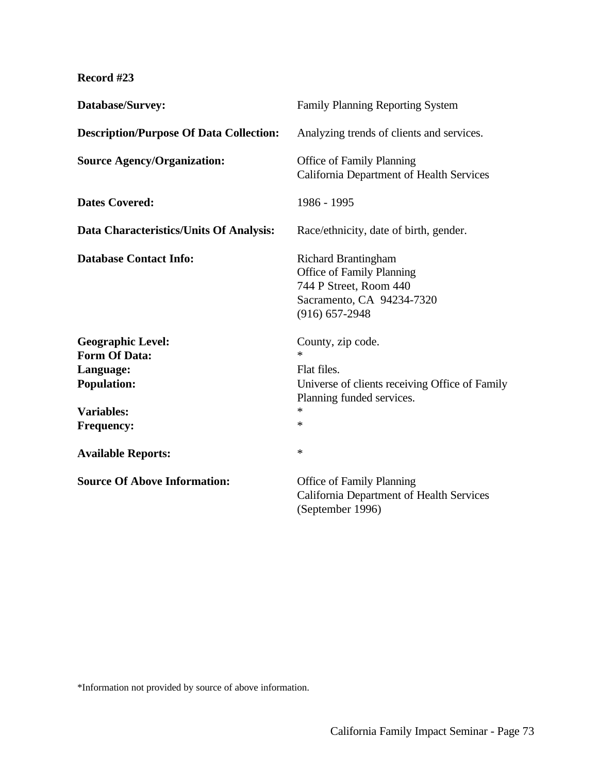| Database/Survey:                                                                    | <b>Family Planning Reporting System</b>                                                                                       |
|-------------------------------------------------------------------------------------|-------------------------------------------------------------------------------------------------------------------------------|
| <b>Description/Purpose Of Data Collection:</b>                                      | Analyzing trends of clients and services.                                                                                     |
| <b>Source Agency/Organization:</b>                                                  | <b>Office of Family Planning</b><br>California Department of Health Services                                                  |
| <b>Dates Covered:</b>                                                               | 1986 - 1995                                                                                                                   |
| Data Characteristics/Units Of Analysis:                                             | Race/ethnicity, date of birth, gender.                                                                                        |
| <b>Database Contact Info:</b>                                                       | Richard Brantingham<br>Office of Family Planning<br>744 P Street, Room 440<br>Sacramento, CA 94234-7320<br>$(916) 657 - 2948$ |
| <b>Geographic Level:</b><br><b>Form Of Data:</b><br>Language:<br><b>Population:</b> | County, zip code.<br>*<br>Flat files.<br>Universe of clients receiving Office of Family                                       |
| <b>Variables:</b><br><b>Frequency:</b>                                              | Planning funded services.<br>*<br>*                                                                                           |
| <b>Available Reports:</b>                                                           | *                                                                                                                             |
| <b>Source Of Above Information:</b>                                                 | <b>Office of Family Planning</b><br>California Department of Health Services<br>(September 1996)                              |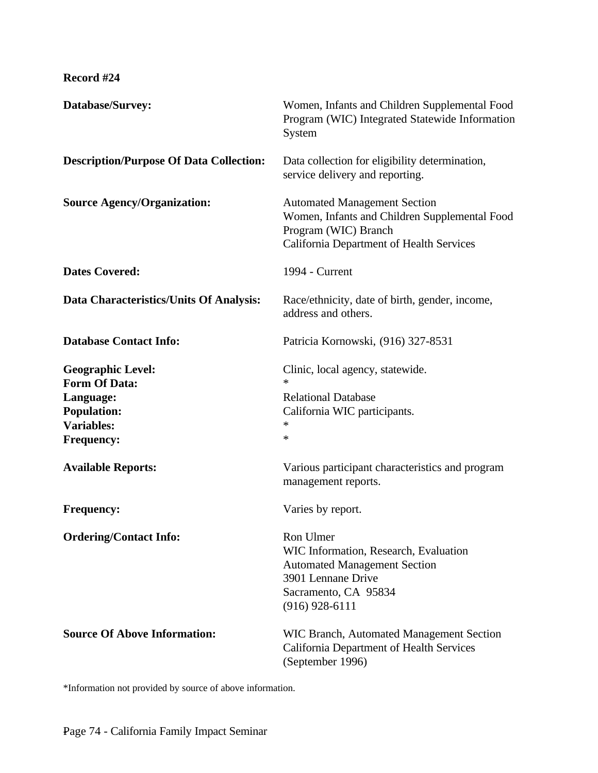| Database/Survey:                                 | Women, Infants and Children Supplemental Food<br>Program (WIC) Integrated Statewide Information<br>System                                                   |
|--------------------------------------------------|-------------------------------------------------------------------------------------------------------------------------------------------------------------|
| <b>Description/Purpose Of Data Collection:</b>   | Data collection for eligibility determination,<br>service delivery and reporting.                                                                           |
| <b>Source Agency/Organization:</b>               | <b>Automated Management Section</b><br>Women, Infants and Children Supplemental Food<br>Program (WIC) Branch<br>California Department of Health Services    |
| <b>Dates Covered:</b>                            | 1994 - Current                                                                                                                                              |
| <b>Data Characteristics/Units Of Analysis:</b>   | Race/ethnicity, date of birth, gender, income,<br>address and others.                                                                                       |
| <b>Database Contact Info:</b>                    | Patricia Kornowski, (916) 327-8531                                                                                                                          |
| <b>Geographic Level:</b><br><b>Form Of Data:</b> | Clinic, local agency, statewide.<br>$\ast$                                                                                                                  |
| Language:<br><b>Population:</b>                  | <b>Relational Database</b><br>California WIC participants.                                                                                                  |
| <b>Variables:</b><br><b>Frequency:</b>           | *<br>*                                                                                                                                                      |
| <b>Available Reports:</b>                        | Various participant characteristics and program<br>management reports.                                                                                      |
| <b>Frequency:</b>                                | Varies by report.                                                                                                                                           |
| <b>Ordering/Contact Info:</b>                    | Ron Ulmer<br>WIC Information, Research, Evaluation<br><b>Automated Management Section</b><br>3901 Lennane Drive<br>Sacramento, CA 95834<br>$(916)$ 928-6111 |
| <b>Source Of Above Information:</b>              | WIC Branch, Automated Management Section<br>California Department of Health Services<br>(September 1996)                                                    |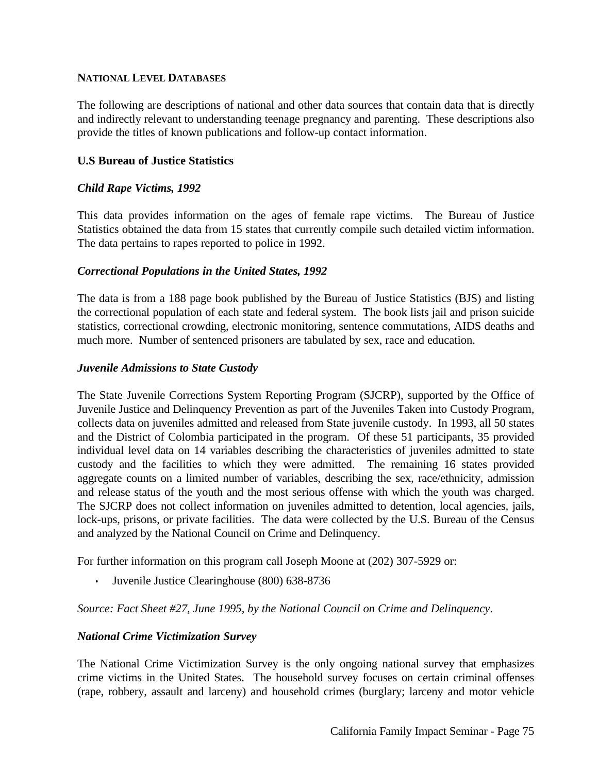#### **NATIONAL LEVEL DATABASES**

The following are descriptions of national and other data sources that contain data that is directly and indirectly relevant to understanding teenage pregnancy and parenting. These descriptions also provide the titles of known publications and follow-up contact information.

#### **U.S Bureau of Justice Statistics**

## *Child Rape Victims, 1992*

This data provides information on the ages of female rape victims. The Bureau of Justice Statistics obtained the data from 15 states that currently compile such detailed victim information. The data pertains to rapes reported to police in 1992.

#### *Correctional Populations in the United States, 1992*

The data is from a 188 page book published by the Bureau of Justice Statistics (BJS) and listing the correctional population of each state and federal system. The book lists jail and prison suicide statistics, correctional crowding, electronic monitoring, sentence commutations, AIDS deaths and much more. Number of sentenced prisoners are tabulated by sex, race and education.

## *Juvenile Admissions to State Custody*

The State Juvenile Corrections System Reporting Program (SJCRP), supported by the Office of Juvenile Justice and Delinquency Prevention as part of the Juveniles Taken into Custody Program, collects data on juveniles admitted and released from State juvenile custody. In 1993, all 50 states and the District of Colombia participated in the program. Of these 51 participants, 35 provided individual level data on 14 variables describing the characteristics of juveniles admitted to state custody and the facilities to which they were admitted. The remaining 16 states provided aggregate counts on a limited number of variables, describing the sex, race/ethnicity, admission and release status of the youth and the most serious offense with which the youth was charged. The SJCRP does not collect information on juveniles admitted to detention, local agencies, jails, lock-ups, prisons, or private facilities. The data were collected by the U.S. Bureau of the Census and analyzed by the National Council on Crime and Delinquency.

For further information on this program call Joseph Moone at (202) 307-5929 or:

• Juvenile Justice Clearinghouse (800) 638-8736

*Source: Fact Sheet #27, June 1995, by the National Council on Crime and Delinquency*.

#### *National Crime Victimization Survey*

The National Crime Victimization Survey is the only ongoing national survey that emphasizes crime victims in the United States. The household survey focuses on certain criminal offenses (rape, robbery, assault and larceny) and household crimes (burglary; larceny and motor vehicle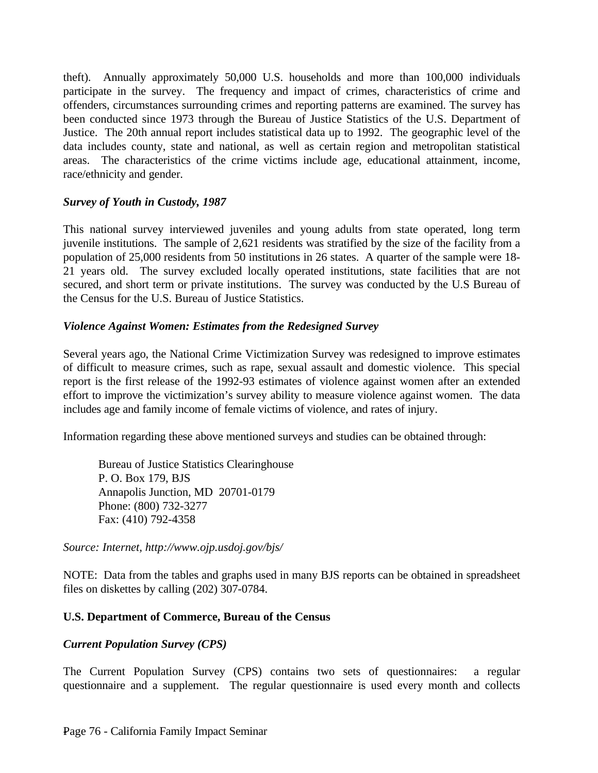theft). Annually approximately 50,000 U.S. households and more than 100,000 individuals participate in the survey. The frequency and impact of crimes, characteristics of crime and offenders, circumstances surrounding crimes and reporting patterns are examined. The survey has been conducted since 1973 through the Bureau of Justice Statistics of the U.S. Department of Justice. The 20th annual report includes statistical data up to 1992. The geographic level of the data includes county, state and national, as well as certain region and metropolitan statistical areas. The characteristics of the crime victims include age, educational attainment, income, race/ethnicity and gender.

## *Survey of Youth in Custody, 1987*

This national survey interviewed juveniles and young adults from state operated, long term juvenile institutions. The sample of 2,621 residents was stratified by the size of the facility from a population of 25,000 residents from 50 institutions in 26 states. A quarter of the sample were 18- 21 years old. The survey excluded locally operated institutions, state facilities that are not secured, and short term or private institutions. The survey was conducted by the U.S Bureau of the Census for the U.S. Bureau of Justice Statistics.

#### *Violence Against Women: Estimates from the Redesigned Survey*

Several years ago, the National Crime Victimization Survey was redesigned to improve estimates of difficult to measure crimes, such as rape, sexual assault and domestic violence. This special report is the first release of the 1992-93 estimates of violence against women after an extended effort to improve the victimization's survey ability to measure violence against women. The data includes age and family income of female victims of violence, and rates of injury.

Information regarding these above mentioned surveys and studies can be obtained through:

Bureau of Justice Statistics Clearinghouse P. O. Box 179, BJS Annapolis Junction, MD 20701-0179 Phone: (800) 732-3277 Fax: (410) 792-4358

*Source: Internet, http://www.ojp.usdoj.gov/bjs/*

NOTE: Data from the tables and graphs used in many BJS reports can be obtained in spreadsheet files on diskettes by calling (202) 307-0784.

#### **U.S. Department of Commerce, Bureau of the Census**

#### *Current Population Survey (CPS)*

The Current Population Survey (CPS) contains two sets of questionnaires: a regular questionnaire and a supplement. The regular questionnaire is used every month and collects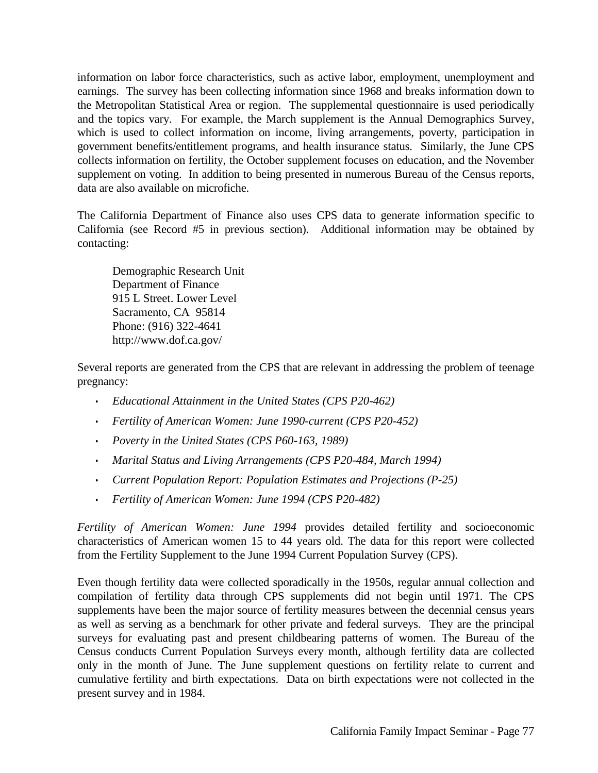information on labor force characteristics, such as active labor, employment, unemployment and earnings. The survey has been collecting information since 1968 and breaks information down to the Metropolitan Statistical Area or region. The supplemental questionnaire is used periodically and the topics vary. For example, the March supplement is the Annual Demographics Survey, which is used to collect information on income, living arrangements, poverty, participation in government benefits/entitlement programs, and health insurance status. Similarly, the June CPS collects information on fertility, the October supplement focuses on education, and the November supplement on voting. In addition to being presented in numerous Bureau of the Census reports, data are also available on microfiche.

The California Department of Finance also uses CPS data to generate information specific to California (see Record #5 in previous section). Additional information may be obtained by contacting:

Demographic Research Unit Department of Finance 915 L Street. Lower Level Sacramento, CA 95814 Phone: (916) 322-4641 http://www.dof.ca.gov/

Several reports are generated from the CPS that are relevant in addressing the problem of teenage pregnancy:

- *Educational Attainment in the United States (CPS P20-462)*
- *Fertility of American Women: June 1990-current (CPS P20-452)*
- *Poverty in the United States (CPS P60-163, 1989)*
- *Marital Status and Living Arrangements (CPS P20-484, March 1994)*
- *Current Population Report: Population Estimates and Projections (P-25)*
- *Fertility of American Women: June 1994 (CPS P20-482)*

*Fertility of American Women: June 1994* provides detailed fertility and socioeconomic characteristics of American women 15 to 44 years old. The data for this report were collected from the Fertility Supplement to the June 1994 Current Population Survey (CPS).

Even though fertility data were collected sporadically in the 1950s, regular annual collection and compilation of fertility data through CPS supplements did not begin until 1971. The CPS supplements have been the major source of fertility measures between the decennial census years as well as serving as a benchmark for other private and federal surveys. They are the principal surveys for evaluating past and present childbearing patterns of women. The Bureau of the Census conducts Current Population Surveys every month, although fertility data are collected only in the month of June. The June supplement questions on fertility relate to current and cumulative fertility and birth expectations. Data on birth expectations were not collected in the present survey and in 1984.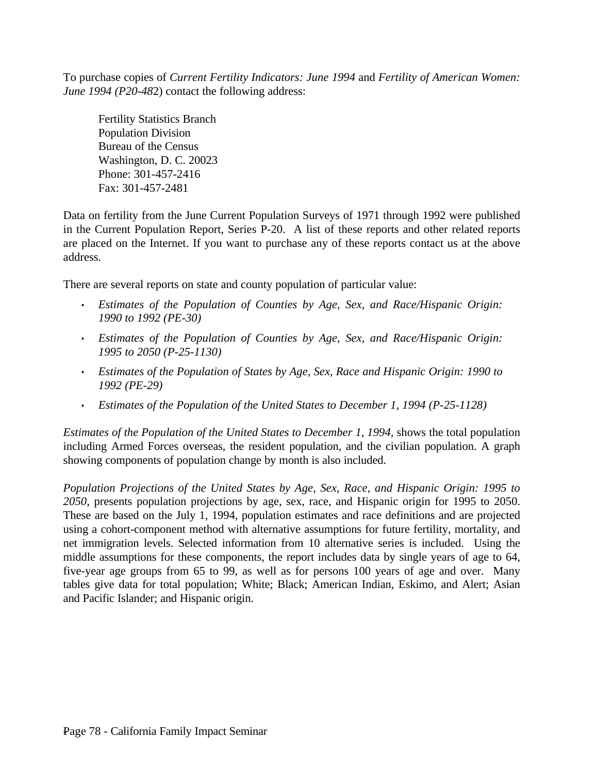To purchase copies of *Current Fertility Indicators: June 1994* and *Fertility of American Women: June 1994 (P20-48*2) contact the following address:

Fertility Statistics Branch Population Division Bureau of the Census Washington, D. C. 20023 Phone: 301-457-2416 Fax: 301-457-2481

Data on fertility from the June Current Population Surveys of 1971 through 1992 were published in the Current Population Report, Series P-20. A list of these reports and other related reports are placed on the Internet. If you want to purchase any of these reports contact us at the above address.

There are several reports on state and county population of particular value:

- *Estimates of the Population of Counties by Age, Sex, and Race/Hispanic Origin: 1990 to 1992 (PE-30)*
- *Estimates of the Population of Counties by Age, Sex, and Race/Hispanic Origin: 1995 to 2050 (P-25-1130)*
- *Estimates of the Population of States by Age, Sex, Race and Hispanic Origin: 1990 to 1992 (PE-29)*
- *Estimates of the Population of the United States to December 1, 1994 (P-25-1128)*

*Estimates of the Population of the United States to December 1, 1994,* shows the total population including Armed Forces overseas, the resident population, and the civilian population. A graph showing components of population change by month is also included.

*Population Projections of the United States by Age, Sex, Race, and Hispanic Origin: 1995 to 2050,* presents population projections by age, sex, race, and Hispanic origin for 1995 to 2050. These are based on the July 1, 1994, population estimates and race definitions and are projected using a cohort-component method with alternative assumptions for future fertility, mortality, and net immigration levels. Selected information from 10 alternative series is included. Using the middle assumptions for these components, the report includes data by single years of age to 64, five-year age groups from 65 to 99, as well as for persons 100 years of age and over. Many tables give data for total population; White; Black; American Indian, Eskimo, and Alert; Asian and Pacific Islander; and Hispanic origin.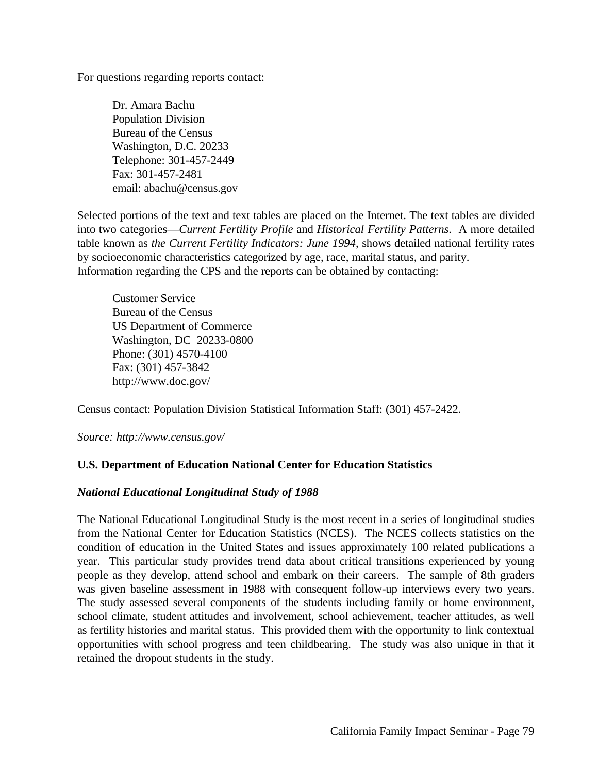For questions regarding reports contact:

Dr. Amara Bachu Population Division Bureau of the Census Washington, D.C. 20233 Telephone: 301-457-2449 Fax: 301-457-2481 email: abachu@census.gov

Selected portions of the text and text tables are placed on the Internet. The text tables are divided into two categories—*Current Fertility Profile* and *Historical Fertility Patterns*. A more detailed table known as *the Current Fertility Indicators: June 1994*, shows detailed national fertility rates by socioeconomic characteristics categorized by age, race, marital status, and parity. Information regarding the CPS and the reports can be obtained by contacting:

Customer Service Bureau of the Census US Department of Commerce Washington, DC 20233-0800 Phone: (301) 4570-4100 Fax: (301) 457-3842 http://www.doc.gov/

Census contact: Population Division Statistical Information Staff: (301) 457-2422.

*Source: http://www.census.gov/*

## **U.S. Department of Education National Center for Education Statistics**

#### *National Educational Longitudinal Study of 1988*

The National Educational Longitudinal Study is the most recent in a series of longitudinal studies from the National Center for Education Statistics (NCES). The NCES collects statistics on the condition of education in the United States and issues approximately 100 related publications a year. This particular study provides trend data about critical transitions experienced by young people as they develop, attend school and embark on their careers. The sample of 8th graders was given baseline assessment in 1988 with consequent follow-up interviews every two years. The study assessed several components of the students including family or home environment, school climate, student attitudes and involvement, school achievement, teacher attitudes, as well as fertility histories and marital status. This provided them with the opportunity to link contextual opportunities with school progress and teen childbearing. The study was also unique in that it retained the dropout students in the study.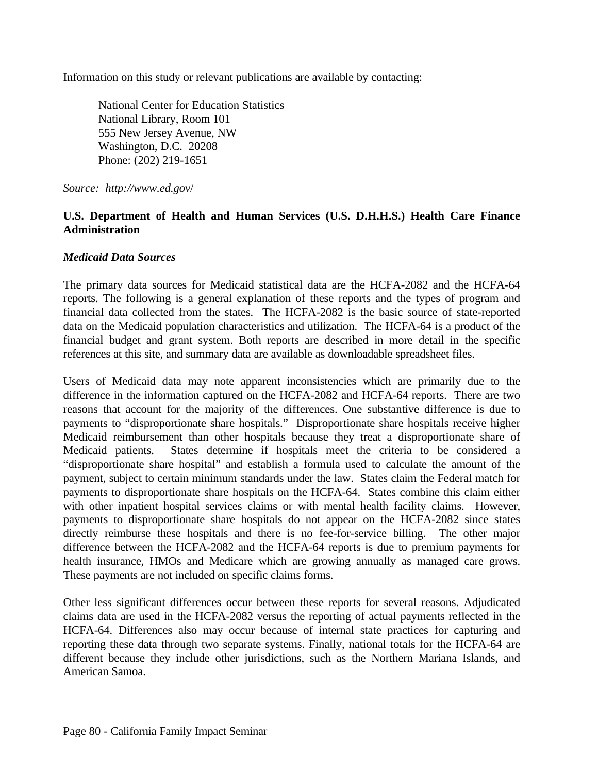Information on this study or relevant publications are available by contacting:

National Center for Education Statistics National Library, Room 101 555 New Jersey Avenue, NW Washington, D.C. 20208 Phone: (202) 219-1651

*Source: http://www.ed.gov*/

## **U.S. Department of Health and Human Services (U.S. D.H.H.S.) Health Care Finance Administration**

## *Medicaid Data Sources*

The primary data sources for Medicaid statistical data are the HCFA-2082 and the HCFA-64 reports. The following is a general explanation of these reports and the types of program and financial data collected from the states. The HCFA-2082 is the basic source of state-reported data on the Medicaid population characteristics and utilization. The HCFA-64 is a product of the financial budget and grant system. Both reports are described in more detail in the specific references at this site, and summary data are available as downloadable spreadsheet files.

Users of Medicaid data may note apparent inconsistencies which are primarily due to the difference in the information captured on the HCFA-2082 and HCFA-64 reports. There are two reasons that account for the majority of the differences. One substantive difference is due to payments to "disproportionate share hospitals." Disproportionate share hospitals receive higher Medicaid reimbursement than other hospitals because they treat a disproportionate share of Medicaid patients. States determine if hospitals meet the criteria to be considered a "disproportionate share hospital" and establish a formula used to calculate the amount of the payment, subject to certain minimum standards under the law. States claim the Federal match for payments to disproportionate share hospitals on the HCFA-64. States combine this claim either with other inpatient hospital services claims or with mental health facility claims. However, payments to disproportionate share hospitals do not appear on the HCFA-2082 since states directly reimburse these hospitals and there is no fee-for-service billing. The other major difference between the HCFA-2082 and the HCFA-64 reports is due to premium payments for health insurance, HMOs and Medicare which are growing annually as managed care grows. These payments are not included on specific claims forms.

Other less significant differences occur between these reports for several reasons. Adjudicated claims data are used in the HCFA-2082 versus the reporting of actual payments reflected in the HCFA-64. Differences also may occur because of internal state practices for capturing and reporting these data through two separate systems. Finally, national totals for the HCFA-64 are different because they include other jurisdictions, such as the Northern Mariana Islands, and American Samoa.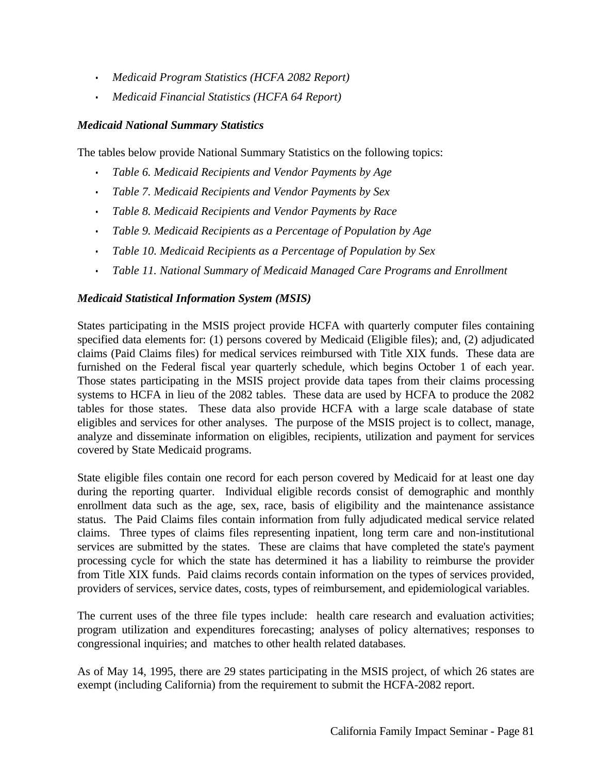- *Medicaid Program Statistics (HCFA 2082 Report)*
- *Medicaid Financial Statistics (HCFA 64 Report)*

## *Medicaid National Summary Statistics*

The tables below provide National Summary Statistics on the following topics:

- *Table 6. Medicaid Recipients and Vendor Payments by Age*
- *Table 7. Medicaid Recipients and Vendor Payments by Sex*
- *Table 8. Medicaid Recipients and Vendor Payments by Race*
- *Table 9. Medicaid Recipients as a Percentage of Population by Age*
- *Table 10. Medicaid Recipients as a Percentage of Population by Sex*
- *Table 11. National Summary of Medicaid Managed Care Programs and Enrollment*

## *Medicaid Statistical Information System (MSIS)*

States participating in the MSIS project provide HCFA with quarterly computer files containing specified data elements for: (1) persons covered by Medicaid (Eligible files); and, (2) adjudicated claims (Paid Claims files) for medical services reimbursed with Title XIX funds. These data are furnished on the Federal fiscal year quarterly schedule, which begins October 1 of each year. Those states participating in the MSIS project provide data tapes from their claims processing systems to HCFA in lieu of the 2082 tables. These data are used by HCFA to produce the 2082 tables for those states. These data also provide HCFA with a large scale database of state eligibles and services for other analyses. The purpose of the MSIS project is to collect, manage, analyze and disseminate information on eligibles, recipients, utilization and payment for services covered by State Medicaid programs.

State eligible files contain one record for each person covered by Medicaid for at least one day during the reporting quarter. Individual eligible records consist of demographic and monthly enrollment data such as the age, sex, race, basis of eligibility and the maintenance assistance status. The Paid Claims files contain information from fully adjudicated medical service related claims. Three types of claims files representing inpatient, long term care and non-institutional services are submitted by the states. These are claims that have completed the state's payment processing cycle for which the state has determined it has a liability to reimburse the provider from Title XIX funds. Paid claims records contain information on the types of services provided, providers of services, service dates, costs, types of reimbursement, and epidemiological variables.

The current uses of the three file types include: health care research and evaluation activities; program utilization and expenditures forecasting; analyses of policy alternatives; responses to congressional inquiries; and matches to other health related databases.

As of May 14, 1995, there are 29 states participating in the MSIS project, of which 26 states are exempt (including California) from the requirement to submit the HCFA-2082 report.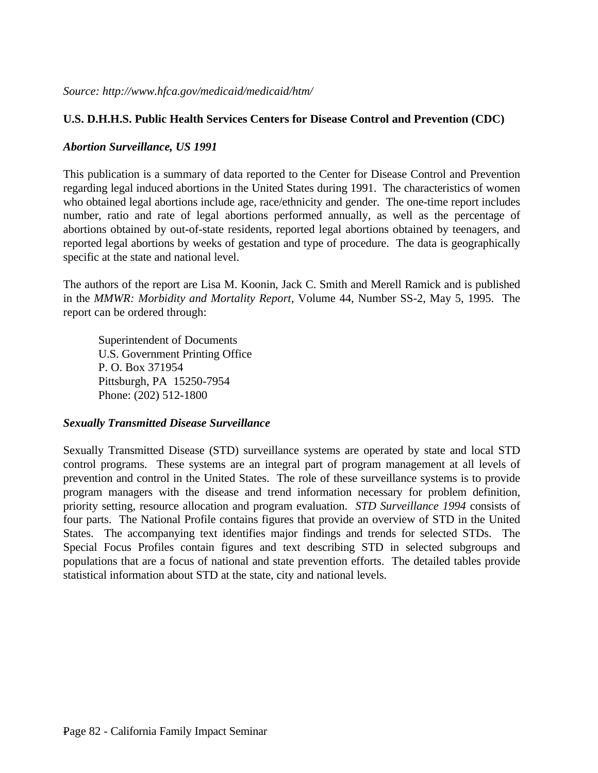## **U.S. D.H.H.S. Public Health Services Centers for Disease Control and Prevention (CDC)**

#### *Abortion Surveillance, US 1991*

This publication is a summary of data reported to the Center for Disease Control and Prevention regarding legal induced abortions in the United States during 1991. The characteristics of women who obtained legal abortions include age, race/ethnicity and gender. The one-time report includes number, ratio and rate of legal abortions performed annually, as well as the percentage of abortions obtained by out-of-state residents, reported legal abortions obtained by teenagers, and reported legal abortions by weeks of gestation and type of procedure. The data is geographically specific at the state and national level.

The authors of the report are Lisa M. Koonin, Jack C. Smith and Merell Ramick and is published in the *MMWR: Morbidity and Mortality Report,* Volume 44, Number SS-2, May 5, 1995. The report can be ordered through:

Superintendent of Documents U.S. Government Printing Office P. O. Box 371954 Pittsburgh, PA 15250-7954 Phone: (202) 512-1800

#### *Sexually Transmitted Disease Surveillance*

Sexually Transmitted Disease (STD) surveillance systems are operated by state and local STD control programs. These systems are an integral part of program management at all levels of prevention and control in the United States. The role of these surveillance systems is to provide program managers with the disease and trend information necessary for problem definition, priority setting, resource allocation and program evaluation. *STD Surveillance 1994* consists of four parts. The National Profile contains figures that provide an overview of STD in the United States. The accompanying text identifies major findings and trends for selected STDs. The Special Focus Profiles contain figures and text describing STD in selected subgroups and populations that are a focus of national and state prevention efforts. The detailed tables provide statistical information about STD at the state, city and national levels.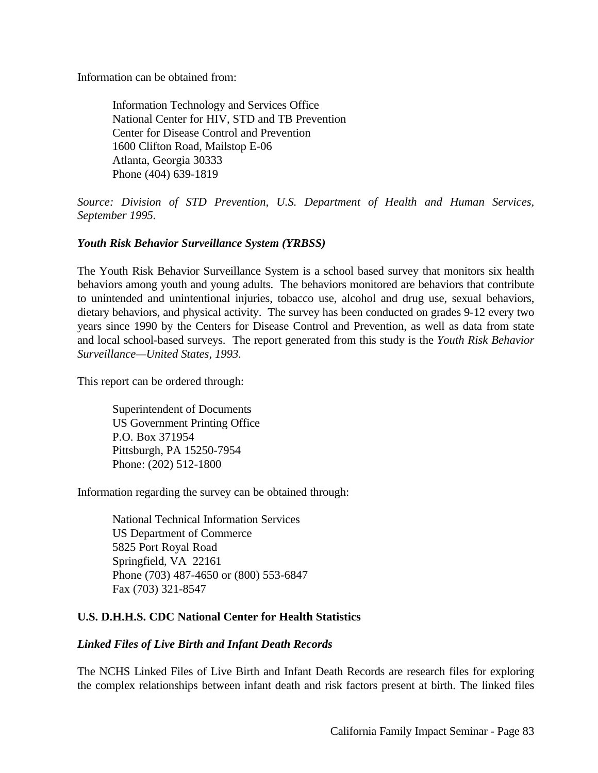Information can be obtained from:

Information Technology and Services Office National Center for HIV, STD and TB Prevention Center for Disease Control and Prevention 1600 Clifton Road, Mailstop E-06 Atlanta, Georgia 30333 Phone (404) 639-1819

*Source: Division of STD Prevention, U.S. Department of Health and Human Services, September 1995.*

## *Youth Risk Behavior Surveillance System (YRBSS)*

The Youth Risk Behavior Surveillance System is a school based survey that monitors six health behaviors among youth and young adults. The behaviors monitored are behaviors that contribute to unintended and unintentional injuries, tobacco use, alcohol and drug use, sexual behaviors, dietary behaviors, and physical activity. The survey has been conducted on grades 9-12 every two years since 1990 by the Centers for Disease Control and Prevention, as well as data from state and local school-based surveys. The report generated from this study is the *Youth Risk Behavior Surveillance—United States, 1993.*

This report can be ordered through:

Superintendent of Documents US Government Printing Office P.O. Box 371954 Pittsburgh, PA 15250-7954 Phone: (202) 512-1800

Information regarding the survey can be obtained through:

National Technical Information Services US Department of Commerce 5825 Port Royal Road Springfield, VA 22161 Phone (703) 487-4650 or (800) 553-6847 Fax (703) 321-8547

## **U.S. D.H.H.S. CDC National Center for Health Statistics**

#### *Linked Files of Live Birth and Infant Death Records*

The NCHS Linked Files of Live Birth and Infant Death Records are research files for exploring the complex relationships between infant death and risk factors present at birth. The linked files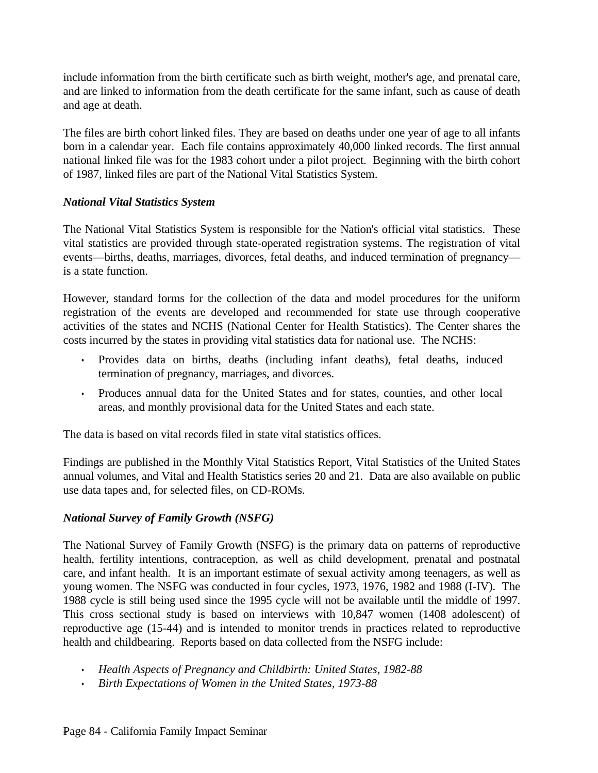include information from the birth certificate such as birth weight, mother's age, and prenatal care, and are linked to information from the death certificate for the same infant, such as cause of death and age at death.

The files are birth cohort linked files. They are based on deaths under one year of age to all infants born in a calendar year. Each file contains approximately 40,000 linked records. The first annual national linked file was for the 1983 cohort under a pilot project. Beginning with the birth cohort of 1987, linked files are part of the National Vital Statistics System.

## *National Vital Statistics System*

The National Vital Statistics System is responsible for the Nation's official vital statistics. These vital statistics are provided through state-operated registration systems. The registration of vital events—births, deaths, marriages, divorces, fetal deaths, and induced termination of pregnancy is a state function.

However, standard forms for the collection of the data and model procedures for the uniform registration of the events are developed and recommended for state use through cooperative activities of the states and NCHS (National Center for Health Statistics). The Center shares the costs incurred by the states in providing vital statistics data for national use. The NCHS:

- Provides data on births, deaths (including infant deaths), fetal deaths, induced termination of pregnancy, marriages, and divorces.
- Produces annual data for the United States and for states, counties, and other local areas, and monthly provisional data for the United States and each state.

The data is based on vital records filed in state vital statistics offices.

Findings are published in the Monthly Vital Statistics Report, Vital Statistics of the United States annual volumes, and Vital and Health Statistics series 20 and 21. Data are also available on public use data tapes and, for selected files, on CD-ROMs.

## *National Survey of Family Growth (NSFG)*

The National Survey of Family Growth (NSFG) is the primary data on patterns of reproductive health, fertility intentions, contraception, as well as child development, prenatal and postnatal care, and infant health. It is an important estimate of sexual activity among teenagers, as well as young women. The NSFG was conducted in four cycles, 1973, 1976, 1982 and 1988 (I-IV). The 1988 cycle is still being used since the 1995 cycle will not be available until the middle of 1997. This cross sectional study is based on interviews with 10,847 women (1408 adolescent) of reproductive age (15-44) and is intended to monitor trends in practices related to reproductive health and childbearing. Reports based on data collected from the NSFG include:

- *Health Aspects of Pregnancy and Childbirth: United States, 1982-88*
- *Birth Expectations of Women in the United States, 1973-88*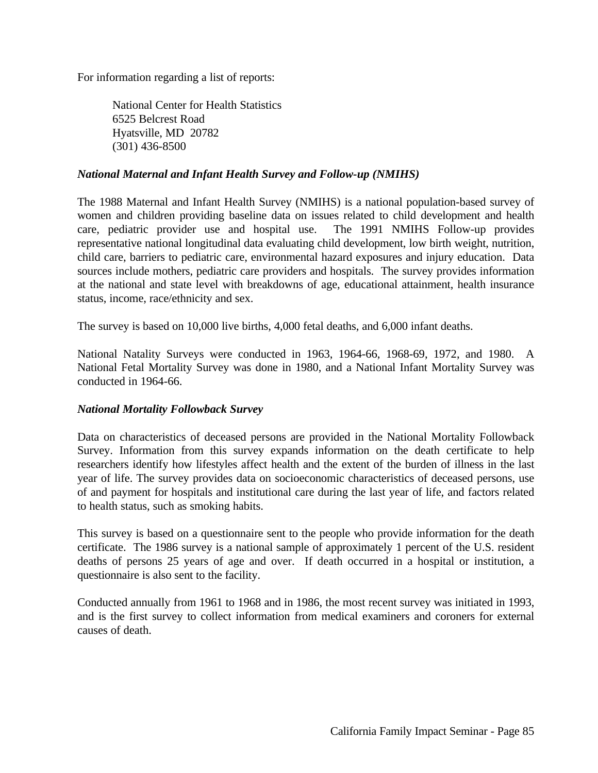For information regarding a list of reports:

National Center for Health Statistics 6525 Belcrest Road Hyatsville, MD 20782 (301) 436-8500

## *National Maternal and Infant Health Survey and Follow-up (NMIHS)*

The 1988 Maternal and Infant Health Survey (NMIHS) is a national population-based survey of women and children providing baseline data on issues related to child development and health care, pediatric provider use and hospital use. The 1991 NMIHS Follow-up provides representative national longitudinal data evaluating child development, low birth weight, nutrition, child care, barriers to pediatric care, environmental hazard exposures and injury education. Data sources include mothers, pediatric care providers and hospitals. The survey provides information at the national and state level with breakdowns of age, educational attainment, health insurance status, income, race/ethnicity and sex.

The survey is based on 10,000 live births, 4,000 fetal deaths, and 6,000 infant deaths.

National Natality Surveys were conducted in 1963, 1964-66, 1968-69, 1972, and 1980. A National Fetal Mortality Survey was done in 1980, and a National Infant Mortality Survey was conducted in 1964-66.

#### *National Mortality Followback Survey*

Data on characteristics of deceased persons are provided in the National Mortality Followback Survey. Information from this survey expands information on the death certificate to help researchers identify how lifestyles affect health and the extent of the burden of illness in the last year of life. The survey provides data on socioeconomic characteristics of deceased persons, use of and payment for hospitals and institutional care during the last year of life, and factors related to health status, such as smoking habits.

This survey is based on a questionnaire sent to the people who provide information for the death certificate. The 1986 survey is a national sample of approximately 1 percent of the U.S. resident deaths of persons 25 years of age and over. If death occurred in a hospital or institution, a questionnaire is also sent to the facility.

Conducted annually from 1961 to 1968 and in 1986, the most recent survey was initiated in 1993, and is the first survey to collect information from medical examiners and coroners for external causes of death.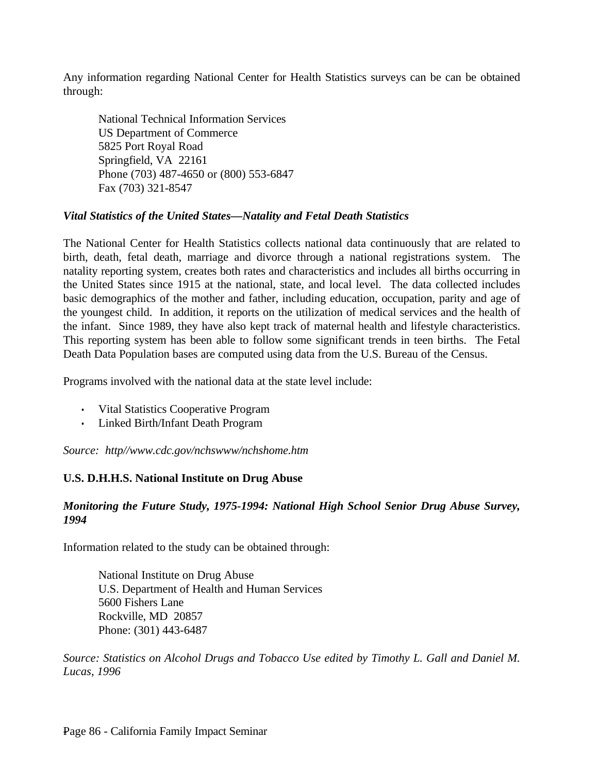Any information regarding National Center for Health Statistics surveys can be can be obtained through:

National Technical Information Services US Department of Commerce 5825 Port Royal Road Springfield, VA 22161 Phone (703) 487-4650 or (800) 553-6847 Fax (703) 321-8547

## *Vital Statistics of the United States—Natality and Fetal Death Statistics*

The National Center for Health Statistics collects national data continuously that are related to birth, death, fetal death, marriage and divorce through a national registrations system. The natality reporting system, creates both rates and characteristics and includes all births occurring in the United States since 1915 at the national, state, and local level. The data collected includes basic demographics of the mother and father, including education, occupation, parity and age of the youngest child. In addition, it reports on the utilization of medical services and the health of the infant. Since 1989, they have also kept track of maternal health and lifestyle characteristics. This reporting system has been able to follow some significant trends in teen births. The Fetal Death Data Population bases are computed using data from the U.S. Bureau of the Census.

Programs involved with the national data at the state level include:

- Vital Statistics Cooperative Program
- Linked Birth/Infant Death Program

*Source: http//www.cdc.gov/nchswww/nchshome.htm*

## **U.S. D.H.H.S. National Institute on Drug Abuse**

## *Monitoring the Future Study, 1975-1994: National High School Senior Drug Abuse Survey, 1994*

Information related to the study can be obtained through:

National Institute on Drug Abuse U.S. Department of Health and Human Services 5600 Fishers Lane Rockville, MD 20857 Phone: (301) 443-6487

*Source: Statistics on Alcohol Drugs and Tobacco Use edited by Timothy L. Gall and Daniel M. Lucas, 1996*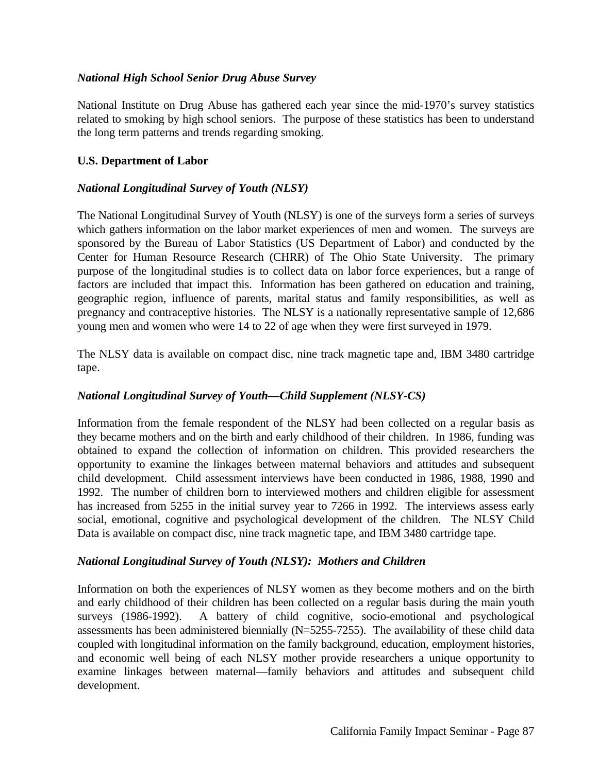## *National High School Senior Drug Abuse Survey*

National Institute on Drug Abuse has gathered each year since the mid-1970's survey statistics related to smoking by high school seniors. The purpose of these statistics has been to understand the long term patterns and trends regarding smoking.

#### **U.S. Department of Labor**

#### *National Longitudinal Survey of Youth (NLSY)*

The National Longitudinal Survey of Youth (NLSY) is one of the surveys form a series of surveys which gathers information on the labor market experiences of men and women. The surveys are sponsored by the Bureau of Labor Statistics (US Department of Labor) and conducted by the Center for Human Resource Research (CHRR) of The Ohio State University. The primary purpose of the longitudinal studies is to collect data on labor force experiences, but a range of factors are included that impact this. Information has been gathered on education and training, geographic region, influence of parents, marital status and family responsibilities, as well as pregnancy and contraceptive histories. The NLSY is a nationally representative sample of 12,686 young men and women who were 14 to 22 of age when they were first surveyed in 1979.

The NLSY data is available on compact disc, nine track magnetic tape and, IBM 3480 cartridge tape.

#### *National Longitudinal Survey of Youth—Child Supplement (NLSY-CS)*

Information from the female respondent of the NLSY had been collected on a regular basis as they became mothers and on the birth and early childhood of their children. In 1986, funding was obtained to expand the collection of information on children. This provided researchers the opportunity to examine the linkages between maternal behaviors and attitudes and subsequent child development. Child assessment interviews have been conducted in 1986, 1988, 1990 and 1992. The number of children born to interviewed mothers and children eligible for assessment has increased from 5255 in the initial survey year to 7266 in 1992. The interviews assess early social, emotional, cognitive and psychological development of the children. The NLSY Child Data is available on compact disc, nine track magnetic tape, and IBM 3480 cartridge tape.

#### *National Longitudinal Survey of Youth (NLSY): Mothers and Children*

Information on both the experiences of NLSY women as they become mothers and on the birth and early childhood of their children has been collected on a regular basis during the main youth surveys (1986-1992). A battery of child cognitive, socio-emotional and psychological assessments has been administered biennially (N=5255-7255). The availability of these child data coupled with longitudinal information on the family background, education, employment histories, and economic well being of each NLSY mother provide researchers a unique opportunity to examine linkages between maternal—family behaviors and attitudes and subsequent child development.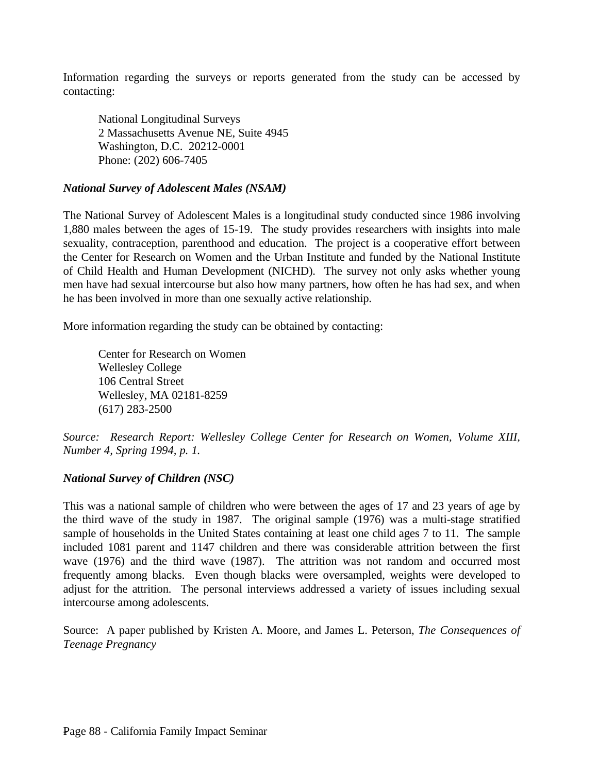Information regarding the surveys or reports generated from the study can be accessed by contacting:

National Longitudinal Surveys 2 Massachusetts Avenue NE, Suite 4945 Washington, D.C. 20212-0001 Phone: (202) 606-7405

## *National Survey of Adolescent Males (NSAM)*

The National Survey of Adolescent Males is a longitudinal study conducted since 1986 involving 1,880 males between the ages of 15-19. The study provides researchers with insights into male sexuality, contraception, parenthood and education. The project is a cooperative effort between the Center for Research on Women and the Urban Institute and funded by the National Institute of Child Health and Human Development (NICHD). The survey not only asks whether young men have had sexual intercourse but also how many partners, how often he has had sex, and when he has been involved in more than one sexually active relationship.

More information regarding the study can be obtained by contacting:

Center for Research on Women Wellesley College 106 Central Street Wellesley, MA 02181-8259 (617) 283-2500

*Source: Research Report: Wellesley College Center for Research on Women, Volume XIII, Number 4, Spring 1994, p. 1.*

## *National Survey of Children (NSC)*

This was a national sample of children who were between the ages of 17 and 23 years of age by the third wave of the study in 1987. The original sample (1976) was a multi-stage stratified sample of households in the United States containing at least one child ages 7 to 11. The sample included 1081 parent and 1147 children and there was considerable attrition between the first wave (1976) and the third wave (1987). The attrition was not random and occurred most frequently among blacks. Even though blacks were oversampled, weights were developed to adjust for the attrition. The personal interviews addressed a variety of issues including sexual intercourse among adolescents.

Source: A paper published by Kristen A. Moore, and James L. Peterson, *The Consequences of Teenage Pregnancy*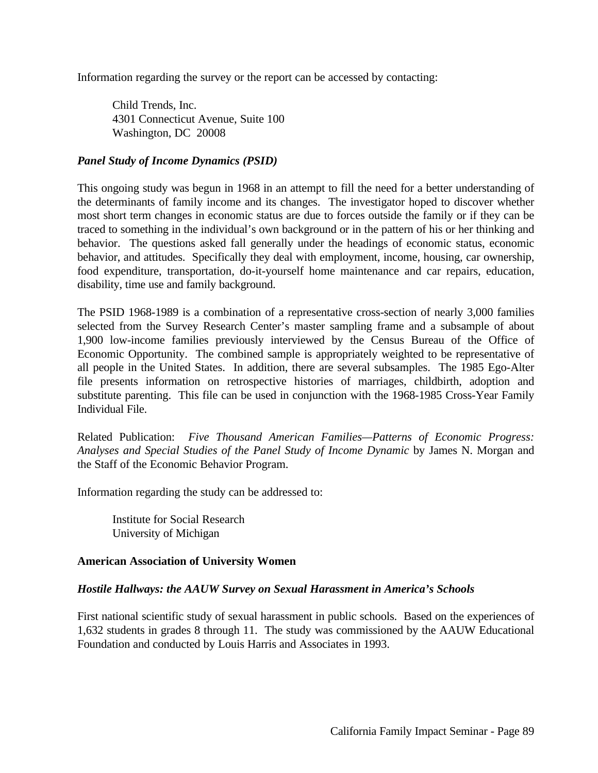Information regarding the survey or the report can be accessed by contacting:

Child Trends, Inc. 4301 Connecticut Avenue, Suite 100 Washington, DC 20008

## *Panel Study of Income Dynamics (PSID)*

This ongoing study was begun in 1968 in an attempt to fill the need for a better understanding of the determinants of family income and its changes. The investigator hoped to discover whether most short term changes in economic status are due to forces outside the family or if they can be traced to something in the individual's own background or in the pattern of his or her thinking and behavior. The questions asked fall generally under the headings of economic status, economic behavior, and attitudes. Specifically they deal with employment, income, housing, car ownership, food expenditure, transportation, do-it-yourself home maintenance and car repairs, education, disability, time use and family background.

The PSID 1968-1989 is a combination of a representative cross-section of nearly 3,000 families selected from the Survey Research Center's master sampling frame and a subsample of about 1,900 low-income families previously interviewed by the Census Bureau of the Office of Economic Opportunity. The combined sample is appropriately weighted to be representative of all people in the United States. In addition, there are several subsamples. The 1985 Ego-Alter file presents information on retrospective histories of marriages, childbirth, adoption and substitute parenting. This file can be used in conjunction with the 1968-1985 Cross-Year Family Individual File.

Related Publication: *Five Thousand American Families—Patterns of Economic Progress: Analyses and Special Studies of the Panel Study of Income Dynamic* by James N. Morgan and the Staff of the Economic Behavior Program.

Information regarding the study can be addressed to:

Institute for Social Research University of Michigan

#### **American Association of University Women**

#### *Hostile Hallways: the AAUW Survey on Sexual Harassment in America's Schools*

First national scientific study of sexual harassment in public schools. Based on the experiences of 1,632 students in grades 8 through 11. The study was commissioned by the AAUW Educational Foundation and conducted by Louis Harris and Associates in 1993.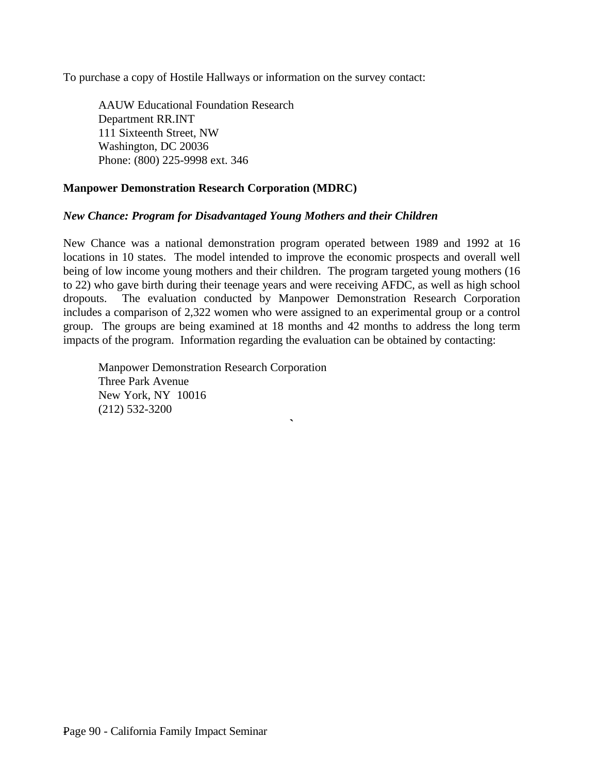To purchase a copy of Hostile Hallways or information on the survey contact:

AAUW Educational Foundation Research Department RR.INT 111 Sixteenth Street, NW Washington, DC 20036 Phone: (800) 225-9998 ext. 346

## **Manpower Demonstration Research Corporation (MDRC)**

#### *New Chance: Program for Disadvantaged Young Mothers and their Children*

New Chance was a national demonstration program operated between 1989 and 1992 at 16 locations in 10 states. The model intended to improve the economic prospects and overall well being of low income young mothers and their children. The program targeted young mothers (16) to 22) who gave birth during their teenage years and were receiving AFDC, as well as high school dropouts. The evaluation conducted by Manpower Demonstration Research Corporation includes a comparison of 2,322 women who were assigned to an experimental group or a control group. The groups are being examined at 18 months and 42 months to address the long term impacts of the program. Information regarding the evaluation can be obtained by contacting:

**`**

Manpower Demonstration Research Corporation Three Park Avenue New York, NY 10016 (212) 532-3200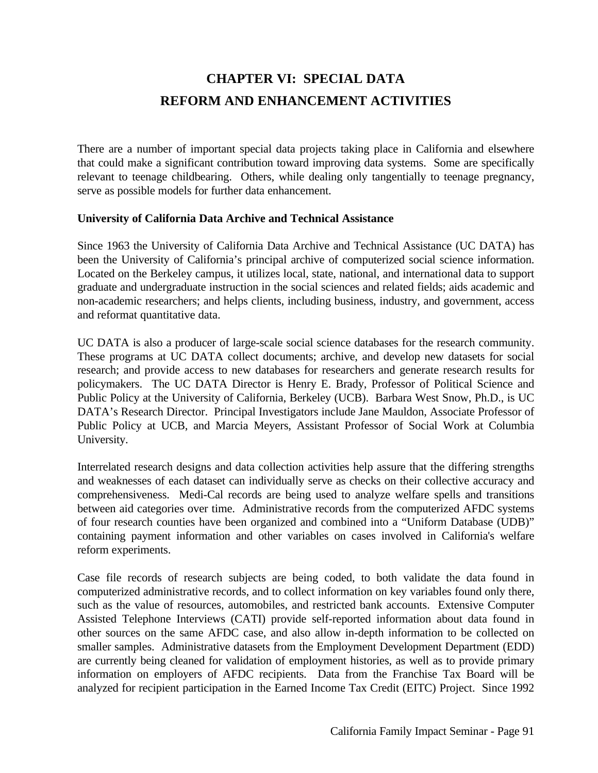# **CHAPTER VI: SPECIAL DATA REFORM AND ENHANCEMENT ACTIVITIES**

There are a number of important special data projects taking place in California and elsewhere that could make a significant contribution toward improving data systems. Some are specifically relevant to teenage childbearing. Others, while dealing only tangentially to teenage pregnancy, serve as possible models for further data enhancement.

#### **University of California Data Archive and Technical Assistance**

Since 1963 the University of California Data Archive and Technical Assistance (UC DATA) has been the University of California's principal archive of computerized social science information. Located on the Berkeley campus, it utilizes local, state, national, and international data to support graduate and undergraduate instruction in the social sciences and related fields; aids academic and non-academic researchers; and helps clients, including business, industry, and government, access and reformat quantitative data.

UC DATA is also a producer of large-scale social science databases for the research community. These programs at UC DATA collect documents; archive, and develop new datasets for social research; and provide access to new databases for researchers and generate research results for policymakers. The UC DATA Director is Henry E. Brady, Professor of Political Science and Public Policy at the University of California, Berkeley (UCB). Barbara West Snow, Ph.D., is UC DATA's Research Director. Principal Investigators include Jane Mauldon, Associate Professor of Public Policy at UCB, and Marcia Meyers, Assistant Professor of Social Work at Columbia University.

Interrelated research designs and data collection activities help assure that the differing strengths and weaknesses of each dataset can individually serve as checks on their collective accuracy and comprehensiveness. Medi-Cal records are being used to analyze welfare spells and transitions between aid categories over time. Administrative records from the computerized AFDC systems of four research counties have been organized and combined into a "Uniform Database (UDB)" containing payment information and other variables on cases involved in California's welfare reform experiments.

Case file records of research subjects are being coded, to both validate the data found in computerized administrative records, and to collect information on key variables found only there, such as the value of resources, automobiles, and restricted bank accounts. Extensive Computer Assisted Telephone Interviews (CATI) provide self-reported information about data found in other sources on the same AFDC case, and also allow in-depth information to be collected on smaller samples. Administrative datasets from the Employment Development Department (EDD) are currently being cleaned for validation of employment histories, as well as to provide primary information on employers of AFDC recipients. Data from the Franchise Tax Board will be analyzed for recipient participation in the Earned Income Tax Credit (EITC) Project. Since 1992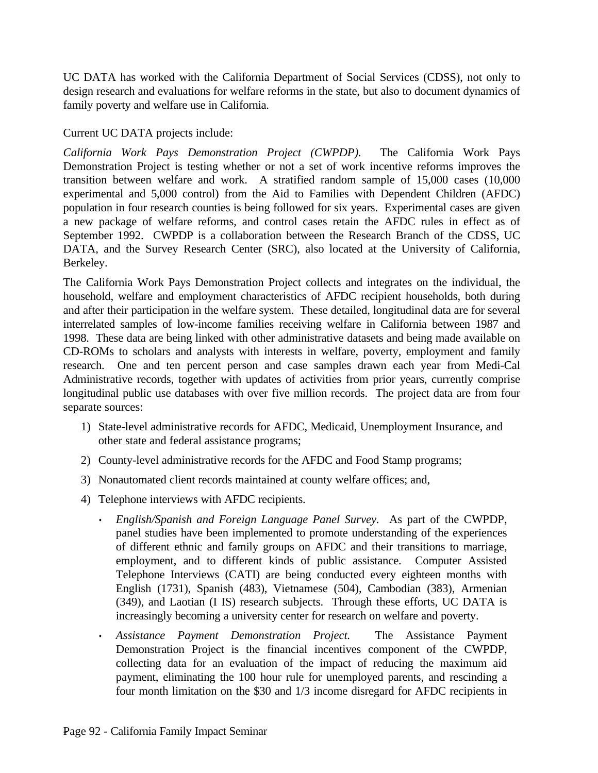UC DATA has worked with the California Department of Social Services (CDSS), not only to design research and evaluations for welfare reforms in the state, but also to document dynamics of family poverty and welfare use in California.

Current UC DATA projects include:

*California Work Pays Demonstration Project (CWPDP).* The California Work Pays Demonstration Project is testing whether or not a set of work incentive reforms improves the transition between welfare and work. A stratified random sample of 15,000 cases (10,000 experimental and 5,000 control) from the Aid to Families with Dependent Children (AFDC) population in four research counties is being followed for six years. Experimental cases are given a new package of welfare reforms, and control cases retain the AFDC rules in effect as of September 1992. CWPDP is a collaboration between the Research Branch of the CDSS, UC DATA, and the Survey Research Center (SRC), also located at the University of California, Berkeley.

The California Work Pays Demonstration Project collects and integrates on the individual, the household, welfare and employment characteristics of AFDC recipient households, both during and after their participation in the welfare system. These detailed, longitudinal data are for several interrelated samples of low-income families receiving welfare in California between 1987 and 1998. These data are being linked with other administrative datasets and being made available on CD-ROMs to scholars and analysts with interests in welfare, poverty, employment and family research. One and ten percent person and case samples drawn each year from Medi-Cal Administrative records, together with updates of activities from prior years, currently comprise longitudinal public use databases with over five million records. The project data are from four separate sources:

- 1) State-level administrative records for AFDC, Medicaid, Unemployment Insurance, and other state and federal assistance programs;
- 2) County-level administrative records for the AFDC and Food Stamp programs;
- 3) Nonautomated client records maintained at county welfare offices; and,
- 4) Telephone interviews with AFDC recipients.
	- *English/Spanish and Foreign Language Panel Survey.* As part of the CWPDP, panel studies have been implemented to promote understanding of the experiences of different ethnic and family groups on AFDC and their transitions to marriage, employment, and to different kinds of public assistance. Computer Assisted Telephone Interviews (CATI) are being conducted every eighteen months with English (1731), Spanish (483), Vietnamese (504), Cambodian (383), Armenian (349), and Laotian (I IS) research subjects. Through these efforts, UC DATA is increasingly becoming a university center for research on welfare and poverty.
	- *Assistance Payment Demonstration Project.* The Assistance Payment Demonstration Project is the financial incentives component of the CWPDP, collecting data for an evaluation of the impact of reducing the maximum aid payment, eliminating the 100 hour rule for unemployed parents, and rescinding a four month limitation on the \$30 and 1/3 income disregard for AFDC recipients in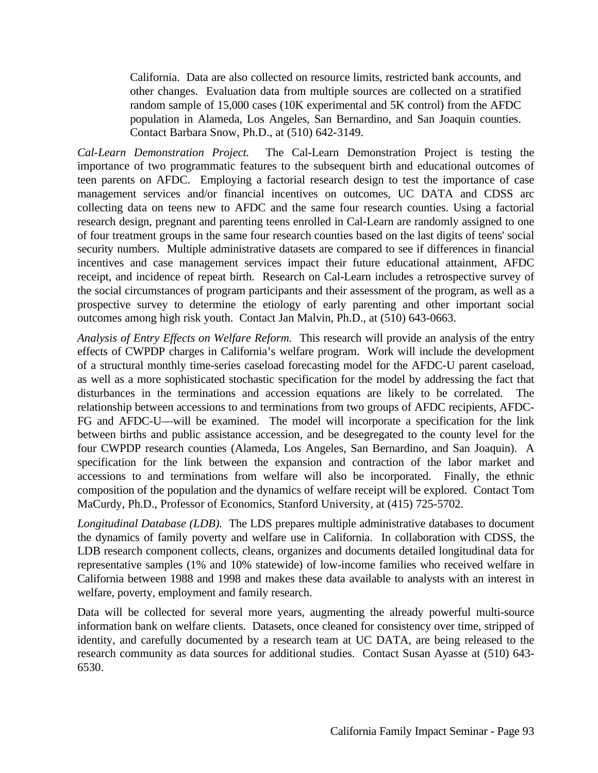California. Data are also collected on resource limits, restricted bank accounts, and other changes. Evaluation data from multiple sources are collected on a stratified random sample of 15,000 cases (10K experimental and 5K control) from the AFDC population in Alameda, Los Angeles, San Bernardino, and San Joaquin counties. Contact Barbara Snow, Ph.D., at (510) 642-3149.

*Cal-Learn Demonstration Project.* The Cal-Learn Demonstration Project is testing the importance of two programmatic features to the subsequent birth and educational outcomes of teen parents on AFDC. Employing a factorial research design to test the importance of case management services and/or financial incentives on outcomes, UC DATA and CDSS arc collecting data on teens new to AFDC and the same four research counties. Using a factorial research design, pregnant and parenting teens enrolled in Cal-Learn are randomly assigned to one of four treatment groups in the same four research counties based on the last digits of teens' social security numbers. Multiple administrative datasets are compared to see if differences in financial incentives and case management services impact their future educational attainment, AFDC receipt, and incidence of repeat birth. Research on Cal-Learn includes a retrospective survey of the social circumstances of program participants and their assessment of the program, as well as a prospective survey to determine the etiology of early parenting and other important social outcomes among high risk youth. Contact Jan Malvin, Ph.D., at (510) 643-0663.

*Analysis of Entry Effects on Welfare Reform.* This research will provide an analysis of the entry effects of CWPDP charges in California's welfare program. Work will include the development of a structural monthly time-series caseload forecasting model for the AFDC-U parent caseload, as well as a more sophisticated stochastic specification for the model by addressing the fact that disturbances in the terminations and accession equations are likely to be correlated. The relationship between accessions to and terminations from two groups of AFDC recipients, AFDC-FG and AFDC-U—will be examined. The model will incorporate a specification for the link between births and public assistance accession, and be desegregated to the county level for the four CWPDP research counties (Alameda, Los Angeles, San Bernardino, and San Joaquin). A specification for the link between the expansion and contraction of the labor market and accessions to and terminations from welfare will also be incorporated. Finally, the ethnic composition of the population and the dynamics of welfare receipt will be explored. Contact Tom MaCurdy, Ph.D., Professor of Economics, Stanford University, at (415) 725-5702.

*Longitudinal Database (LDB).* The LDS prepares multiple administrative databases to document the dynamics of family poverty and welfare use in California. In collaboration with CDSS, the LDB research component collects, cleans, organizes and documents detailed longitudinal data for representative samples (1% and 10% statewide) of low-income families who received welfare in California between 1988 and 1998 and makes these data available to analysts with an interest in welfare, poverty, employment and family research.

Data will be collected for several more years, augmenting the already powerful multi-source information bank on welfare clients. Datasets, once cleaned for consistency over time, stripped of identity, and carefully documented by a research team at UC DATA, are being released to the research community as data sources for additional studies. Contact Susan Ayasse at (510) 643- 6530.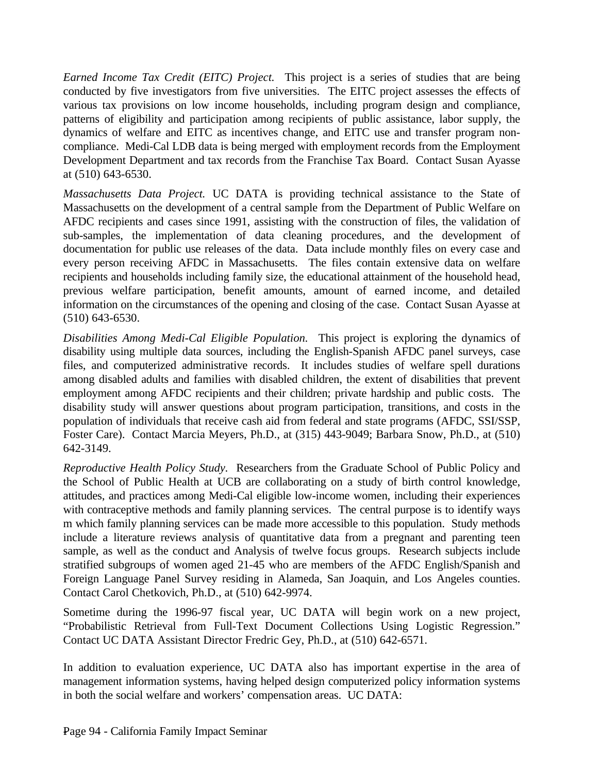*Earned Income Tax Credit (EITC) Project.* This project is a series of studies that are being conducted by five investigators from five universities. The EITC project assesses the effects of various tax provisions on low income households, including program design and compliance, patterns of eligibility and participation among recipients of public assistance, labor supply, the dynamics of welfare and EITC as incentives change, and EITC use and transfer program noncompliance. Medi-Cal LDB data is being merged with employment records from the Employment Development Department and tax records from the Franchise Tax Board. Contact Susan Ayasse at (510) 643-6530.

*Massachusetts Data Project.* UC DATA is providing technical assistance to the State of Massachusetts on the development of a central sample from the Department of Public Welfare on AFDC recipients and cases since 1991, assisting with the construction of files, the validation of sub-samples, the implementation of data cleaning procedures, and the development of documentation for public use releases of the data. Data include monthly files on every case and every person receiving AFDC in Massachusetts. The files contain extensive data on welfare recipients and households including family size, the educational attainment of the household head, previous welfare participation, benefit amounts, amount of earned income, and detailed information on the circumstances of the opening and closing of the case. Contact Susan Ayasse at (510) 643-6530.

*Disabilities Among Medi-Cal Eligible Population.* This project is exploring the dynamics of disability using multiple data sources, including the English-Spanish AFDC panel surveys, case files, and computerized administrative records. It includes studies of welfare spell durations among disabled adults and families with disabled children, the extent of disabilities that prevent employment among AFDC recipients and their children; private hardship and public costs. The disability study will answer questions about program participation, transitions, and costs in the population of individuals that receive cash aid from federal and state programs (AFDC, SSI/SSP, Foster Care). Contact Marcia Meyers, Ph.D., at (315) 443-9049; Barbara Snow, Ph.D., at (510) 642-3149.

*Reproductive Health Policy Study.* Researchers from the Graduate School of Public Policy and the School of Public Health at UCB are collaborating on a study of birth control knowledge, attitudes, and practices among Medi-Cal eligible low-income women, including their experiences with contraceptive methods and family planning services. The central purpose is to identify ways m which family planning services can be made more accessible to this population. Study methods include a literature reviews analysis of quantitative data from a pregnant and parenting teen sample, as well as the conduct and Analysis of twelve focus groups. Research subjects include stratified subgroups of women aged 21-45 who are members of the AFDC English/Spanish and Foreign Language Panel Survey residing in Alameda, San Joaquin, and Los Angeles counties. Contact Carol Chetkovich, Ph.D., at (510) 642-9974.

Sometime during the 1996-97 fiscal year, UC DATA will begin work on a new project, "Probabilistic Retrieval from Full-Text Document Collections Using Logistic Regression." Contact UC DATA Assistant Director Fredric Gey, Ph.D., at (510) 642-6571.

In addition to evaluation experience, UC DATA also has important expertise in the area of management information systems, having helped design computerized policy information systems in both the social welfare and workers' compensation areas. UC DATA: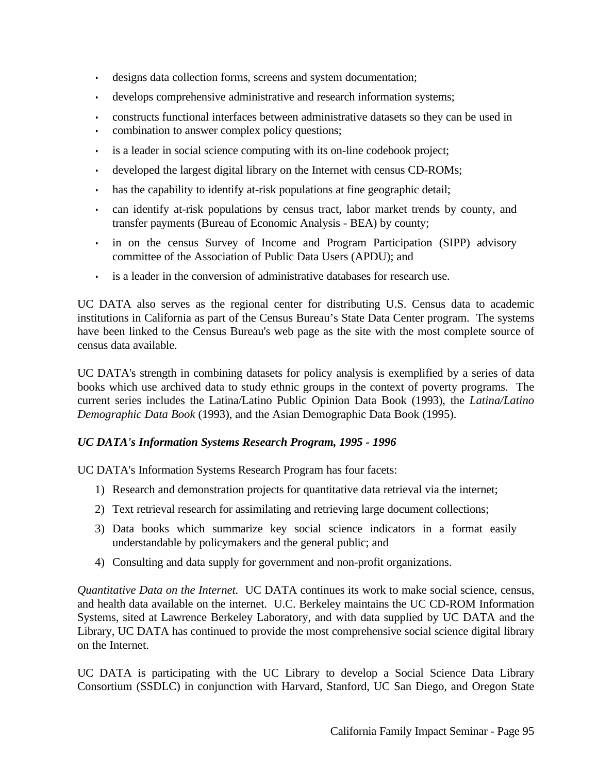- designs data collection forms, screens and system documentation;
- develops comprehensive administrative and research information systems;
- constructs functional interfaces between administrative datasets so they can be used in
- combination to answer complex policy questions;
- is a leader in social science computing with its on-line codebook project;
- developed the largest digital library on the Internet with census CD-ROMs;
- has the capability to identify at-risk populations at fine geographic detail;
- can identify at-risk populations by census tract, labor market trends by county, and transfer payments (Bureau of Economic Analysis - BEA) by county;
- in on the census Survey of Income and Program Participation (SIPP) advisory committee of the Association of Public Data Users (APDU); and
- is a leader in the conversion of administrative databases for research use.

UC DATA also serves as the regional center for distributing U.S. Census data to academic institutions in California as part of the Census Bureau's State Data Center program. The systems have been linked to the Census Bureau's web page as the site with the most complete source of census data available.

UC DATA's strength in combining datasets for policy analysis is exemplified by a series of data books which use archived data to study ethnic groups in the context of poverty programs. The current series includes the Latina/Latino Public Opinion Data Book (1993), the *Latina/Latino Demographic Data Book* (1993), and the Asian Demographic Data Book (1995).

#### *UC DATA's Information Systems Research Program, 1995 - 1996*

UC DATA's Information Systems Research Program has four facets:

- 1) Research and demonstration projects for quantitative data retrieval via the internet;
- 2) Text retrieval research for assimilating and retrieving large document collections;
- 3) Data books which summarize key social science indicators in a format easily understandable by policymakers and the general public; and
- 4) Consulting and data supply for government and non-profit organizations.

*Quantitative Data on the Internet.* UC DATA continues its work to make social science, census, and health data available on the internet. U.C. Berkeley maintains the UC CD-ROM Information Systems, sited at Lawrence Berkeley Laboratory, and with data supplied by UC DATA and the Library, UC DATA has continued to provide the most comprehensive social science digital library on the Internet.

UC DATA is participating with the UC Library to develop a Social Science Data Library Consortium (SSDLC) in conjunction with Harvard, Stanford, UC San Diego, and Oregon State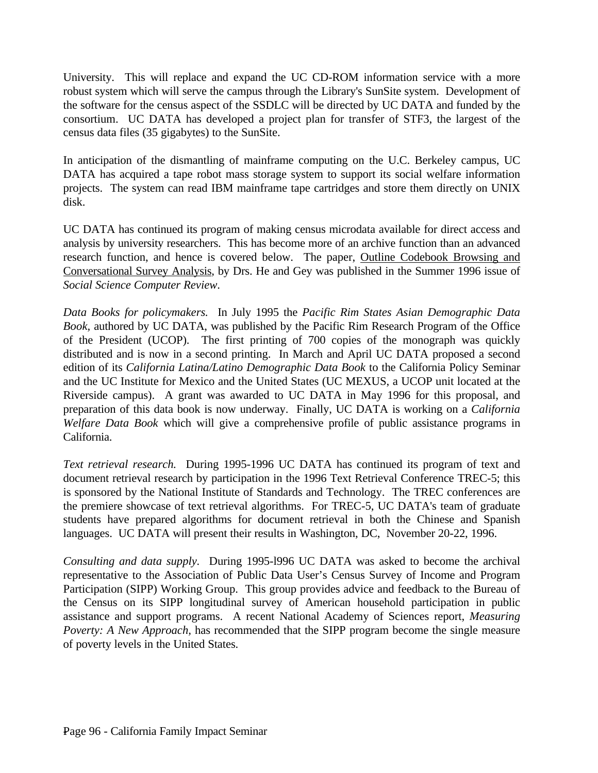University. This will replace and expand the UC CD-ROM information service with a more robust system which will serve the campus through the Library's SunSite system. Development of the software for the census aspect of the SSDLC will be directed by UC DATA and funded by the consortium. UC DATA has developed a project plan for transfer of STF3, the largest of the census data files (35 gigabytes) to the SunSite.

In anticipation of the dismantling of mainframe computing on the U.C. Berkeley campus, UC DATA has acquired a tape robot mass storage system to support its social welfare information projects. The system can read IBM mainframe tape cartridges and store them directly on UNIX disk.

UC DATA has continued its program of making census microdata available for direct access and analysis by university researchers. This has become more of an archive function than an advanced research function, and hence is covered below. The paper, Outline Codebook Browsing and Conversational Survey Analysis, by Drs. He and Gey was published in the Summer 1996 issue of *Social Science Computer Review*.

*Data Books for policymakers.* In July 1995 the *Pacific Rim States Asian Demographic Data Book,* authored by UC DATA, was published by the Pacific Rim Research Program of the Office of the President (UCOP). The first printing of 700 copies of the monograph was quickly distributed and is now in a second printing. In March and April UC DATA proposed a second edition of its *California Latina/Latino Demographic Data Book* to the California Policy Seminar and the UC Institute for Mexico and the United States (UC MEXUS, a UCOP unit located at the Riverside campus). A grant was awarded to UC DATA in May 1996 for this proposal, and preparation of this data book is now underway. Finally, UC DATA is working on a *California Welfare Data Book* which will give a comprehensive profile of public assistance programs in California.

*Text retrieval research.* During 1995-1996 UC DATA has continued its program of text and document retrieval research by participation in the 1996 Text Retrieval Conference TREC-5; this is sponsored by the National Institute of Standards and Technology. The TREC conferences are the premiere showcase of text retrieval algorithms. For TREC-5, UC DATA's team of graduate students have prepared algorithms for document retrieval in both the Chinese and Spanish languages. UC DATA will present their results in Washington, DC, November 20-22, 1996.

*Consulting and data supply.* During 1995-l996 UC DATA was asked to become the archival representative to the Association of Public Data User's Census Survey of Income and Program Participation (SIPP) Working Group. This group provides advice and feedback to the Bureau of the Census on its SIPP longitudinal survey of American household participation in public assistance and support programs. A recent National Academy of Sciences report, *Measuring Poverty: A New Approach,* has recommended that the SIPP program become the single measure of poverty levels in the United States.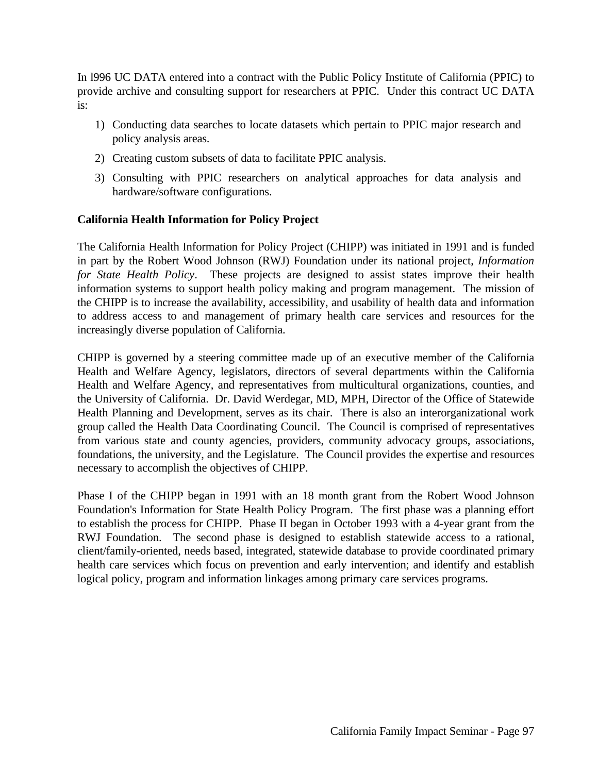In l996 UC DATA entered into a contract with the Public Policy Institute of California (PPIC) to provide archive and consulting support for researchers at PPIC. Under this contract UC DATA is:

- 1) Conducting data searches to locate datasets which pertain to PPIC major research and policy analysis areas.
- 2) Creating custom subsets of data to facilitate PPIC analysis.
- 3) Consulting with PPIC researchers on analytical approaches for data analysis and hardware/software configurations.

## **California Health Information for Policy Project**

The California Health Information for Policy Project (CHIPP) was initiated in 1991 and is funded in part by the Robert Wood Johnson (RWJ) Foundation under its national project, *Information for State Health Policy*. These projects are designed to assist states improve their health information systems to support health policy making and program management. The mission of the CHIPP is to increase the availability, accessibility, and usability of health data and information to address access to and management of primary health care services and resources for the increasingly diverse population of California.

CHIPP is governed by a steering committee made up of an executive member of the California Health and Welfare Agency, legislators, directors of several departments within the California Health and Welfare Agency, and representatives from multicultural organizations, counties, and the University of California. Dr. David Werdegar, MD, MPH, Director of the Office of Statewide Health Planning and Development, serves as its chair. There is also an interorganizational work group called the Health Data Coordinating Council. The Council is comprised of representatives from various state and county agencies, providers, community advocacy groups, associations, foundations, the university, and the Legislature. The Council provides the expertise and resources necessary to accomplish the objectives of CHIPP.

Phase I of the CHIPP began in 1991 with an 18 month grant from the Robert Wood Johnson Foundation's Information for State Health Policy Program. The first phase was a planning effort to establish the process for CHIPP. Phase II began in October 1993 with a 4-year grant from the RWJ Foundation. The second phase is designed to establish statewide access to a rational, client/family-oriented, needs based, integrated, statewide database to provide coordinated primary health care services which focus on prevention and early intervention; and identify and establish logical policy, program and information linkages among primary care services programs.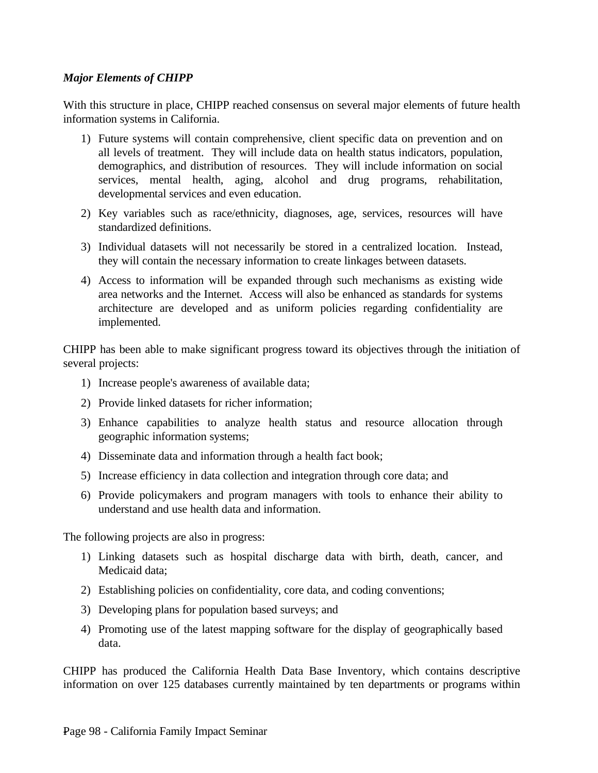## *Major Elements of CHIPP*

With this structure in place, CHIPP reached consensus on several major elements of future health information systems in California.

- 1) Future systems will contain comprehensive, client specific data on prevention and on all levels of treatment. They will include data on health status indicators, population, demographics, and distribution of resources. They will include information on social services, mental health, aging, alcohol and drug programs, rehabilitation, developmental services and even education.
- 2) Key variables such as race/ethnicity, diagnoses, age, services, resources will have standardized definitions.
- 3) Individual datasets will not necessarily be stored in a centralized location. Instead, they will contain the necessary information to create linkages between datasets.
- 4) Access to information will be expanded through such mechanisms as existing wide area networks and the Internet. Access will also be enhanced as standards for systems architecture are developed and as uniform policies regarding confidentiality are implemented.

CHIPP has been able to make significant progress toward its objectives through the initiation of several projects:

- 1) Increase people's awareness of available data;
- 2) Provide linked datasets for richer information;
- 3) Enhance capabilities to analyze health status and resource allocation through geographic information systems;
- 4) Disseminate data and information through a health fact book;
- 5) Increase efficiency in data collection and integration through core data; and
- 6) Provide policymakers and program managers with tools to enhance their ability to understand and use health data and information.

The following projects are also in progress:

- 1) Linking datasets such as hospital discharge data with birth, death, cancer, and Medicaid data;
- 2) Establishing policies on confidentiality, core data, and coding conventions;
- 3) Developing plans for population based surveys; and
- 4) Promoting use of the latest mapping software for the display of geographically based data.

CHIPP has produced the California Health Data Base Inventory, which contains descriptive information on over 125 databases currently maintained by ten departments or programs within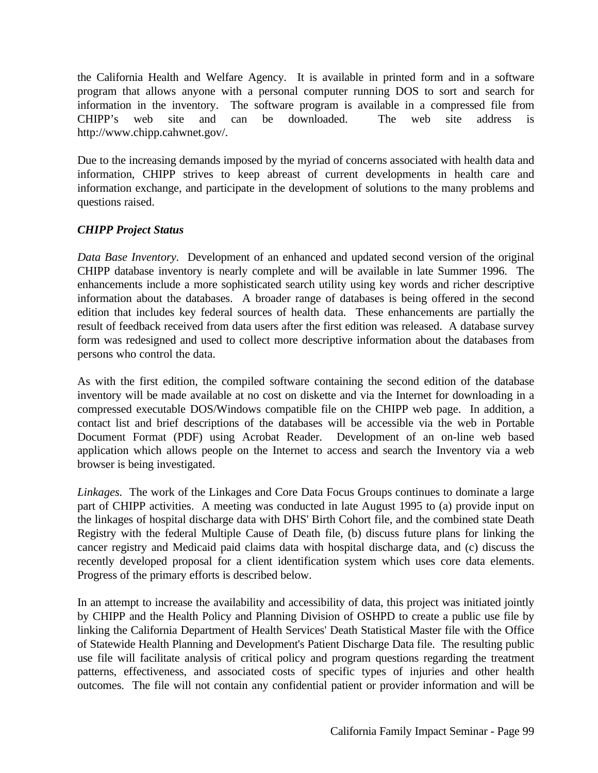the California Health and Welfare Agency. It is available in printed form and in a software program that allows anyone with a personal computer running DOS to sort and search for information in the inventory. The software program is available in a compressed file from CHIPP's web site and can be downloaded. The web site address is http://www.chipp.cahwnet.gov/.

Due to the increasing demands imposed by the myriad of concerns associated with health data and information, CHIPP strives to keep abreast of current developments in health care and information exchange, and participate in the development of solutions to the many problems and questions raised.

## *CHIPP Project Status*

*Data Base Inventory.* Development of an enhanced and updated second version of the original CHIPP database inventory is nearly complete and will be available in late Summer 1996. The enhancements include a more sophisticated search utility using key words and richer descriptive information about the databases. A broader range of databases is being offered in the second edition that includes key federal sources of health data. These enhancements are partially the result of feedback received from data users after the first edition was released. A database survey form was redesigned and used to collect more descriptive information about the databases from persons who control the data.

As with the first edition, the compiled software containing the second edition of the database inventory will be made available at no cost on diskette and via the Internet for downloading in a compressed executable DOS/Windows compatible file on the CHIPP web page. In addition, a contact list and brief descriptions of the databases will be accessible via the web in Portable Document Format (PDF) using Acrobat Reader. Development of an on-line web based application which allows people on the Internet to access and search the Inventory via a web browser is being investigated.

*Linkages.* The work of the Linkages and Core Data Focus Groups continues to dominate a large part of CHIPP activities. A meeting was conducted in late August 1995 to (a) provide input on the linkages of hospital discharge data with DHS' Birth Cohort file, and the combined state Death Registry with the federal Multiple Cause of Death file, (b) discuss future plans for linking the cancer registry and Medicaid paid claims data with hospital discharge data, and (c) discuss the recently developed proposal for a client identification system which uses core data elements. Progress of the primary efforts is described below.

In an attempt to increase the availability and accessibility of data, this project was initiated jointly by CHIPP and the Health Policy and Planning Division of OSHPD to create a public use file by linking the California Department of Health Services' Death Statistical Master file with the Office of Statewide Health Planning and Development's Patient Discharge Data file. The resulting public use file will facilitate analysis of critical policy and program questions regarding the treatment patterns, effectiveness, and associated costs of specific types of injuries and other health outcomes. The file will not contain any confidential patient or provider information and will be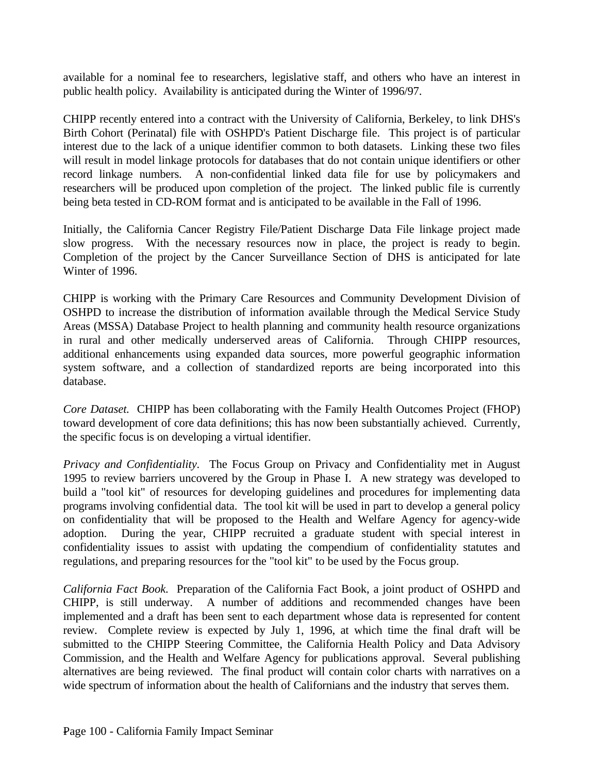available for a nominal fee to researchers, legislative staff, and others who have an interest in public health policy. Availability is anticipated during the Winter of 1996/97.

CHIPP recently entered into a contract with the University of California, Berkeley, to link DHS's Birth Cohort (Perinatal) file with OSHPD's Patient Discharge file. This project is of particular interest due to the lack of a unique identifier common to both datasets. Linking these two files will result in model linkage protocols for databases that do not contain unique identifiers or other record linkage numbers. A non-confidential linked data file for use by policymakers and researchers will be produced upon completion of the project. The linked public file is currently being beta tested in CD-ROM format and is anticipated to be available in the Fall of 1996.

Initially, the California Cancer Registry File/Patient Discharge Data File linkage project made slow progress. With the necessary resources now in place, the project is ready to begin. Completion of the project by the Cancer Surveillance Section of DHS is anticipated for late Winter of 1996.

CHIPP is working with the Primary Care Resources and Community Development Division of OSHPD to increase the distribution of information available through the Medical Service Study Areas (MSSA) Database Project to health planning and community health resource organizations in rural and other medically underserved areas of California. Through CHIPP resources, additional enhancements using expanded data sources, more powerful geographic information system software, and a collection of standardized reports are being incorporated into this database.

*Core Dataset.* CHIPP has been collaborating with the Family Health Outcomes Project (FHOP) toward development of core data definitions; this has now been substantially achieved. Currently, the specific focus is on developing a virtual identifier.

*Privacy and Confidentiality.* The Focus Group on Privacy and Confidentiality met in August 1995 to review barriers uncovered by the Group in Phase I. A new strategy was developed to build a "tool kit" of resources for developing guidelines and procedures for implementing data programs involving confidential data. The tool kit will be used in part to develop a general policy on confidentiality that will be proposed to the Health and Welfare Agency for agency-wide adoption. During the year, CHIPP recruited a graduate student with special interest in confidentiality issues to assist with updating the compendium of confidentiality statutes and regulations, and preparing resources for the "tool kit" to be used by the Focus group.

*California Fact Book.* Preparation of the California Fact Book, a joint product of OSHPD and CHIPP, is still underway. A number of additions and recommended changes have been implemented and a draft has been sent to each department whose data is represented for content review. Complete review is expected by July 1, 1996, at which time the final draft will be submitted to the CHIPP Steering Committee, the California Health Policy and Data Advisory Commission, and the Health and Welfare Agency for publications approval. Several publishing alternatives are being reviewed. The final product will contain color charts with narratives on a wide spectrum of information about the health of Californians and the industry that serves them.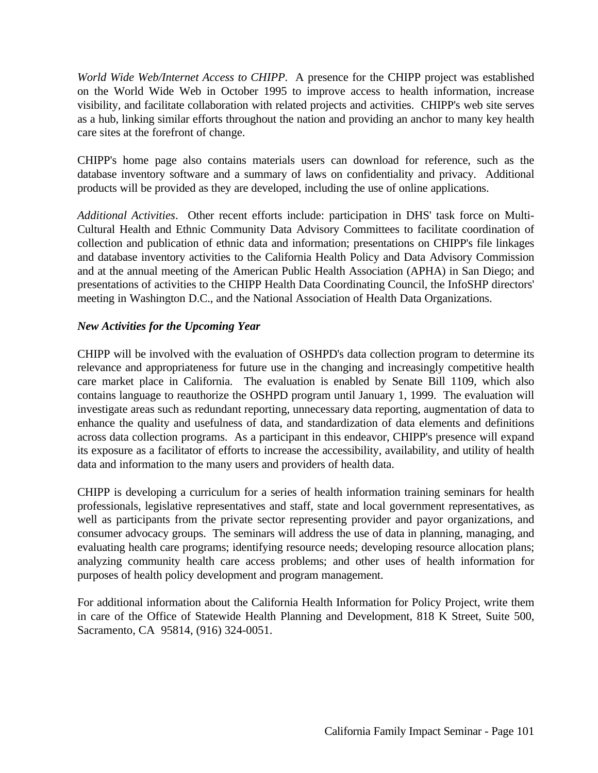*World Wide Web/Internet Access to CHIPP.* A presence for the CHIPP project was established on the World Wide Web in October 1995 to improve access to health information, increase visibility, and facilitate collaboration with related projects and activities. CHIPP's web site serves as a hub, linking similar efforts throughout the nation and providing an anchor to many key health care sites at the forefront of change.

CHIPP's home page also contains materials users can download for reference, such as the database inventory software and a summary of laws on confidentiality and privacy. Additional products will be provided as they are developed, including the use of online applications.

*Additional Activities*. Other recent efforts include: participation in DHS' task force on Multi-Cultural Health and Ethnic Community Data Advisory Committees to facilitate coordination of collection and publication of ethnic data and information; presentations on CHIPP's file linkages and database inventory activities to the California Health Policy and Data Advisory Commission and at the annual meeting of the American Public Health Association (APHA) in San Diego; and presentations of activities to the CHIPP Health Data Coordinating Council, the InfoSHP directors' meeting in Washington D.C., and the National Association of Health Data Organizations.

## *New Activities for the Upcoming Year*

CHIPP will be involved with the evaluation of OSHPD's data collection program to determine its relevance and appropriateness for future use in the changing and increasingly competitive health care market place in California. The evaluation is enabled by Senate Bill 1109, which also contains language to reauthorize the OSHPD program until January 1, 1999. The evaluation will investigate areas such as redundant reporting, unnecessary data reporting, augmentation of data to enhance the quality and usefulness of data, and standardization of data elements and definitions across data collection programs. As a participant in this endeavor, CHIPP's presence will expand its exposure as a facilitator of efforts to increase the accessibility, availability, and utility of health data and information to the many users and providers of health data.

CHIPP is developing a curriculum for a series of health information training seminars for health professionals, legislative representatives and staff, state and local government representatives, as well as participants from the private sector representing provider and payor organizations, and consumer advocacy groups. The seminars will address the use of data in planning, managing, and evaluating health care programs; identifying resource needs; developing resource allocation plans; analyzing community health care access problems; and other uses of health information for purposes of health policy development and program management.

For additional information about the California Health Information for Policy Project, write them in care of the Office of Statewide Health Planning and Development, 818 K Street, Suite 500, Sacramento, CA 95814, (916) 324-0051.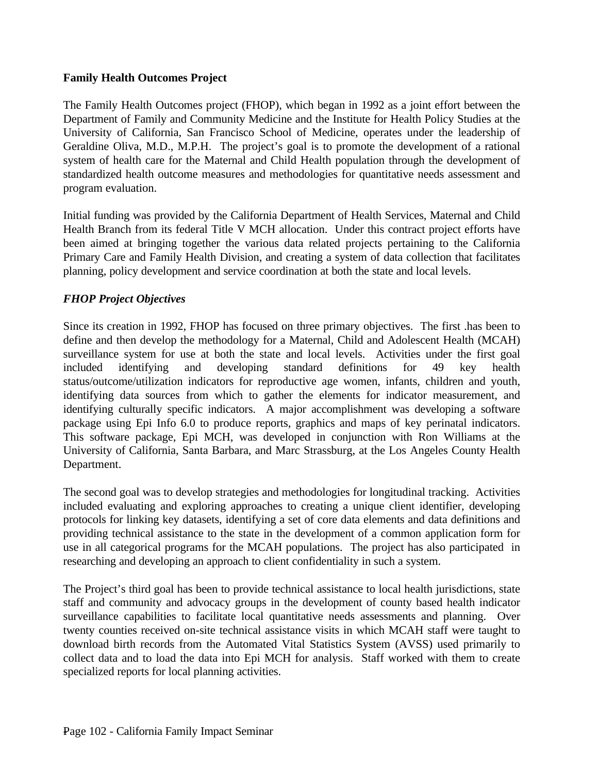## **Family Health Outcomes Project**

The Family Health Outcomes project (FHOP), which began in 1992 as a joint effort between the Department of Family and Community Medicine and the Institute for Health Policy Studies at the University of California, San Francisco School of Medicine, operates under the leadership of Geraldine Oliva, M.D., M.P.H. The project's goal is to promote the development of a rational system of health care for the Maternal and Child Health population through the development of standardized health outcome measures and methodologies for quantitative needs assessment and program evaluation.

Initial funding was provided by the California Department of Health Services, Maternal and Child Health Branch from its federal Title V MCH allocation. Under this contract project efforts have been aimed at bringing together the various data related projects pertaining to the California Primary Care and Family Health Division, and creating a system of data collection that facilitates planning, policy development and service coordination at both the state and local levels.

## *FHOP Project Objectives*

Since its creation in 1992, FHOP has focused on three primary objectives. The first .has been to define and then develop the methodology for a Maternal, Child and Adolescent Health (MCAH) surveillance system for use at both the state and local levels. Activities under the first goal included identifying and developing standard definitions for 49 key health status/outcome/utilization indicators for reproductive age women, infants, children and youth, identifying data sources from which to gather the elements for indicator measurement, and identifying culturally specific indicators. A major accomplishment was developing a software package using Epi Info 6.0 to produce reports, graphics and maps of key perinatal indicators. This software package, Epi MCH, was developed in conjunction with Ron Williams at the University of California, Santa Barbara, and Marc Strassburg, at the Los Angeles County Health Department.

The second goal was to develop strategies and methodologies for longitudinal tracking. Activities included evaluating and exploring approaches to creating a unique client identifier, developing protocols for linking key datasets, identifying a set of core data elements and data definitions and providing technical assistance to the state in the development of a common application form for use in all categorical programs for the MCAH populations. The project has also participated in researching and developing an approach to client confidentiality in such a system.

The Project's third goal has been to provide technical assistance to local health jurisdictions, state staff and community and advocacy groups in the development of county based health indicator surveillance capabilities to facilitate local quantitative needs assessments and planning. Over twenty counties received on-site technical assistance visits in which MCAH staff were taught to download birth records from the Automated Vital Statistics System (AVSS) used primarily to collect data and to load the data into Epi MCH for analysis. Staff worked with them to create specialized reports for local planning activities.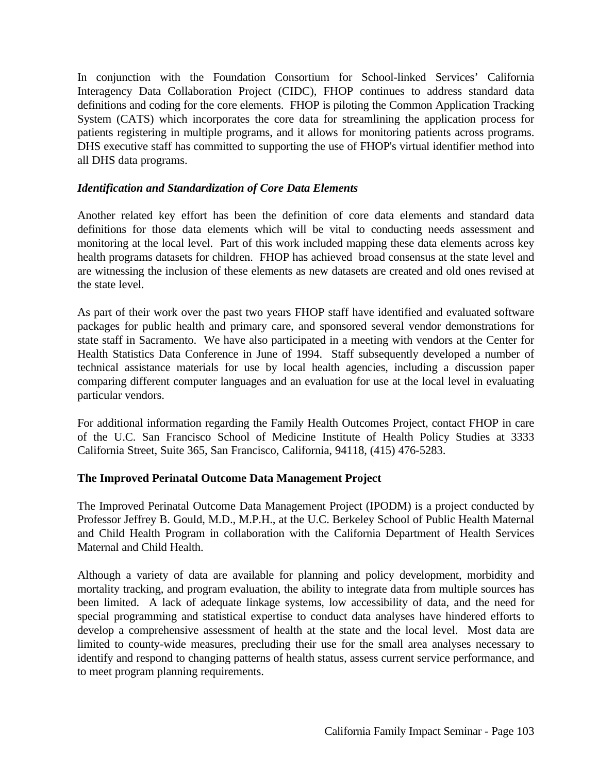In conjunction with the Foundation Consortium for School-linked Services' California Interagency Data Collaboration Project (CIDC), FHOP continues to address standard data definitions and coding for the core elements. FHOP is piloting the Common Application Tracking System (CATS) which incorporates the core data for streamlining the application process for patients registering in multiple programs, and it allows for monitoring patients across programs. DHS executive staff has committed to supporting the use of FHOP's virtual identifier method into all DHS data programs.

## *Identification and Standardization of Core Data Elements*

Another related key effort has been the definition of core data elements and standard data definitions for those data elements which will be vital to conducting needs assessment and monitoring at the local level. Part of this work included mapping these data elements across key health programs datasets for children. FHOP has achieved broad consensus at the state level and are witnessing the inclusion of these elements as new datasets are created and old ones revised at the state level.

As part of their work over the past two years FHOP staff have identified and evaluated software packages for public health and primary care, and sponsored several vendor demonstrations for state staff in Sacramento. We have also participated in a meeting with vendors at the Center for Health Statistics Data Conference in June of 1994. Staff subsequently developed a number of technical assistance materials for use by local health agencies, including a discussion paper comparing different computer languages and an evaluation for use at the local level in evaluating particular vendors.

For additional information regarding the Family Health Outcomes Project, contact FHOP in care of the U.C. San Francisco School of Medicine Institute of Health Policy Studies at 3333 California Street, Suite 365, San Francisco, California, 94118, (415) 476-5283.

## **The Improved Perinatal Outcome Data Management Project**

The Improved Perinatal Outcome Data Management Project (IPODM) is a project conducted by Professor Jeffrey B. Gould, M.D., M.P.H., at the U.C. Berkeley School of Public Health Maternal and Child Health Program in collaboration with the California Department of Health Services Maternal and Child Health.

Although a variety of data are available for planning and policy development, morbidity and mortality tracking, and program evaluation, the ability to integrate data from multiple sources has been limited. A lack of adequate linkage systems, low accessibility of data, and the need for special programming and statistical expertise to conduct data analyses have hindered efforts to develop a comprehensive assessment of health at the state and the local level. Most data are limited to county-wide measures, precluding their use for the small area analyses necessary to identify and respond to changing patterns of health status, assess current service performance, and to meet program planning requirements.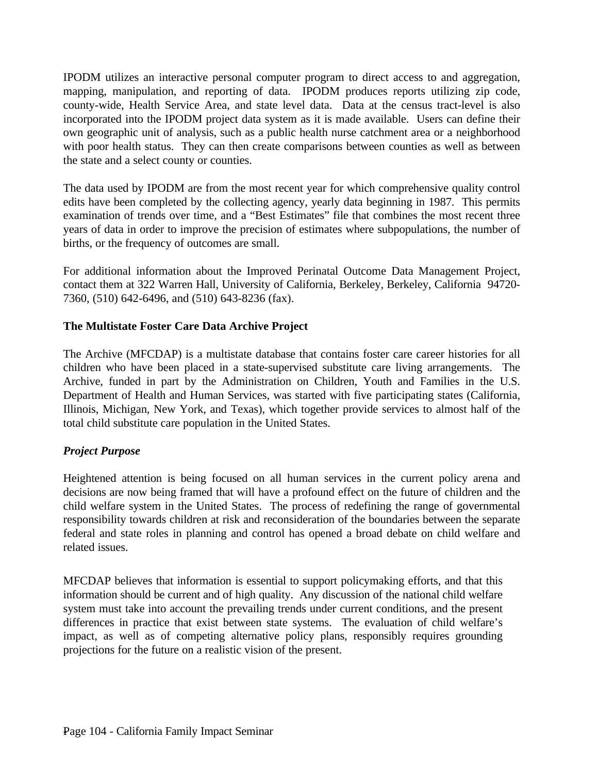IPODM utilizes an interactive personal computer program to direct access to and aggregation, mapping, manipulation, and reporting of data. IPODM produces reports utilizing zip code, county-wide, Health Service Area, and state level data. Data at the census tract-level is also incorporated into the IPODM project data system as it is made available. Users can define their own geographic unit of analysis, such as a public health nurse catchment area or a neighborhood with poor health status. They can then create comparisons between counties as well as between the state and a select county or counties.

The data used by IPODM are from the most recent year for which comprehensive quality control edits have been completed by the collecting agency, yearly data beginning in 1987. This permits examination of trends over time, and a "Best Estimates" file that combines the most recent three years of data in order to improve the precision of estimates where subpopulations, the number of births, or the frequency of outcomes are small.

For additional information about the Improved Perinatal Outcome Data Management Project, contact them at 322 Warren Hall, University of California, Berkeley, Berkeley, California 94720- 7360, (510) 642-6496, and (510) 643-8236 (fax).

## **The Multistate Foster Care Data Archive Project**

The Archive (MFCDAP) is a multistate database that contains foster care career histories for all children who have been placed in a state-supervised substitute care living arrangements. The Archive, funded in part by the Administration on Children, Youth and Families in the U.S. Department of Health and Human Services, was started with five participating states (California, Illinois, Michigan, New York, and Texas), which together provide services to almost half of the total child substitute care population in the United States.

## *Project Purpose*

Heightened attention is being focused on all human services in the current policy arena and decisions are now being framed that will have a profound effect on the future of children and the child welfare system in the United States. The process of redefining the range of governmental responsibility towards children at risk and reconsideration of the boundaries between the separate federal and state roles in planning and control has opened a broad debate on child welfare and related issues.

MFCDAP believes that information is essential to support policymaking efforts, and that this information should be current and of high quality. Any discussion of the national child welfare system must take into account the prevailing trends under current conditions, and the present differences in practice that exist between state systems. The evaluation of child welfare's impact, as well as of competing alternative policy plans, responsibly requires grounding projections for the future on a realistic vision of the present.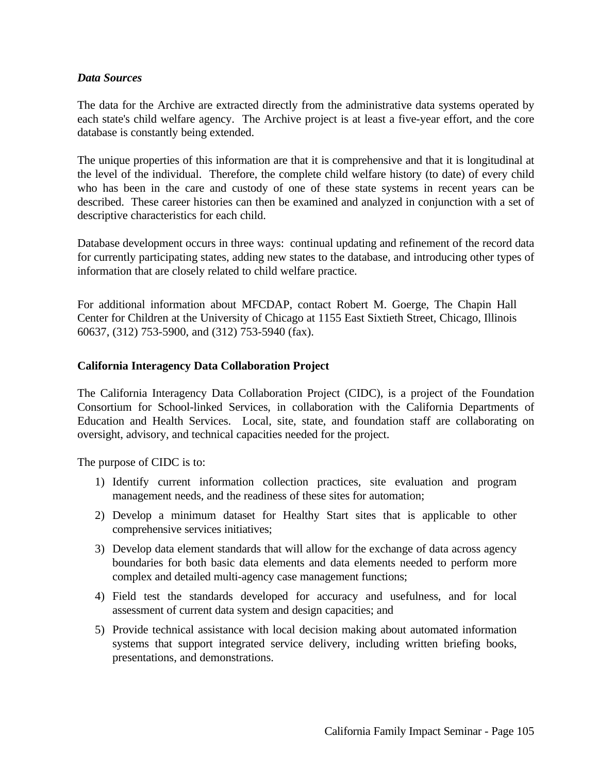#### *Data Sources*

The data for the Archive are extracted directly from the administrative data systems operated by each state's child welfare agency. The Archive project is at least a five-year effort, and the core database is constantly being extended.

The unique properties of this information are that it is comprehensive and that it is longitudinal at the level of the individual. Therefore, the complete child welfare history (to date) of every child who has been in the care and custody of one of these state systems in recent years can be described. These career histories can then be examined and analyzed in conjunction with a set of descriptive characteristics for each child.

Database development occurs in three ways: continual updating and refinement of the record data for currently participating states, adding new states to the database, and introducing other types of information that are closely related to child welfare practice.

For additional information about MFCDAP, contact Robert M. Goerge, The Chapin Hall Center for Children at the University of Chicago at 1155 East Sixtieth Street, Chicago, Illinois 60637, (312) 753-5900, and (312) 753-5940 (fax).

#### **California Interagency Data Collaboration Project**

The California Interagency Data Collaboration Project (CIDC), is a project of the Foundation Consortium for School-linked Services, in collaboration with the California Departments of Education and Health Services. Local, site, state, and foundation staff are collaborating on oversight, advisory, and technical capacities needed for the project.

The purpose of CIDC is to:

- 1) Identify current information collection practices, site evaluation and program management needs, and the readiness of these sites for automation;
- 2) Develop a minimum dataset for Healthy Start sites that is applicable to other comprehensive services initiatives;
- 3) Develop data element standards that will allow for the exchange of data across agency boundaries for both basic data elements and data elements needed to perform more complex and detailed multi-agency case management functions;
- 4) Field test the standards developed for accuracy and usefulness, and for local assessment of current data system and design capacities; and
- 5) Provide technical assistance with local decision making about automated information systems that support integrated service delivery, including written briefing books, presentations, and demonstrations.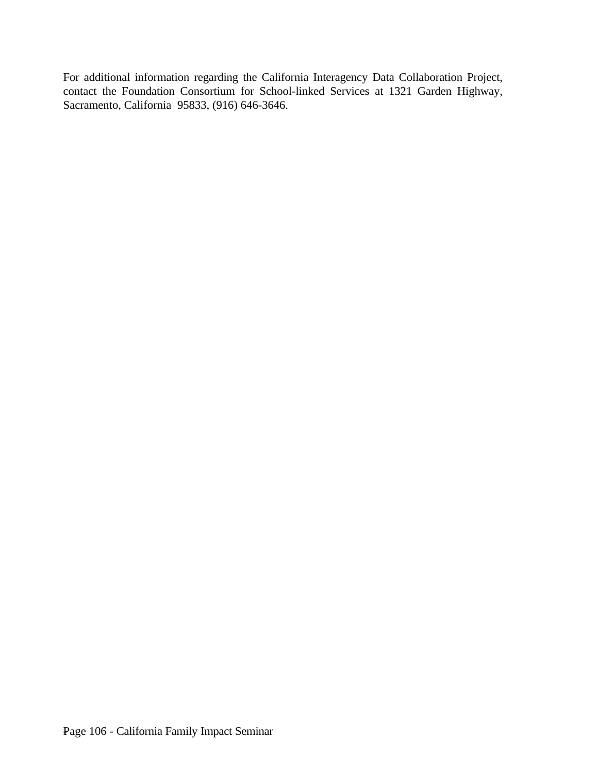For additional information regarding the California Interagency Data Collaboration Project, contact the Foundation Consortium for School-linked Services at 1321 Garden Highway, Sacramento, California 95833, (916) 646-3646.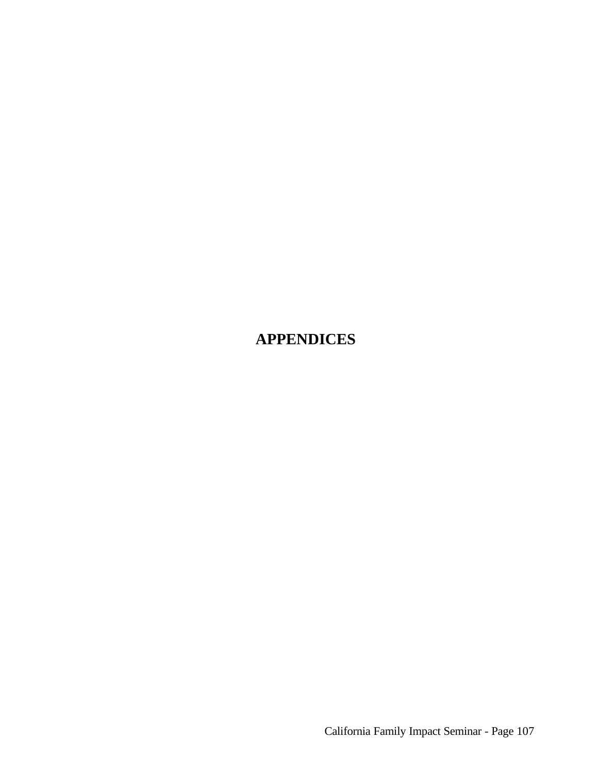# **APPENDICES**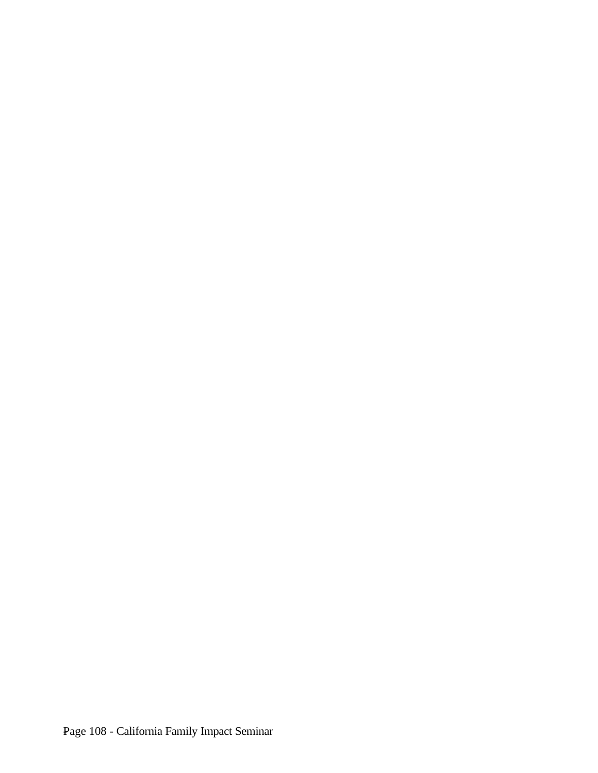-Page 108 - California Family Impact Seminar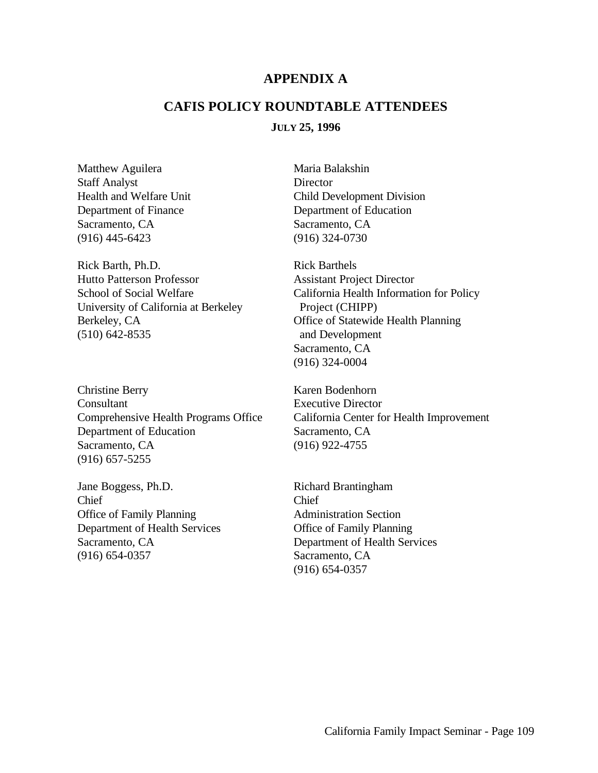## **APPENDIX A**

## **CAFIS POLICY ROUNDTABLE ATTENDEES**

## **JULY 25, 1996**

Matthew Aguilera Staff Analyst Health and Welfare Unit Department of Finance Sacramento, CA (916) 445-6423

Rick Barth, Ph.D. Hutto Patterson Professor School of Social Welfare University of California at Berkeley Berkeley, CA (510) 642-8535

Christine Berry Consultant Comprehensive Health Programs Office Department of Education Sacramento, CA (916) 657-5255

Jane Boggess, Ph.D. Chief Office of Family Planning Department of Health Services Sacramento, CA (916) 654-0357

Maria Balakshin **Director** Child Development Division Department of Education Sacramento, CA (916) 324-0730

Rick Barthels Assistant Project Director California Health Information for Policy Project (CHIPP) Office of Statewide Health Planning and Development Sacramento, CA (916) 324-0004

Karen Bodenhorn Executive Director California Center for Health Improvement Sacramento, CA (916) 922-4755

Richard Brantingham Chief Administration Section Office of Family Planning Department of Health Services Sacramento, CA (916) 654-0357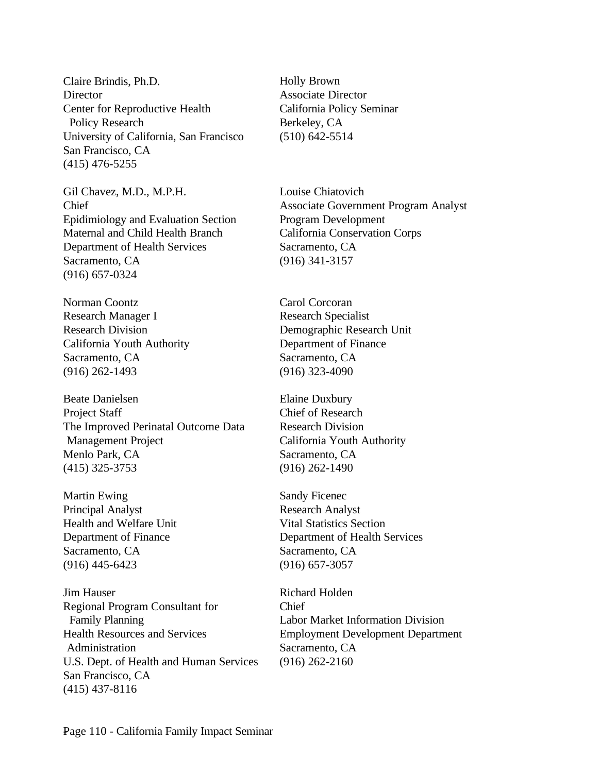Claire Brindis, Ph.D. **Director** Center for Reproductive Health Policy Research University of California, San Francisco San Francisco, CA (415) 476-5255

Gil Chavez, M.D., M.P.H. Chief Epidimiology and Evaluation Section Maternal and Child Health Branch Department of Health Services Sacramento, CA (916) 657-0324

Norman Coontz Research Manager I Research Division California Youth Authority Sacramento, CA (916) 262-1493

Beate Danielsen Project Staff The Improved Perinatal Outcome Data Management Project Menlo Park, CA (415) 325-3753

Martin Ewing Principal Analyst Health and Welfare Unit Department of Finance Sacramento, CA (916) 445-6423

Jim Hauser Regional Program Consultant for Family Planning Health Resources and Services Administration U.S. Dept. of Health and Human Services San Francisco, CA (415) 437-8116

Holly Brown Associate Director California Policy Seminar Berkeley, CA (510) 642-5514

Louise Chiatovich Associate Government Program Analyst Program Development California Conservation Corps Sacramento, CA (916) 341-3157

Carol Corcoran Research Specialist Demographic Research Unit Department of Finance Sacramento, CA (916) 323-4090

Elaine Duxbury Chief of Research Research Division California Youth Authority Sacramento, CA (916) 262-1490

Sandy Ficenec Research Analyst Vital Statistics Section Department of Health Services Sacramento, CA (916) 657-3057

Richard Holden Chief Labor Market Information Division Employment Development Department Sacramento, CA (916) 262-2160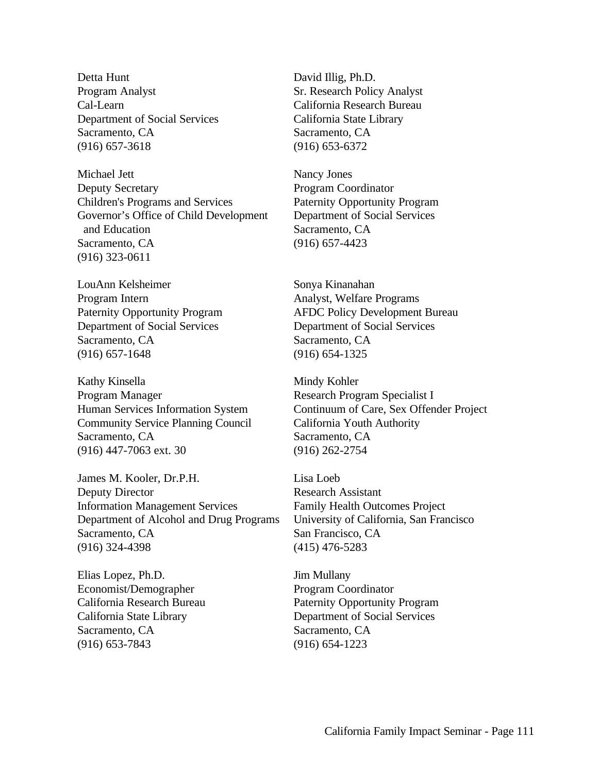Detta Hunt Program Analyst Cal-Learn Department of Social Services Sacramento, CA (916) 657-3618

Michael Jett Deputy Secretary Children's Programs and Services Governor's Office of Child Development and Education Sacramento, CA (916) 323-0611

LouAnn Kelsheimer Program Intern Paternity Opportunity Program Department of Social Services Sacramento, CA (916) 657-1648

Kathy Kinsella Program Manager Human Services Information System Community Service Planning Council Sacramento, CA (916) 447-7063 ext. 30

James M. Kooler, Dr.P.H. Deputy Director Information Management Services Department of Alcohol and Drug Programs Sacramento, CA (916) 324-4398

Elias Lopez, Ph.D. Economist/Demographer California Research Bureau California State Library Sacramento, CA (916) 653-7843

David Illig, Ph.D. Sr. Research Policy Analyst California Research Bureau California State Library Sacramento, CA (916) 653-6372

Nancy Jones Program Coordinator Paternity Opportunity Program Department of Social Services Sacramento, CA (916) 657-4423

Sonya Kinanahan Analyst, Welfare Programs AFDC Policy Development Bureau Department of Social Services Sacramento, CA (916) 654-1325

Mindy Kohler Research Program Specialist I Continuum of Care, Sex Offender Project California Youth Authority Sacramento, CA (916) 262-2754

Lisa Loeb Research Assistant Family Health Outcomes Project University of California, San Francisco San Francisco, CA (415) 476-5283

Jim Mullany Program Coordinator Paternity Opportunity Program Department of Social Services Sacramento, CA (916) 654-1223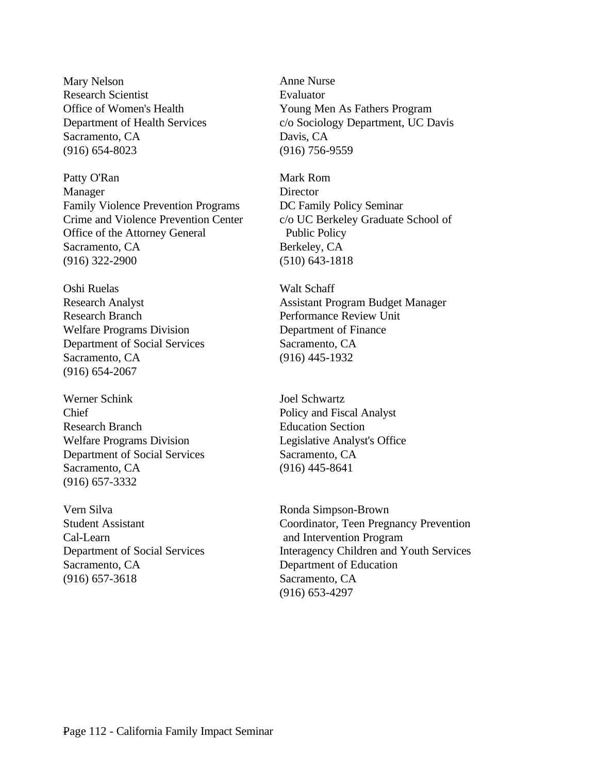Mary Nelson Research Scientist Office of Women's Health Department of Health Services Sacramento, CA (916) 654-8023

Patty O'Ran Manager Family Violence Prevention Programs Crime and Violence Prevention Center Office of the Attorney General Sacramento, CA (916) 322-2900

Oshi Ruelas Research Analyst Research Branch Welfare Programs Division Department of Social Services Sacramento, CA (916) 654-2067

Werner Schink Chief Research Branch Welfare Programs Division Department of Social Services Sacramento, CA (916) 657-3332

Vern Silva Student Assistant Cal-Learn Department of Social Services Sacramento, CA (916) 657-3618

Anne Nurse Evaluator Young Men As Fathers Program c/o Sociology Department, UC Davis Davis, CA (916) 756-9559

Mark Rom **Director** DC Family Policy Seminar c/o UC Berkeley Graduate School of Public Policy Berkeley, CA (510) 643-1818

Walt Schaff Assistant Program Budget Manager Performance Review Unit Department of Finance Sacramento, CA (916) 445-1932

Joel Schwartz Policy and Fiscal Analyst Education Section Legislative Analyst's Office Sacramento, CA (916) 445-8641

Ronda Simpson-Brown Coordinator, Teen Pregnancy Prevention and Intervention Program Interagency Children and Youth Services Department of Education Sacramento, CA (916) 653-4297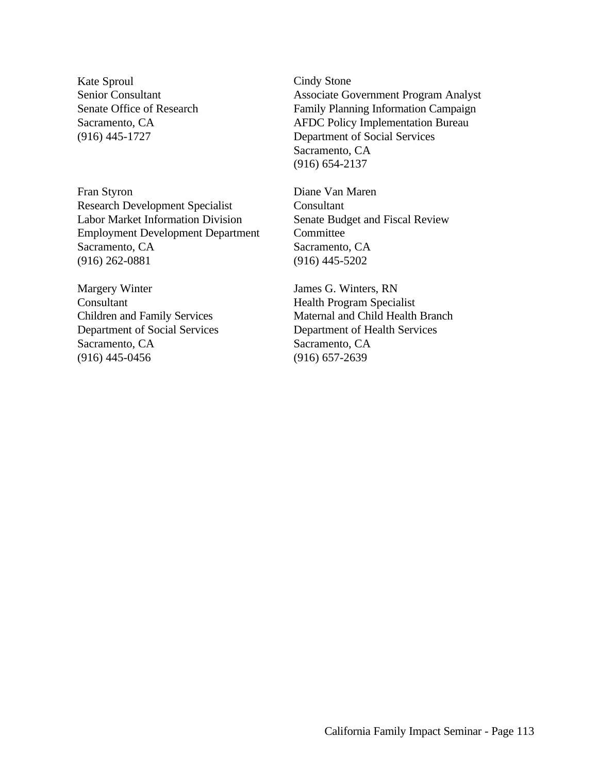Kate Sproul Senior Consultant Senate Office of Research Sacramento, CA (916) 445-1727

Fran Styron Research Development Specialist Labor Market Information Division Employment Development Department Sacramento, CA (916) 262-0881

Margery Winter Consultant Children and Family Services Department of Social Services Sacramento, CA (916) 445-0456

Cindy Stone Associate Government Program Analyst Family Planning Information Campaign AFDC Policy Implementation Bureau Department of Social Services Sacramento, CA

Diane Van Maren Consultant Senate Budget and Fiscal Review Committee Sacramento, CA (916) 445-5202

(916) 654-2137

James G. Winters, RN Health Program Specialist Maternal and Child Health Branch Department of Health Services Sacramento, CA (916) 657-2639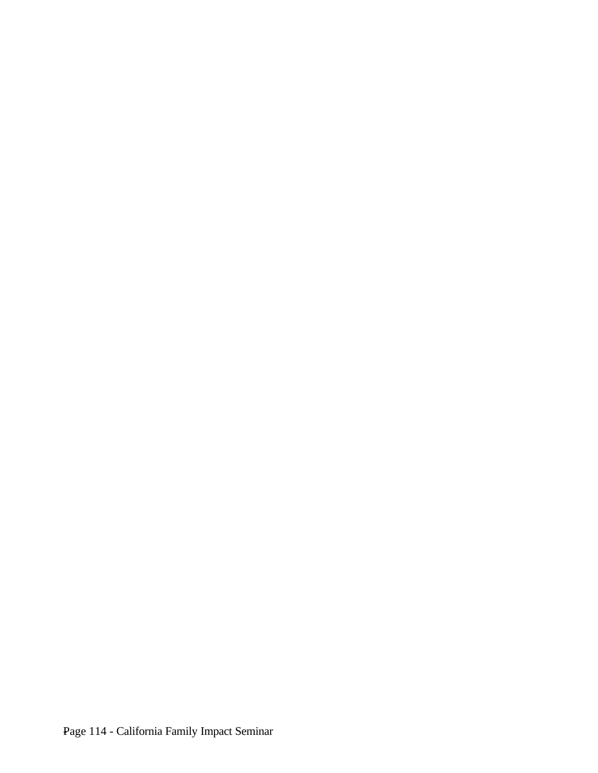Page 114 - California Family Impact Seminar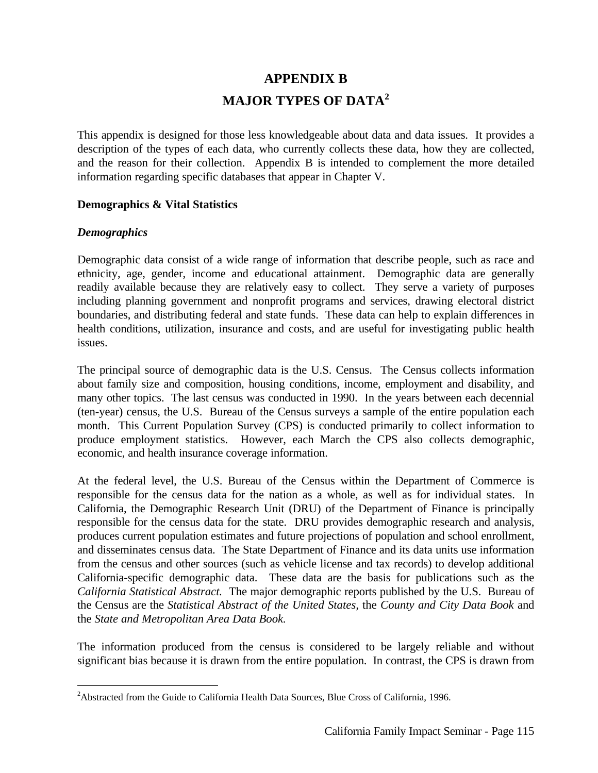## **APPENDIX B MAJOR TYPES OF DATA<sup>2</sup>**

This appendix is designed for those less knowledgeable about data and data issues. It provides a description of the types of each data, who currently collects these data, how they are collected, and the reason for their collection. Appendix B is intended to complement the more detailed information regarding specific databases that appear in Chapter V.

#### **Demographics & Vital Statistics**

#### *Demographics*

 $\overline{a}$ 

Demographic data consist of a wide range of information that describe people, such as race and ethnicity, age, gender, income and educational attainment. Demographic data are generally readily available because they are relatively easy to collect. They serve a variety of purposes including planning government and nonprofit programs and services, drawing electoral district boundaries, and distributing federal and state funds. These data can help to explain differences in health conditions, utilization, insurance and costs, and are useful for investigating public health issues.

The principal source of demographic data is the U.S. Census. The Census collects information about family size and composition, housing conditions, income, employment and disability, and many other topics. The last census was conducted in 1990. In the years between each decennial (ten-year) census, the U.S. Bureau of the Census surveys a sample of the entire population each month. This Current Population Survey (CPS) is conducted primarily to collect information to produce employment statistics. However, each March the CPS also collects demographic, economic, and health insurance coverage information.

At the federal level, the U.S. Bureau of the Census within the Department of Commerce is responsible for the census data for the nation as a whole, as well as for individual states. In California, the Demographic Research Unit (DRU) of the Department of Finance is principally responsible for the census data for the state. DRU provides demographic research and analysis, produces current population estimates and future projections of population and school enrollment, and disseminates census data. The State Department of Finance and its data units use information from the census and other sources (such as vehicle license and tax records) to develop additional California-specific demographic data. These data are the basis for publications such as the *California Statistical Abstract.* The major demographic reports published by the U.S. Bureau of the Census are the *Statistical Abstract of the United States,* the *County and City Data Book* and the *State and Metropolitan Area Data Book.*

The information produced from the census is considered to be largely reliable and without significant bias because it is drawn from the entire population. In contrast, the CPS is drawn from

<sup>&</sup>lt;sup>2</sup>Abstracted from the Guide to California Health Data Sources, Blue Cross of California, 1996.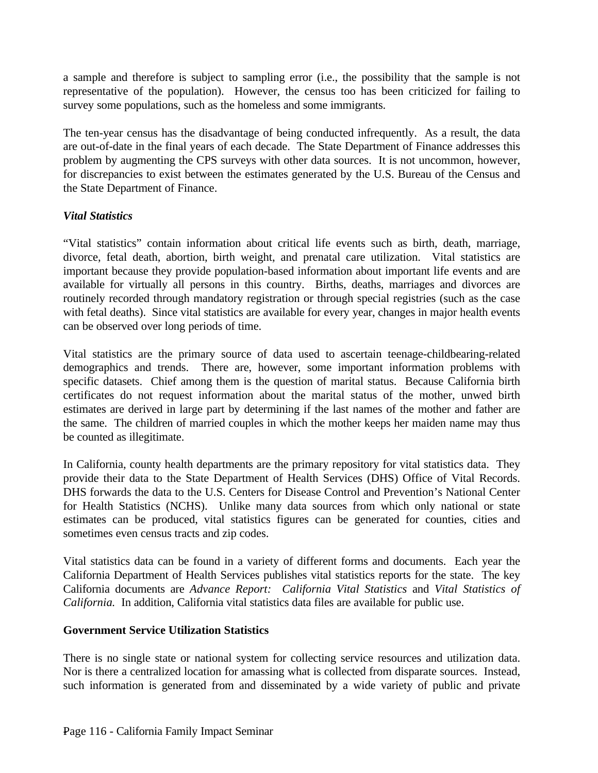a sample and therefore is subject to sampling error (i.e., the possibility that the sample is not representative of the population). However, the census too has been criticized for failing to survey some populations, such as the homeless and some immigrants.

The ten-year census has the disadvantage of being conducted infrequently. As a result, the data are out-of-date in the final years of each decade. The State Department of Finance addresses this problem by augmenting the CPS surveys with other data sources. It is not uncommon, however, for discrepancies to exist between the estimates generated by the U.S. Bureau of the Census and the State Department of Finance.

## *Vital Statistics*

"Vital statistics" contain information about critical life events such as birth, death, marriage, divorce, fetal death, abortion, birth weight, and prenatal care utilization. Vital statistics are important because they provide population-based information about important life events and are available for virtually all persons in this country. Births, deaths, marriages and divorces are routinely recorded through mandatory registration or through special registries (such as the case with fetal deaths). Since vital statistics are available for every year, changes in major health events can be observed over long periods of time.

Vital statistics are the primary source of data used to ascertain teenage-childbearing-related demographics and trends. There are, however, some important information problems with specific datasets. Chief among them is the question of marital status. Because California birth certificates do not request information about the marital status of the mother, unwed birth estimates are derived in large part by determining if the last names of the mother and father are the same. The children of married couples in which the mother keeps her maiden name may thus be counted as illegitimate.

In California, county health departments are the primary repository for vital statistics data. They provide their data to the State Department of Health Services (DHS) Office of Vital Records. DHS forwards the data to the U.S. Centers for Disease Control and Prevention's National Center for Health Statistics (NCHS). Unlike many data sources from which only national or state estimates can be produced, vital statistics figures can be generated for counties, cities and sometimes even census tracts and zip codes.

Vital statistics data can be found in a variety of different forms and documents. Each year the California Department of Health Services publishes vital statistics reports for the state. The key California documents are *Advance Report: California Vital Statistics* and *Vital Statistics of California.* In addition, California vital statistics data files are available for public use.

## **Government Service Utilization Statistics**

There is no single state or national system for collecting service resources and utilization data. Nor is there a centralized location for amassing what is collected from disparate sources. Instead, such information is generated from and disseminated by a wide variety of public and private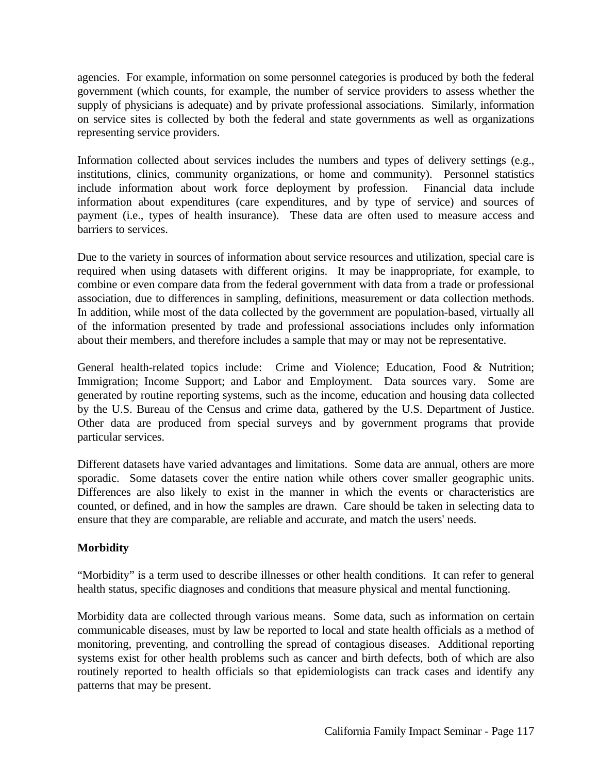agencies. For example, information on some personnel categories is produced by both the federal government (which counts, for example, the number of service providers to assess whether the supply of physicians is adequate) and by private professional associations. Similarly, information on service sites is collected by both the federal and state governments as well as organizations representing service providers.

Information collected about services includes the numbers and types of delivery settings (e.g., institutions, clinics, community organizations, or home and community). Personnel statistics include information about work force deployment by profession. Financial data include information about expenditures (care expenditures, and by type of service) and sources of payment (i.e., types of health insurance). These data are often used to measure access and barriers to services.

Due to the variety in sources of information about service resources and utilization, special care is required when using datasets with different origins. It may be inappropriate, for example, to combine or even compare data from the federal government with data from a trade or professional association, due to differences in sampling, definitions, measurement or data collection methods. In addition, while most of the data collected by the government are population-based, virtually all of the information presented by trade and professional associations includes only information about their members, and therefore includes a sample that may or may not be representative.

General health-related topics include: Crime and Violence; Education, Food & Nutrition; Immigration; Income Support; and Labor and Employment. Data sources vary. Some are generated by routine reporting systems, such as the income, education and housing data collected by the U.S. Bureau of the Census and crime data, gathered by the U.S. Department of Justice. Other data are produced from special surveys and by government programs that provide particular services.

Different datasets have varied advantages and limitations. Some data are annual, others are more sporadic. Some datasets cover the entire nation while others cover smaller geographic units. Differences are also likely to exist in the manner in which the events or characteristics are counted, or defined, and in how the samples are drawn. Care should be taken in selecting data to ensure that they are comparable, are reliable and accurate, and match the users' needs.

## **Morbidity**

"Morbidity" is a term used to describe illnesses or other health conditions. It can refer to general health status, specific diagnoses and conditions that measure physical and mental functioning.

Morbidity data are collected through various means. Some data, such as information on certain communicable diseases, must by law be reported to local and state health officials as a method of monitoring, preventing, and controlling the spread of contagious diseases. Additional reporting systems exist for other health problems such as cancer and birth defects, both of which are also routinely reported to health officials so that epidemiologists can track cases and identify any patterns that may be present.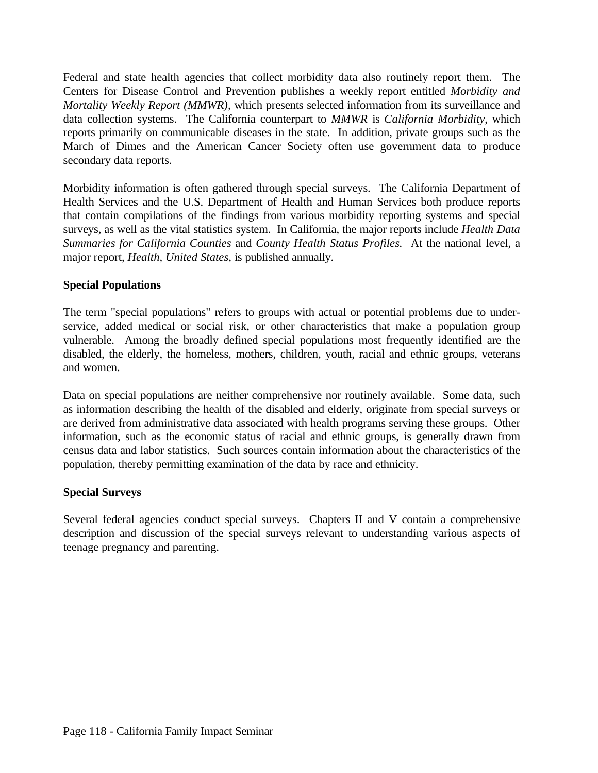Federal and state health agencies that collect morbidity data also routinely report them. The Centers for Disease Control and Prevention publishes a weekly report entitled *Morbidity and Mortality Weekly Report (MMWR),* which presents selected information from its surveillance and data collection systems. The California counterpart to *MMWR* is *California Morbidity*, which reports primarily on communicable diseases in the state. In addition, private groups such as the March of Dimes and the American Cancer Society often use government data to produce secondary data reports.

Morbidity information is often gathered through special surveys. The California Department of Health Services and the U.S. Department of Health and Human Services both produce reports that contain compilations of the findings from various morbidity reporting systems and special surveys, as well as the vital statistics system. In California, the major reports include *Health Data Summaries for California Counties* and *County Health Status Profiles.* At the national level, a major report, *Health, United States,* is published annually.

## **Special Populations**

The term "special populations" refers to groups with actual or potential problems due to underservice, added medical or social risk, or other characteristics that make a population group vulnerable. Among the broadly defined special populations most frequently identified are the disabled, the elderly, the homeless, mothers, children, youth, racial and ethnic groups, veterans and women.

Data on special populations are neither comprehensive nor routinely available. Some data, such as information describing the health of the disabled and elderly, originate from special surveys or are derived from administrative data associated with health programs serving these groups. Other information, such as the economic status of racial and ethnic groups, is generally drawn from census data and labor statistics. Such sources contain information about the characteristics of the population, thereby permitting examination of the data by race and ethnicity.

#### **Special Surveys**

Several federal agencies conduct special surveys. Chapters II and V contain a comprehensive description and discussion of the special surveys relevant to understanding various aspects of teenage pregnancy and parenting.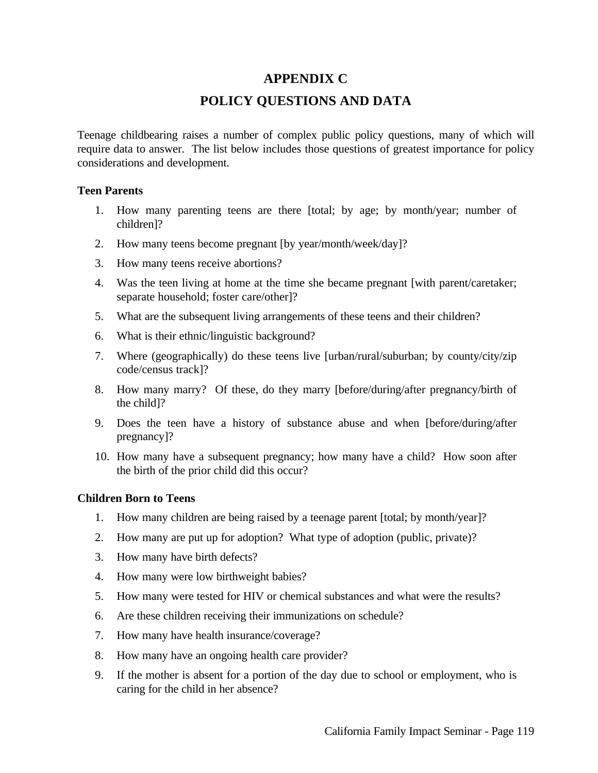# **APPENDIX C POLICY QUESTIONS AND DATA**

Teenage childbearing raises a number of complex public policy questions, many of which will require data to answer. The list below includes those questions of greatest importance for policy considerations and development.

#### **Teen Parents**

- 1. How many parenting teens are there [total; by age; by month/year; number of children]?
- 2. How many teens become pregnant [by year/month/week/day]?
- 3. How many teens receive abortions?
- 4. Was the teen living at home at the time she became pregnant [with parent/caretaker; separate household; foster care/other]?
- 5. What are the subsequent living arrangements of these teens and their children?
- 6. What is their ethnic/linguistic background?
- 7. Where (geographically) do these teens live [urban/rural/suburban; by county/city/zip code/census track]?
- 8. How many marry? Of these, do they marry [before/during/after pregnancy/birth of the child]?
- 9. Does the teen have a history of substance abuse and when [before/during/after pregnancy]?
- 10. How many have a subsequent pregnancy; how many have a child? How soon after the birth of the prior child did this occur?

#### **Children Born to Teens**

- 1. How many children are being raised by a teenage parent [total; by month/year]?
- 2. How many are put up for adoption? What type of adoption (public, private)?
- 3. How many have birth defects?
- 4. How many were low birthweight babies?
- 5. How many were tested for HIV or chemical substances and what were the results?
- 6. Are these children receiving their immunizations on schedule?
- 7. How many have health insurance/coverage?
- 8. How many have an ongoing health care provider?
- 9. If the mother is absent for a portion of the day due to school or employment, who is caring for the child in her absence?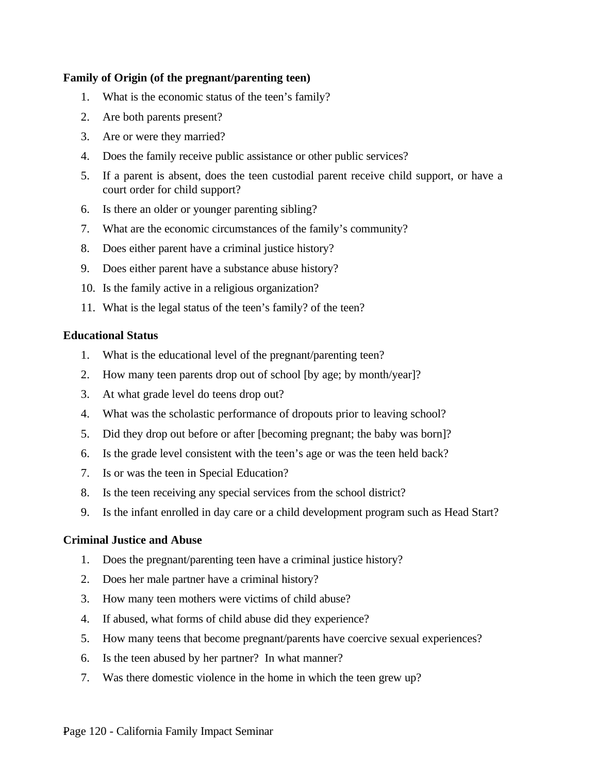#### **Family of Origin (of the pregnant/parenting teen)**

- 1. What is the economic status of the teen's family?
- 2. Are both parents present?
- 3. Are or were they married?
- 4. Does the family receive public assistance or other public services?
- 5. If a parent is absent, does the teen custodial parent receive child support, or have a court order for child support?
- 6. Is there an older or younger parenting sibling?
- 7. What are the economic circumstances of the family's community?
- 8. Does either parent have a criminal justice history?
- 9. Does either parent have a substance abuse history?
- 10. Is the family active in a religious organization?
- 11. What is the legal status of the teen's family? of the teen?

#### **Educational Status**

- 1. What is the educational level of the pregnant/parenting teen?
- 2. How many teen parents drop out of school [by age; by month/year]?
- 3. At what grade level do teens drop out?
- 4. What was the scholastic performance of dropouts prior to leaving school?
- 5. Did they drop out before or after [becoming pregnant; the baby was born]?
- 6. Is the grade level consistent with the teen's age or was the teen held back?
- 7. Is or was the teen in Special Education?
- 8. Is the teen receiving any special services from the school district?
- 9. Is the infant enrolled in day care or a child development program such as Head Start?

#### **Criminal Justice and Abuse**

- 1. Does the pregnant/parenting teen have a criminal justice history?
- 2. Does her male partner have a criminal history?
- 3. How many teen mothers were victims of child abuse?
- 4. If abused, what forms of child abuse did they experience?
- 5. How many teens that become pregnant/parents have coercive sexual experiences?
- 6. Is the teen abused by her partner? In what manner?
- 7. Was there domestic violence in the home in which the teen grew up?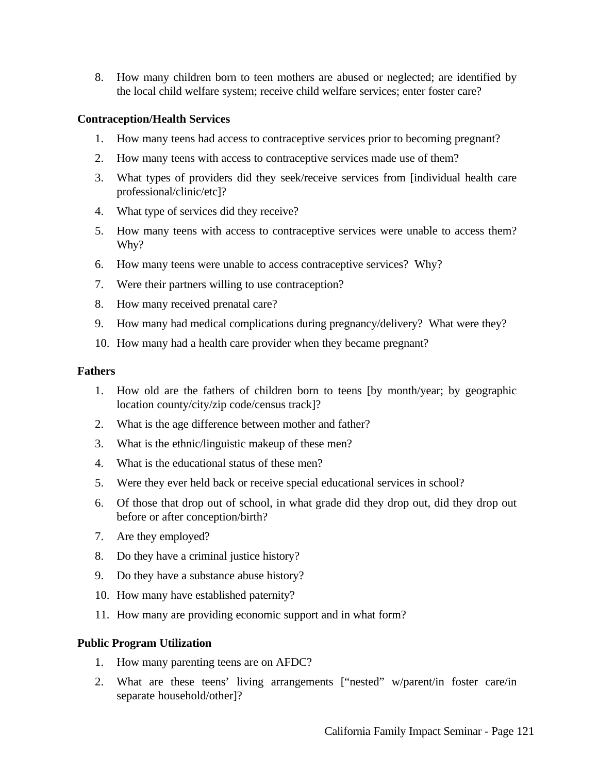8. How many children born to teen mothers are abused or neglected; are identified by the local child welfare system; receive child welfare services; enter foster care?

## **Contraception/Health Services**

- 1. How many teens had access to contraceptive services prior to becoming pregnant?
- 2. How many teens with access to contraceptive services made use of them?
- 3. What types of providers did they seek/receive services from [individual health care professional/clinic/etc]?
- 4. What type of services did they receive?
- 5. How many teens with access to contraceptive services were unable to access them? Why?
- 6. How many teens were unable to access contraceptive services? Why?
- 7. Were their partners willing to use contraception?
- 8. How many received prenatal care?
- 9. How many had medical complications during pregnancy/delivery? What were they?
- 10. How many had a health care provider when they became pregnant?

#### **Fathers**

- 1. How old are the fathers of children born to teens [by month/year; by geographic location county/city/zip code/census track]?
- 2. What is the age difference between mother and father?
- 3. What is the ethnic/linguistic makeup of these men?
- 4. What is the educational status of these men?
- 5. Were they ever held back or receive special educational services in school?
- 6. Of those that drop out of school, in what grade did they drop out, did they drop out before or after conception/birth?
- 7. Are they employed?
- 8. Do they have a criminal justice history?
- 9. Do they have a substance abuse history?
- 10. How many have established paternity?
- 11. How many are providing economic support and in what form?

#### **Public Program Utilization**

- 1. How many parenting teens are on AFDC?
- 2. What are these teens' living arrangements ["nested" w/parent/in foster care/in separate household/other]?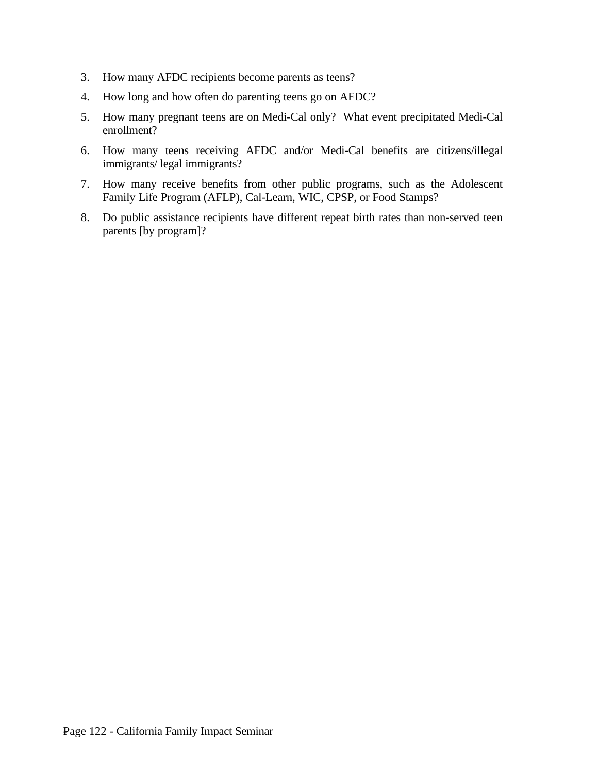- 3. How many AFDC recipients become parents as teens?
- 4. How long and how often do parenting teens go on AFDC?
- 5. How many pregnant teens are on Medi-Cal only? What event precipitated Medi-Cal enrollment?
- 6. How many teens receiving AFDC and/or Medi-Cal benefits are citizens/illegal immigrants/ legal immigrants?
- 7. How many receive benefits from other public programs, such as the Adolescent Family Life Program (AFLP), Cal-Learn, WIC, CPSP, or Food Stamps?
- 8. Do public assistance recipients have different repeat birth rates than non-served teen parents [by program]?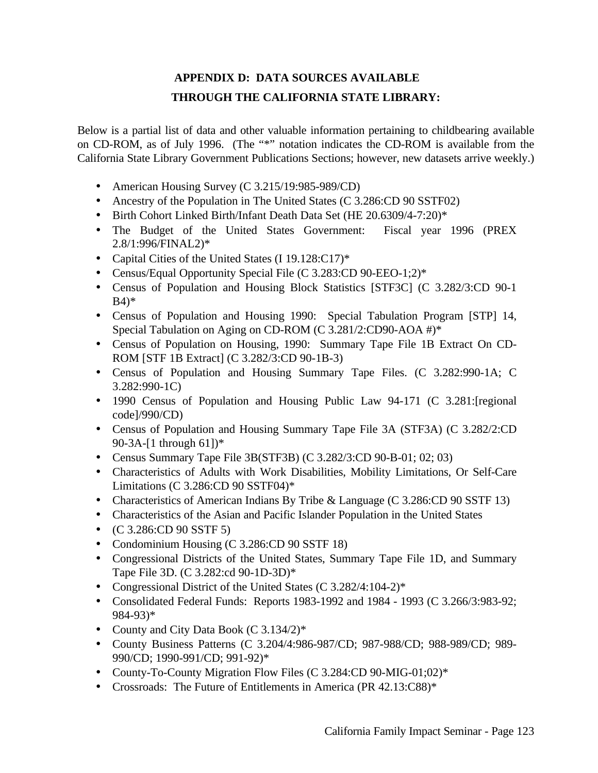## **APPENDIX D: DATA SOURCES AVAILABLE THROUGH THE CALIFORNIA STATE LIBRARY:**

Below is a partial list of data and other valuable information pertaining to childbearing available on CD-ROM, as of July 1996. (The "\*" notation indicates the CD-ROM is available from the California State Library Government Publications Sections; however, new datasets arrive weekly.)

- American Housing Survey (C 3.215/19:985-989/CD)
- Ancestry of the Population in The United States (C 3.286:CD 90 SSTF02)
- Birth Cohort Linked Birth/Infant Death Data Set (HE 20.6309/4-7:20)\*
- The Budget of the United States Government: Fiscal year 1996 (PREX 2.8/1:996/FINAL2)\*
- Capital Cities of the United States (I 19.128:C17)<sup>\*</sup>
- Census/Equal Opportunity Special File (C 3.283:CD 90-EEO-1;2)\*
- Census of Population and Housing Block Statistics [STF3C] (C 3.282/3:CD 90-1 B4)\*
- Census of Population and Housing 1990: Special Tabulation Program [STP] 14, Special Tabulation on Aging on CD-ROM (C 3.281/2:CD90-AOA #)\*
- Census of Population on Housing, 1990: Summary Tape File 1B Extract On CD-ROM [STF 1B Extract] (C 3.282/3:CD 90-1B-3)
- Census of Population and Housing Summary Tape Files. (C 3.282:990-1A; C 3.282:990-1C)
- 1990 Census of Population and Housing Public Law 94-171 (C 3.281: [regional code]/990/CD)
- Census of Population and Housing Summary Tape File 3A (STF3A) (C 3.282/2:CD 90-3A-[1 through 61])\*
- Census Summary Tape File 3B(STF3B) (C 3.282/3:CD 90-B-01; 02; 03)
- Characteristics of Adults with Work Disabilities, Mobility Limitations, Or Self-Care Limitations (C 3.286:CD 90 SSTF04)\*
- Characteristics of American Indians By Tribe & Language (C 3.286:CD 90 SSTF 13)
- Characteristics of the Asian and Pacific Islander Population in the United States
- $\bullet$  (C 3.286:CD 90 SSTF 5)
- Condominium Housing (C 3.286:CD 90 SSTF 18)
- Congressional Districts of the United States, Summary Tape File 1D, and Summary Tape File 3D. (C 3.282:cd 90-1D-3D)\*
- Congressional District of the United States (C 3.282/4:104-2)\*
- Consolidated Federal Funds: Reports 1983-1992 and 1984 1993 (C 3.266/3:983-92; 984-93)\*
- County and City Data Book (C 3.134/2)<sup>\*</sup>
- County Business Patterns (C 3.204/4:986-987/CD; 987-988/CD; 988-989/CD; 989- 990/CD; 1990-991/CD; 991-92)\*
- County-To-County Migration Flow Files (C 3.284:CD 90-MIG-01;02)\*
- Crossroads: The Future of Entitlements in America (PR 42.13:C88)\*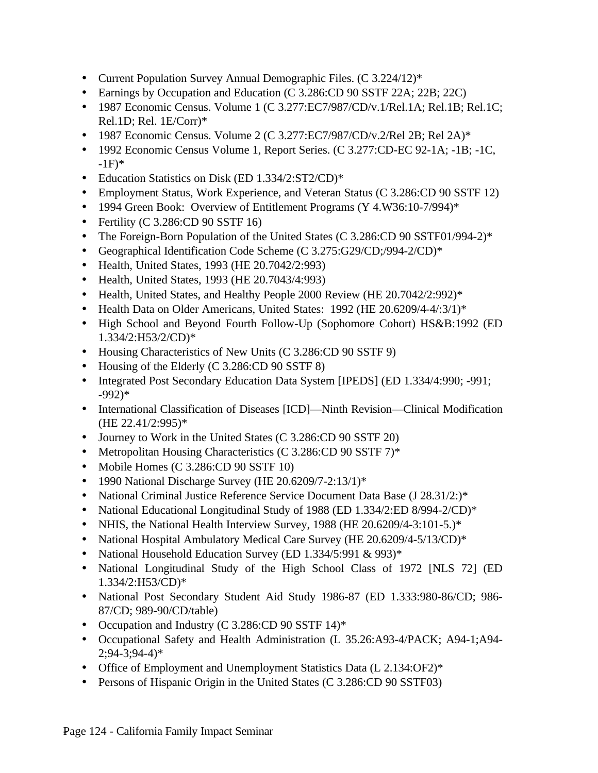- Current Population Survey Annual Demographic Files. (C 3.224/12)\*
- Earnings by Occupation and Education (C 3.286:CD 90 SSTF 22A; 22B; 22C)
- 1987 Economic Census. Volume 1 (C 3.277:EC7/987/CD/v.1/Rel.1A; Rel.1B; Rel.1C; Rel.1D; Rel. 1E/Corr)\*
- 1987 Economic Census. Volume 2 (C 3.277: EC7/987/CD/v.  $2$ /Rel 2B; Rel 2A)\*
- 1992 Economic Census Volume 1, Report Series. (C 3.277:CD-EC 92-1A; -1B; -1C,  $-1F$ <sup>\*</sup>
- Education Statistics on Disk (ED 1.334/2:ST2/CD)\*
- Employment Status, Work Experience, and Veteran Status (C 3.286:CD 90 SSTF 12)
- 1994 Green Book: Overview of Entitlement Programs (Y 4.W36:10-7/994)\*
- Fertility (C 3.286:CD 90 SSTF 16)
- The Foreign-Born Population of the United States (C 3.286:CD 90 SSTF01/994-2)\*
- Geographical Identification Code Scheme (C 3.275:G29/CD;/994-2/CD)\*
- Health, United States, 1993 (HE 20.7042/2:993)
- Health, United States, 1993 (HE 20.7043/4:993)
- Health, United States, and Healthy People 2000 Review (HE 20.7042/2:992)\*
- Health Data on Older Americans, United States: 1992 (HE 20.6209/4-4/:3/1)\*
- High School and Beyond Fourth Follow-Up (Sophomore Cohort) HS&B:1992 (ED 1.334/2:H53/2/CD)\*
- Housing Characteristics of New Units (C 3.286:CD 90 SSTF 9)
- Housing of the Elderly (C 3.286:CD 90 SSTF 8)
- Integrated Post Secondary Education Data System [IPEDS] (ED 1.334/4:990; -991; -992)\*
- International Classification of Diseases [ICD]—Ninth Revision—Clinical Modification (HE 22.41/2:995)\*
- Journey to Work in the United States (C 3.286:CD 90 SSTF 20)
- Metropolitan Housing Characteristics (C 3.286:CD 90 SSTF 7)\*
- Mobile Homes (C 3.286:CD 90 SSTF 10)
- 1990 National Discharge Survey (HE 20.6209/7-2:13/1)\*
- National Criminal Justice Reference Service Document Data Base (J 28.31/2:)\*
- National Educational Longitudinal Study of 1988 (ED 1.334/2:ED 8/994-2/CD)\*
- NHIS, the National Health Interview Survey, 1988 (HE 20.6209/4-3:101-5.)\*
- National Hospital Ambulatory Medical Care Survey (HE 20.6209/4-5/13/CD)\*
- National Household Education Survey (ED 1.334/5:991 & 993)\*
- National Longitudinal Study of the High School Class of 1972 [NLS 72] (ED 1.334/2:H53/CD)\*
- National Post Secondary Student Aid Study 1986-87 (ED 1.333:980-86/CD; 986- 87/CD; 989-90/CD/table)
- Occupation and Industry (C 3.286:CD 90 SSTF 14)\*
- Occupational Safety and Health Administration (L 35.26:A93-4/PACK; A94-1;A94- 2;94-3;94-4)\*
- Office of Employment and Unemployment Statistics Data (L 2.134:OF2)\*
- Persons of Hispanic Origin in the United States (C 3.286:CD 90 SSTF03)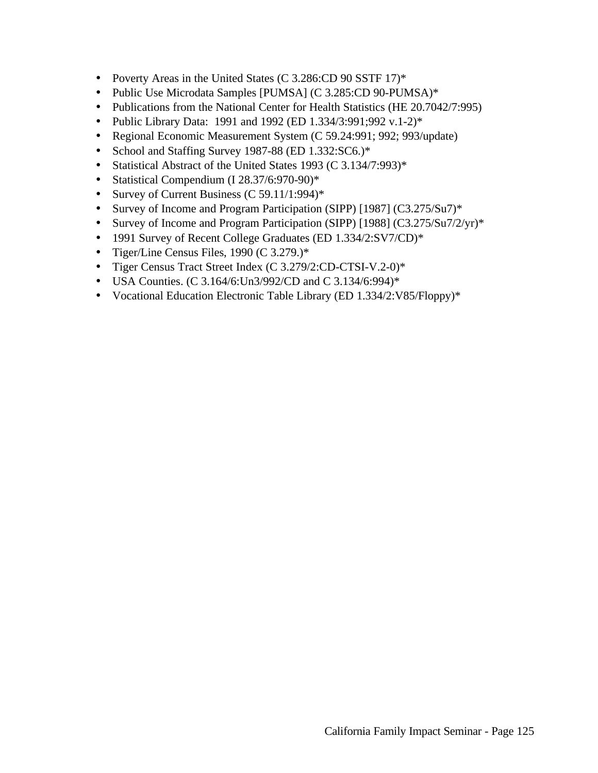- Poverty Areas in the United States (C 3.286:CD 90 SSTF 17)\*
- Public Use Microdata Samples [PUMSA] (C 3.285:CD 90-PUMSA)\*
- Publications from the National Center for Health Statistics (HE 20.7042/7:995)
- Public Library Data: 1991 and 1992 (ED 1.334/3:991;992 v.1-2)\*
- Regional Economic Measurement System (C 59.24:991; 992; 993/update)
- School and Staffing Survey 1987-88 (ED 1.332:SC6.)\*
- Statistical Abstract of the United States 1993 (C 3.134/7:993)\*
- Statistical Compendium (I 28.37/6:970-90)\*
- Survey of Current Business (C 59.11/1:994)\*
- Survey of Income and Program Participation (SIPP) [1987] (C3.275/Su7)\*
- Survey of Income and Program Participation (SIPP) [1988] (C3.275/Su7/2/yr)\*
- 1991 Survey of Recent College Graduates (ED 1.334/2:SV7/CD)\*
- Tiger/Line Census Files, 1990 (C 3.279.)\*
- Tiger Census Tract Street Index (C 3.279/2:CD-CTSI-V.2-0)\*
- USA Counties. (C 3.164/6:Un3/992/CD and C 3.134/6:994)\*
- Vocational Education Electronic Table Library (ED 1.334/2:V85/Floppy)\*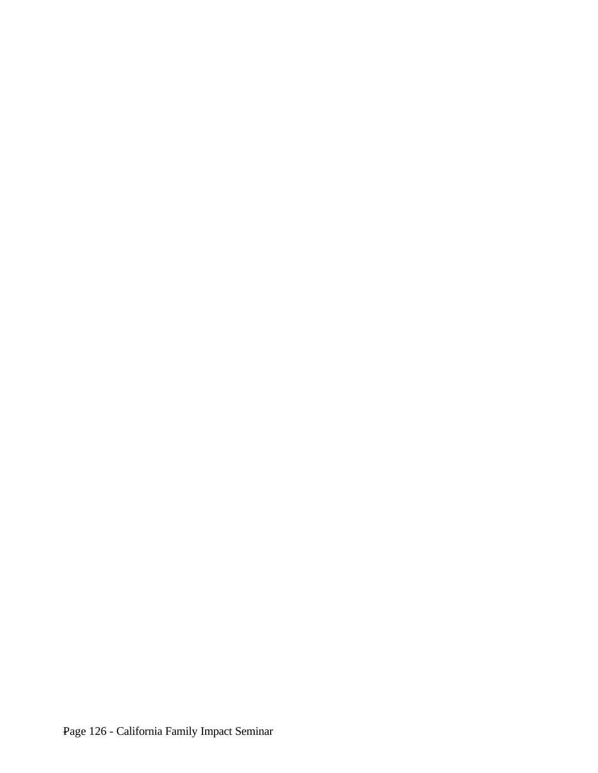-Page 126 - California Family Impact Seminar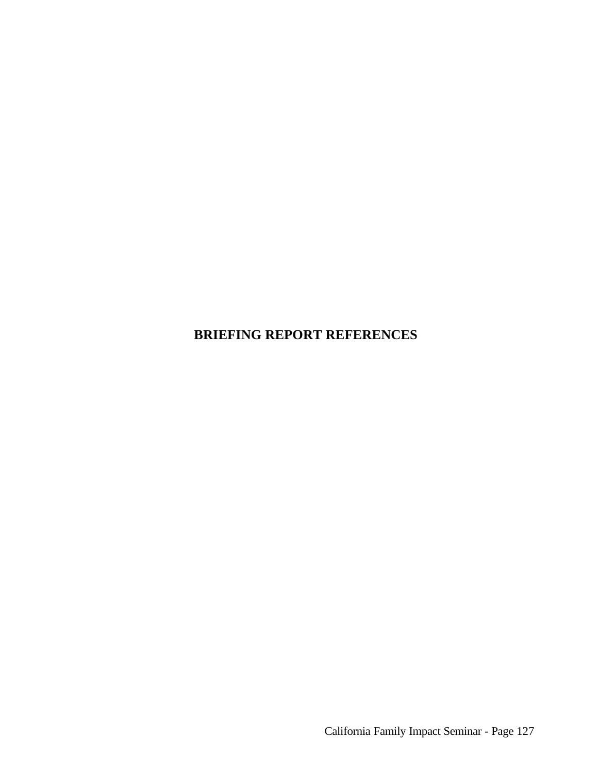**BRIEFING REPORT REFERENCES**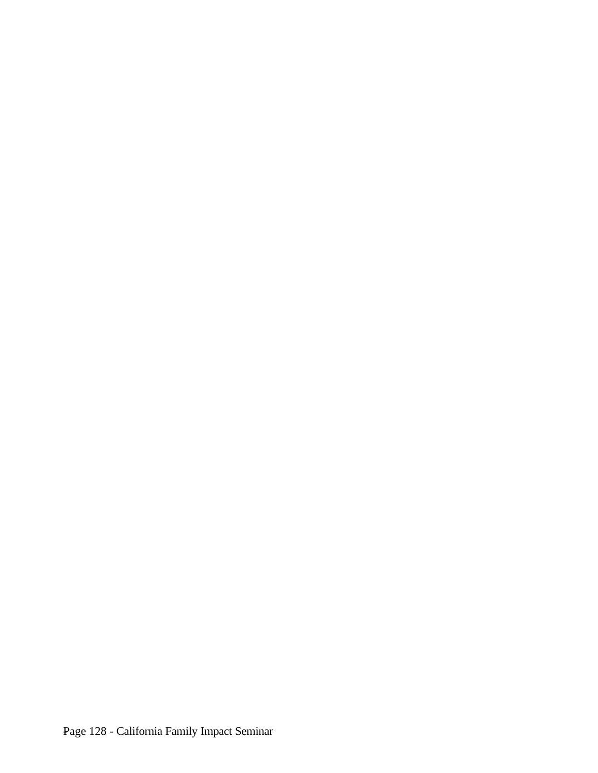-Page 128 - California Family Impact Seminar